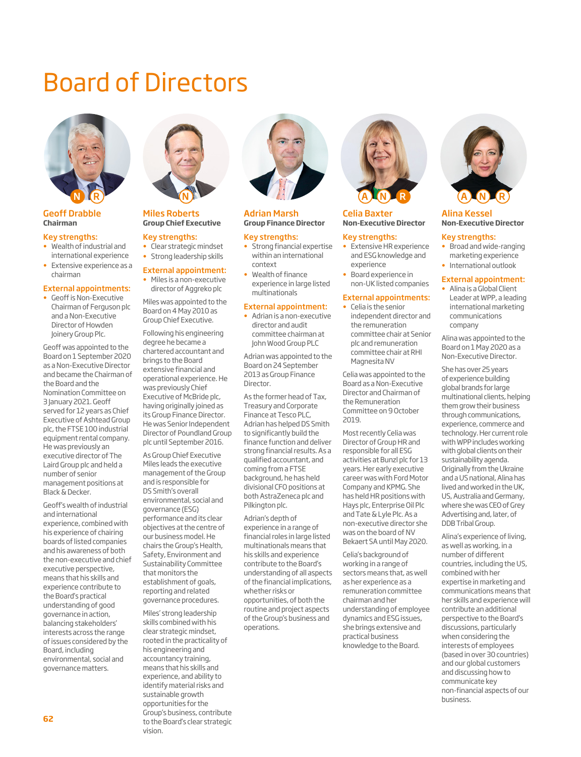# Board of Directors



Geoff Drabble **Chairman**

#### Key strengths:

- Wealth of industrial and international experience
- Extensive experience as a chairman

#### External appointments:

Geoff is Non-Executive Chairman of Ferguson plc and a Non-Executive Director of Howden Joinery Group Plc.

Geoff was appointed to the Board on 1 September 2020 as a Non-Executive Director and became the Chairman of the Board and the Nomination Committee on 3 January 2021. Geoff served for 12 years as Chief Executive of Ashtead Group plc, the FTSE 100 industrial equipment rental company. He was previously an executive director of The Laird Group plc and held a number of senior management positions at Black & Decker.

Geoff's wealth of industrial and international experience, combined with his experience of chairing boards of listed companies and his awareness of both the non-executive and chief executive perspective, means that his skills and experience contribute to the Board's practical understanding of good governance in action, balancing stakeholders' interests across the range of issues considered by the Board, including environmental, social and governance matters.



#### Miles Roberts **Group Chief Executive**

#### Key strengths:

- Clear strategic mindset • Strong leadership skills
- 

#### External appointment: • Miles is a non-executive

director of Aggreko plc Miles was appointed to the Board on 4 May 2010 as Group Chief Executive.

Following his engineering degree he became a chartered accountant and brings to the Board extensive financial and operational experience. He was previously Chief Executive of McBride plc, having originally joined as its Group Finance Director. He was Senior Independent Director of Poundland Group plc until September 2016.

As Group Chief Executive Miles leads the executive management of the Group and is responsible for DS Smith's overall environmental, social and governance (ESG) performance and its clear objectives at the centre of our business model. He chairs the Group's Health, Safety, Environment and Sustainability Committee that monitors the establishment of goals, reporting and related governance procedures.

Miles' strong leadership skills combined with his clear strategic mindset, rooted in the practicality of his engineering and accountancy training, means that his skills and experience, and ability to identify material risks and sustainable growth opportunities for the Group's business, contribute to the Board's clear strategic vision.



#### Adrian Marsh **Group Finance Director**

#### Key strengths:

- Strong financial expertise within an international context
- Wealth of finance experience in large listed multinationals

#### External appointment:

• Adrian is a non-executive director and audit committee chairman at John Wood Group PLC

Adrian was appointed to the Board on 24 September 2013 as Group Finance Director.

As the former head of Tax, Treasury and Corporate Finance at Tesco PLC, Adrian has helped DS Smith to significantly build the finance function and deliver strong financial results. As a qualified accountant, and coming from a FTSE background, he has held divisional CFO positions at both AstraZeneca plc and Pilkington plc.

Adrian's depth of experience in a range of financial roles in large listed multinationals means that his skills and experience contribute to the Board's understanding of all aspects of the financial implications, whether risks or opportunities, of both the routine and project aspects of the Group's business and operations.



#### Celia Baxter **Non-Executive Director**

#### Key strengths:

- Extensive HR experience and ESG knowledge and experience
- Board experience in non-UK listed companies

#### External appointments:

• Celia is the senior independent director and the remuneration committee chair at Senior plc and remuneration committee chair at RHI Magnesita NV

Celia was appointed to the Board as a Non-Executive Director and Chairman of the Remuneration Committee on 9 October 2019.

Most recently Celia was Director of Group HR and responsible for all ESG activities at Bunzl plc for 13 years. Her early executive career was with Ford Motor Company and KPMG. She has held HR positions with Hays plc, Enterprise Oil Plc and Tate & Lyle Plc. As a non-executive director she was on the board of NV Bekaert SA until May 2020.

Celia's background of working in a range of sectors means that, as well as her experience as a remuneration committee chairman and her understanding of employee dynamics and ESG issues, she brings extensive and practical business knowledge to the Board.



#### Alina Kessel **Non-Executive Director**

#### Key strengths:

• Broad and wide-ranging marketing experience • International outlook

#### External appointment:

• Alina is a Global Client Leader at WPP, a leading international marketing communications company

Alina was appointed to the Board on 1 May 2020 as a Non-Executive Director.

She has over 25 years of experience building global brands for large multinational clients, helping them grow their business through communications, experience, commerce and technology. Her current role with WPP includes working with global clients on their sustainability agenda. Originally from the Ukraine and a US national, Alina has lived and worked in the UK, US, Australia and Germany, where she was CEO of Grey Advertising and, later, of DDB Tribal Group.

Alina's experience of living, as well as working, in a number of different countries, including the US, combined with her expertise in marketing and communications means that her skills and experience will contribute an additional perspective to the Board's discussions, particularly when considering the interests of employees (based in over 30 countries) and our global customers and discussing how to communicate key non-financial aspects of our business.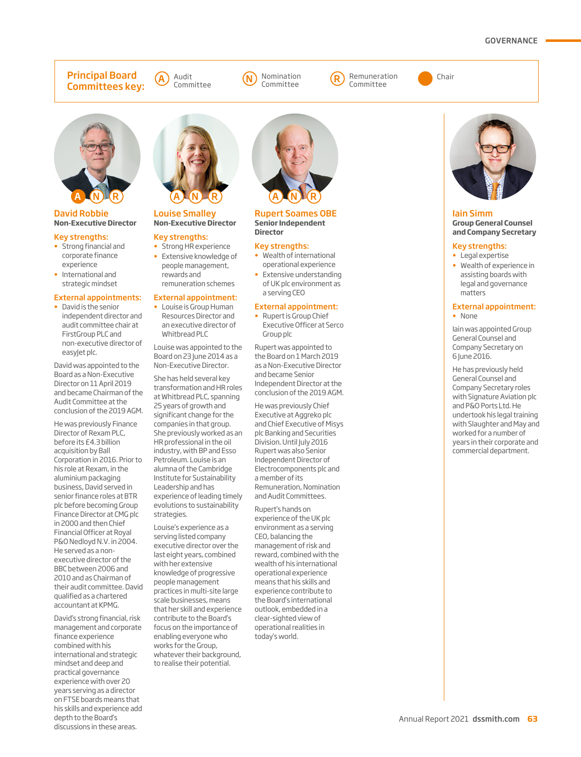#### GOVERNANCE

#### Principal Board Committees key:





Committee





#### David Robbie **Non-Executive Director**

#### Key strengths:

- Strong financial and corporate finance experience
- International and strategic mindset

#### External appointments:

• David is the senior independent director and audit committee chair at FirstGroup PLC and non-executive director of easyJet plc.

David was appointed to the Board as a Non-Executive Director on 11 April 2019 and became Chairman of the Audit Committee at the conclusion of the 2019 AGM.

He was previously Finance Director of Rexam PLC, before its £4.3 billion acquisition by Ball Corporation in 2016. Prior to his role at Rexam, in the aluminium packaging business, David served in senior finance roles at BTR plc before becoming Group Finance Director at CMG plc in 2000 and then Chief Financial Officer at Royal P&O Nedloyd N.V. in 2004. He served as a nonexecutive director of the BBC between 2006 and 2010 and as Chairman of their audit committee. David qualified as a chartered accountant at KPMG.

David's strong financial, risk management and corporate finance experience combined with his international and strategic mindset and deep and practical governance experience with over 20 years serving as a director on FTSE boards means that his skills and experience add depth to the Board's discussions in these areas.



#### Louise Smalley **Non-Executive Director**

#### Key strengths:

• Strong HR experience • Extensive knowledge of people management, rewards and remuneration schemes

#### External appointment:

• Louise is Group Human Resources Director and an executive director of Whitbread PLC

Louise was appointed to the Board on 23 June 2014 as a Non-Executive Director.

She has held several key transformation and HR roles at Whitbread PLC, spanning 25 years of growth and significant change for the companies in that group. She previously worked as an HR professional in the oil industry, with BP and Esso Petroleum. Louise is an alumna of the Cambridge Institute for Sustainability Leadership and has experience of leading timely evolutions to sustainability strategies.

Louise's experience as a serving listed company executive director over the last eight years, combined with her extensive knowledge of progressive people management practices in multi-site large scale businesses, means that her skill and experience contribute to the Board's focus on the importance of enabling everyone who works for the Group, whatever their background, to realise their potential.



#### Rupert Soames OBE **Senior Independent Director**

#### Key strengths:

- Wealth of international operational experience
- Extensive understanding of UK plc environment as a serving CEO

#### External appointment:

• Rupert is Group Chief Executive Officer at Serco Group plc

Rupert was appointed to the Board on 1 March 2019 as a Non-Executive Director and became Senior Independent Director at the conclusion of the 2019 AGM.

He was previously Chief Executive at Aggreko plc and Chief Executive of Misys plc Banking and Securities Division. Until July 2016 Rupert was also Senior Independent Director of Electrocomponents plc and a member of its Remuneration, Nomination and Audit Committees.

Rupert's hands on experience of the UK plc environment as a serving CEO, balancing the management of risk and reward, combined with the wealth of his international operational experience means that his skills and experience contribute to the Board's international outlook, embedded in a clear-sighted view of operational realities in today's world.



#### Iain Simm **Group General Counsel and Company Secretary**

#### Key strengths:

- Legal expertise
- Wealth of experience in assisting boards with legal and governance matters

#### External appointment: • None

Iain was appointed Group General Counsel and Company Secretary on 6 June 2016.

He has previously held General Counsel and Company Secretary roles with Signature Aviation plc and P&O Ports Ltd. He undertook his legal training with Slaughter and May and worked for a number of years in their corporate and commercial department.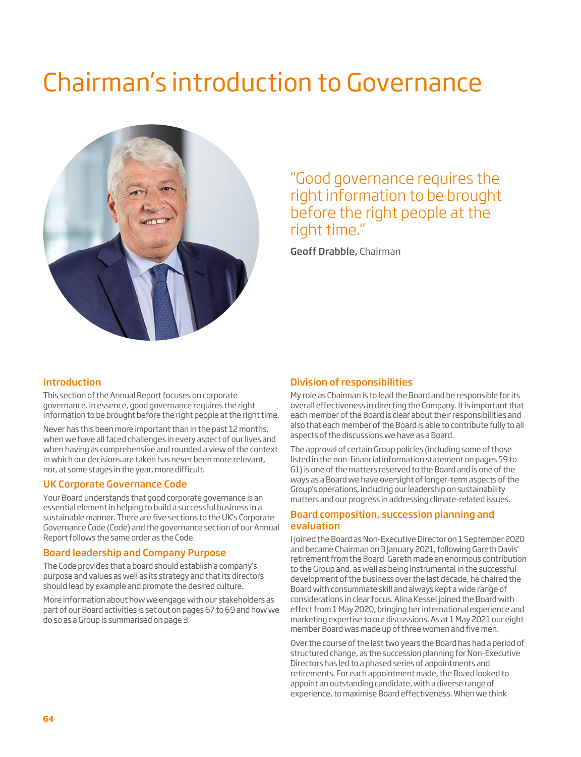# Chairman's introduction to Governance



"Good governance requires the right information to be brought before the right people at the right time."

Geoff Drabble, Chairman

#### Introduction

This section of the Annual Report focuses on corporate governance. In essence, good governance requires the right information to be brought before the right people at the right time.

Never has this been more important than in the past 12 months, when we have all faced challenges in every aspect of our lives and when having as comprehensive and rounded a view of the context in which our decisions are taken has never been more relevant, nor, at some stages in the year, more difficult.

#### UK Corporate Governance Code

Your Board understands that good corporate governance is an essential element in helping to build a successful business in a sustainable manner. There are five sections to the UK's Corporate Governance Code (Code) and the governance section of our Annual Report follows the same order as the Code.

#### Board leadership and Company Purpose

The Code provides that a board should establish a company's purpose and values as well as its strategy and that its directors should lead by example and promote the desired culture.

More information about how we engage with our stakeholders as part of our Board activities is set out on pages 67 to 69 and how we do so as a Group is summarised on page 3.

#### Division of responsibilities

My role as Chairman is to lead the Board and be responsible for its overall effectiveness in directing the Company. It is important that each member of the Board is clear about their responsibilities and also that each member of the Board is able to contribute fully to all aspects of the discussions we have as a Board.

The approval of certain Group policies (including some of those listed in the non-financial information statement on pages 59 to 61) is one of the matters reserved to the Board and is one of the ways as a Board we have oversight of longer-term aspects of the Group's operations, including our leadership on sustainability matters and our progress in addressing climate-related issues.

#### Board composition, succession planning and evaluation

I joined the Board as Non-Executive Director on 1 September 2020 and became Chairman on 3 January 2021, following Gareth Davis' retirement from the Board. Gareth made an enormous contribution to the Group and, as well as being instrumental in the successful development of the business over the last decade, he chaired the Board with consummate skill and always kept a wide range of considerations in clear focus. Alina Kessel joined the Board with effect from 1 May 2020, bringing her international experience and marketing expertise to our discussions. As at 1 May 2021 our eight member Board was made up of three women and five men.

Over the course of the last two years the Board has had a period of structured change, as the succession planning for Non-Executive Directors has led to a phased series of appointments and retirements. For each appointment made, the Board looked to appoint an outstanding candidate, with a diverse range of experience, to maximise Board effectiveness. When we think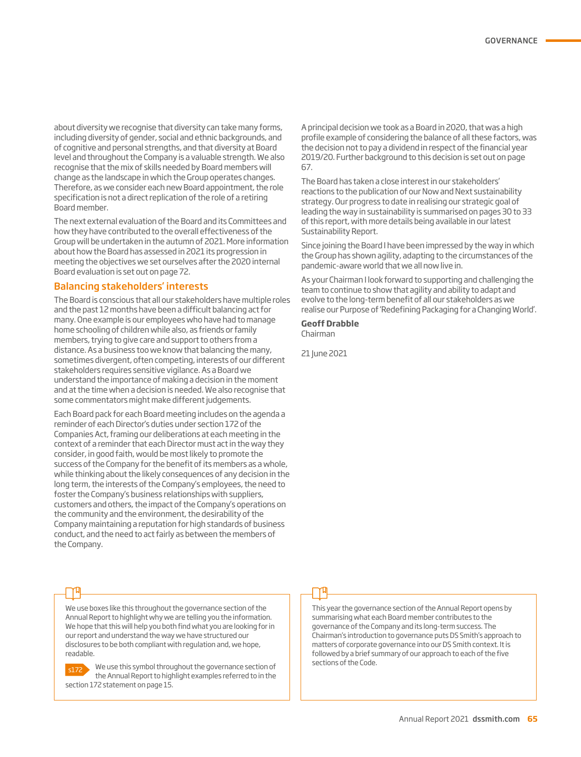about diversity we recognise that diversity can take many forms, including diversity of gender, social and ethnic backgrounds, and of cognitive and personal strengths, and that diversity at Board level and throughout the Company is a valuable strength. We also recognise that the mix of skills needed by Board members will change as the landscape in which the Group operates changes. Therefore, as we consider each new Board appointment, the role specification is not a direct replication of the role of a retiring Board member.

The next external evaluation of the Board and its Committees and how they have contributed to the overall effectiveness of the Group will be undertaken in the autumn of 2021. More information about how the Board has assessed in 2021 its progression in meeting the objectives we set ourselves after the 2020 internal Board evaluation is set out on page 72.

#### Balancing stakeholders' interests

The Board is conscious that all our stakeholders have multiple roles and the past 12 months have been a difficult balancing act for many. One example is our employees who have had to manage home schooling of children while also, as friends or family members, trying to give care and support to others from a distance. As a business too we know that balancing the many, sometimes divergent, often competing, interests of our different stakeholders requires sensitive vigilance. As a Board we understand the importance of making a decision in the moment and at the time when a decision is needed. We also recognise that some commentators might make different judgements.

Each Board pack for each Board meeting includes on the agenda a reminder of each Director's duties under section 172 of the Companies Act, framing our deliberations at each meeting in the context of a reminder that each Director must act in the way they consider, in good faith, would be most likely to promote the success of the Company for the benefit of its members as a whole, while thinking about the likely consequences of any decision in the long term, the interests of the Company's employees, the need to foster the Company's business relationships with suppliers, customers and others, the impact of the Company's operations on the community and the environment, the desirability of the Company maintaining a reputation for high standards of business conduct, and the need to act fairly as between the members of the Company.

A principal decision we took as a Board in 2020, that was a high profile example of considering the balance of all these factors, was the decision not to pay a dividend in respect of the financial year 2019/20. Further background to this decision is set out on page 67.

The Board has taken a close interest in our stakeholders' reactions to the publication of our Now and Next sustainability strategy. Our progress to date in realising our strategic goal of leading the way in sustainability is summarised on pages 30 to 33 of this report, with more details being available in our latest Sustainability Report.

Since joining the Board I have been impressed by the way in which the Group has shown agility, adapting to the circumstances of the pandemic-aware world that we all now live in.

As your Chairman I look forward to supporting and challenging the team to continue to show that agility and ability to adapt and evolve to the long-term benefit of all our stakeholders as we realise our Purpose of 'Redefining Packaging for a Changing World'.

#### **Geoff Drabble**

Chairman

21 June 2021

We use boxes like this throughout the governance section of the Annual Report to highlight why we are telling you the information. We hope that this will help you both find what you are looking for in our report and understand the way we have structured our disclosures to be both compliant with regulation and, we hope, readable.



We use this symbol throughout the governance section of the Annual Report to highlight examples referred to in the section 172 statement on page 15.

This year the governance section of the Annual Report opens by summarising what each Board member contributes to the governance of the Company and its long-term success. The Chairman's introduction to governance puts DS Smith's approach to matters of corporate governance into our DS Smith context. It is followed by a brief summary of our approach to each of the five sections of the Code.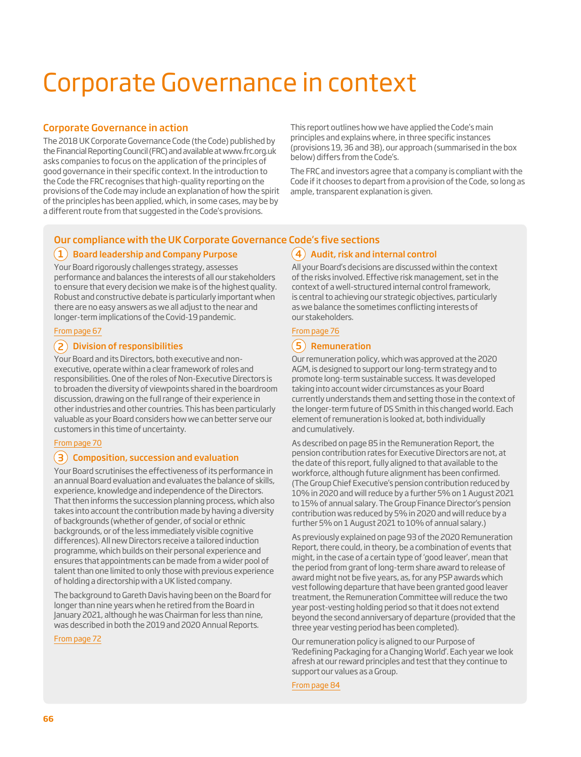# Corporate Governance in context

#### Corporate Governance in action

The 2018 UK Corporate Governance Code (the Code) published by the Financial Reporting Council (FRC) and available at www.frc.org.uk asks companies to focus on the application of the principles of good governance in their specific context. In the introduction to the Code the FRC recognises that high-quality reporting on the provisions of the Code may include an explanation of how the spirit of the principles has been applied, which, in some cases, may be by a different route from that suggested in the Code's provisions.

This report outlines how we have applied the Code's main principles and explains where, in three specific instances (provisions 19, 36 and 38), our approach (summarised in the box below) differs from the Code's.

The FRC and investors agree that a company is compliant with the Code if it chooses to depart from a provision of the Code, so long as ample, transparent explanation is given.

### Our compliance with the UK Corporate Governance Code's five sections

### $\bf(1)$  Board leadership and Company Purpose

Your Board rigorously challenges strategy, assesses performance and balances the interests of all our stakeholders to ensure that every decision we make is of the highest quality. Robust and constructive debate is particularly important when there are no easy answers as we all adjust to the near and longer-term implications of the Covid-19 pandemic.

#### From page 67

#### 2 Division of responsibilities

Your Board and its Directors, both executive and nonexecutive, operate within a clear framework of roles and responsibilities. One of the roles of Non-Executive Directors is to broaden the diversity of viewpoints shared in the boardroom discussion, drawing on the full range of their experience in other industries and other countries. This has been particularly valuable as your Board considers how we can better serve our customers in this time of uncertainty.

#### From page 70

#### $\mathbf{(3)}$  Composition, succession and evaluation

Your Board scrutinises the effectiveness of its performance in an annual Board evaluation and evaluates the balance of skills, experience, knowledge and independence of the Directors. That then informs the succession planning process, which also takes into account the contribution made by having a diversity of backgrounds (whether of gender, of social or ethnic backgrounds, or of the less immediately visible cognitive differences). All new Directors receive a tailored induction programme, which builds on their personal experience and ensures that appointments can be made from a wider pool of talent than one limited to only those with previous experience of holding a directorship with a UK listed company.

The background to Gareth Davis having been on the Board for longer than nine years when he retired from the Board in January 2021, although he was Chairman for less than nine, was described in both the 2019 and 2020 Annual Reports.

#### From page 72

All your Board's decisions are discussed within the context of the risks involved. Effective risk management, set in the context of a well-structured internal control framework, is central to achieving our strategic objectives, particularly as we balance the sometimes conflicting interests of our stakeholders.

 $(4)$  Audit, risk and internal control

#### From page 76

### 5) Remuneration

Our remuneration policy, which was approved at the 2020 AGM, is designed to support our long-term strategy and to promote long-term sustainable success. It was developed taking into account wider circumstances as your Board currently understands them and setting those in the context of the longer-term future of DS Smith in this changed world. Each element of remuneration is looked at, both individually and cumulatively.

As described on page 85 in the Remuneration Report, the pension contribution rates for Executive Directors are not, at the date of this report, fully aligned to that available to the workforce, although future alignment has been confirmed. (The Group Chief Executive's pension contribution reduced by 10% in 2020 and will reduce by a further 5% on 1 August 2021 to 15% of annual salary. The Group Finance Director's pension contribution was reduced by 5% in 2020 and will reduce by a further 5% on 1 August 2021 to 10% of annual salary.)

As previously explained on page 93 of the 2020 Remuneration Report, there could, in theory, be a combination of events that might, in the case of a certain type of 'good leaver', mean that the period from grant of long-term share award to release of award might not be five years, as, for any PSP awards which vest following departure that have been granted good leaver treatment, the Remuneration Committee will reduce the two year post-vesting holding period so that it does not extend beyond the second anniversary of departure (provided that the three year vesting period has been completed).

Our remuneration policy is aligned to our Purpose of 'Redefining Packaging for a Changing World'. Each year we look afresh at our reward principles and test that they continue to support our values as a Group.

From page 84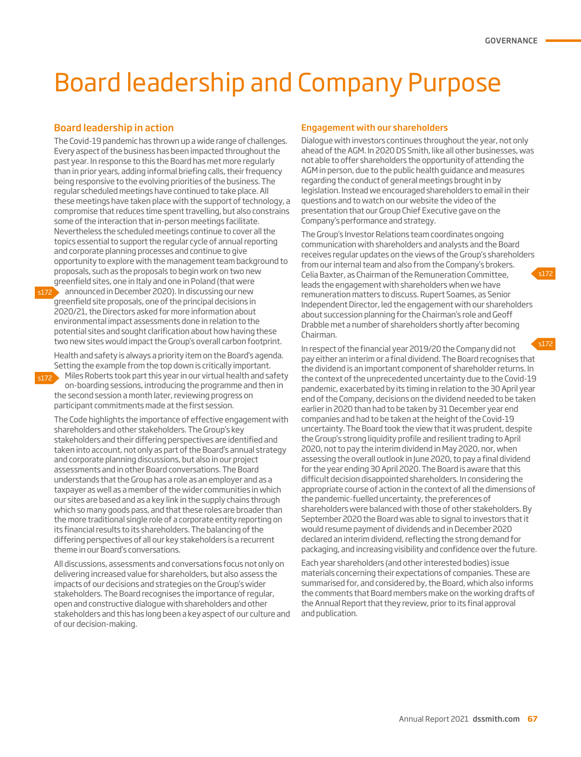# Board leadership and Company Purpose

#### Board leadership in action

s172

The Covid-19 pandemic has thrown up a wide range of challenges. Every aspect of the business has been impacted throughout the past year. In response to this the Board has met more regularly than in prior years, adding informal briefing calls, their frequency being responsive to the evolving priorities of the business. The regular scheduled meetings have continued to take place. All these meetings have taken place with the support of technology, a compromise that reduces time spent travelling, but also constrains some of the interaction that in-person meetings facilitate. Nevertheless the scheduled meetings continue to cover all the topics essential to support the regular cycle of annual reporting and corporate planning processes and continue to give opportunity to explore with the management team background to proposals, such as the proposals to begin work on two new greenfield sites, one in Italy and one in Poland (that were

 $\frac{1}{2}$  announced in December 2020). In discussing our new greenfield site proposals, one of the principal decisions in 2020/21, the Directors asked for more information about environmental impact assessments done in relation to the potential sites and sought clarification about how having these two new sites would impact the Group's overall carbon footprint.

Health and safety is always a priority item on the Board's agenda. Setting the example from the top down is critically important.

Miles Roberts took part this year in our virtual health and safety on-boarding sessions, introducing the programme and then in the second session a month later, reviewing progress on participant commitments made at the first session.

The Code highlights the importance of effective engagement with shareholders and other stakeholders. The Group's key stakeholders and their differing perspectives are identified and taken into account, not only as part of the Board's annual strategy and corporate planning discussions, but also in our project assessments and in other Board conversations. The Board understands that the Group has a role as an employer and as a taxpayer as well as a member of the wider communities in which our sites are based and as a key link in the supply chains through which so many goods pass, and that these roles are broader than the more traditional single role of a corporate entity reporting on its financial results to its shareholders. The balancing of the differing perspectives of all our key stakeholders is a recurrent theme in our Board's conversations.

All discussions, assessments and conversations focus not only on delivering increased value for shareholders, but also assess the impacts of our decisions and strategies on the Group's wider stakeholders. The Board recognises the importance of regular, open and constructive dialogue with shareholders and other stakeholders and this has long been a key aspect of our culture and of our decision-making.

#### Engagement with our shareholders

Dialogue with investors continues throughout the year, not only ahead of the AGM. In 2020 DS Smith, like all other businesses, was not able to offer shareholders the opportunity of attending the AGM in person, due to the public health guidance and measures regarding the conduct of general meetings brought in by legislation. Instead we encouraged shareholders to email in their questions and to watch on our website the video of the presentation that our Group Chief Executive gave on the Company's performance and strategy.

The Group's Investor Relations team coordinates ongoing communication with shareholders and analysts and the Board receives regular updates on the views of the Group's shareholders from our internal team and also from the Company's brokers. Celia Baxter, as Chairman of the Remuneration Committee, leads the engagement with shareholders when we have remuneration matters to discuss. Rupert Soames, as Senior Independent Director, led the engagement with our shareholders about succession planning for the Chairman's role and Geoff Drabble met a number of shareholders shortly after becoming Chairman.

In respect of the financial year 2019/20 the Company did not pay either an interim or a final dividend. The Board recognises that the dividend is an important component of shareholder returns. In the context of the unprecedented uncertainty due to the Covid-19 pandemic, exacerbated by its timing in relation to the 30 April year end of the Company, decisions on the dividend needed to be taken earlier in 2020 than had to be taken by 31 December year end companies and had to be taken at the height of the Covid-19 uncertainty. The Board took the view that it was prudent, despite the Group's strong liquidity profile and resilient trading to April 2020, not to pay the interim dividend in May 2020, nor, when assessing the overall outlook in June 2020, to pay a final dividend for the year ending 30 April 2020. The Board is aware that this difficult decision disappointed shareholders. In considering the appropriate course of action in the context of all the dimensions of the pandemic-fuelled uncertainty, the preferences of shareholders were balanced with those of other stakeholders. By September 2020 the Board was able to signal to investors that it would resume payment of dividends and in December 2020 declared an interim dividend, reflecting the strong demand for packaging, and increasing visibility and confidence over the future. s172

Each year shareholders (and other interested bodies) issue materials concerning their expectations of companies. These are summarised for, and considered by, the Board, which also informs the comments that Board members make on the working drafts of the Annual Report that they review, prior to its final approval and publication.

c172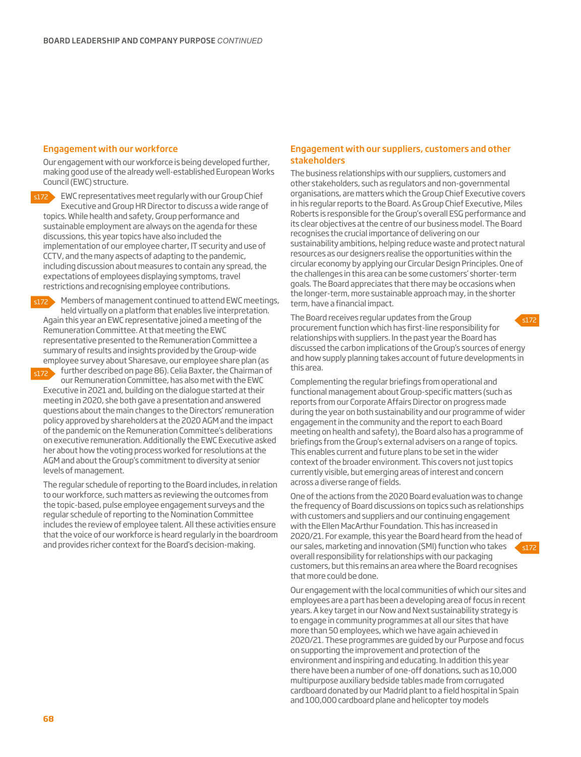#### Engagement with our workforce

Our engagement with our workforce is being developed further, making good use of the already well-established European Works Council (EWC) structure.

s172

EWC representatives meet regularly with our Group Chief Executive and Group HR Director to discuss a wide range of topics. While health and safety, Group performance and sustainable employment are always on the agenda for these discussions, this year topics have also included the implementation of our employee charter, IT security and use of CCTV, and the many aspects of adapting to the pandemic, including discussion about measures to contain any spread, the expectations of employees displaying symptoms, travel restrictions and recognising employee contributions.

s172

Members of management continued to attend EWC meetings, held virtually on a platform that enables live interpretation. Again this year an EWC representative joined a meeting of the Remuneration Committee. At that meeting the EWC representative presented to the Remuneration Committee a summary of results and insights provided by the Group-wide employee survey about Sharesave, our employee share plan (as further described on page 86). Celia Baxter, the Chairman of

s172

our Remuneration Committee, has also met with the EWC Executive in 2021 and, building on the dialogue started at their meeting in 2020, she both gave a presentation and answered questions about the main changes to the Directors' remuneration policy approved by shareholders at the 2020 AGM and the impact of the pandemic on the Remuneration Committee's deliberations on executive remuneration. Additionally the EWC Executive asked her about how the voting process worked for resolutions at the AGM and about the Group's commitment to diversity at senior levels of management.

The regular schedule of reporting to the Board includes, in relation to our workforce, such matters as reviewing the outcomes from the topic-based, pulse employee engagement surveys and the regular schedule of reporting to the Nomination Committee includes the review of employee talent. All these activities ensure that the voice of our workforce is heard regularly in the boardroom and provides richer context for the Board's decision-making.

#### Engagement with our suppliers, customers and other stakeholders

The business relationships with our suppliers, customers and other stakeholders, such as regulators and non-governmental organisations, are matters which the Group Chief Executive covers in his regular reports to the Board. As Group Chief Executive, Miles Roberts is responsible for the Group's overall ESG performance and its clear objectives at the centre of our business model. The Board recognises the crucial importance of delivering on our sustainability ambitions, helping reduce waste and protect natural resources as our designers realise the opportunities within the circular economy by applying our Circular Design Principles. One of the challenges in this area can be some customers' shorter-term goals. The Board appreciates that there may be occasions when the longer-term, more sustainable approach may, in the shorter term, have a financial impact.

s172 The Board receives regular updates from the Group procurement function which has first-line responsibility for relationships with suppliers. In the past year the Board has discussed the carbon implications of the Group's sources of energy and how supply planning takes account of future developments in this area.

Complementing the regular briefings from operational and functional management about Group-specific matters (such as reports from our Corporate Affairs Director on progress made during the year on both sustainability and our programme of wider engagement in the community and the report to each Board meeting on health and safety), the Board also has a programme of briefings from the Group's external advisers on a range of topics. This enables current and future plans to be set in the wider context of the broader environment. This covers not just topics currently visible, but emerging areas of interest and concern across a diverse range of fields.

s172 One of the actions from the 2020 Board evaluation was to change the frequency of Board discussions on topics such as relationships with customers and suppliers and our continuing engagement with the Ellen MacArthur Foundation. This has increased in 2020/21. For example, this year the Board heard from the head of our sales, marketing and innovation (SMI) function who takes overall responsibility for relationships with our packaging customers, but this remains an area where the Board recognises that more could be done.

Our engagement with the local communities of which our sites and employees are a part has been a developing area of focus in recent years. A key target in our Now and Next sustainability strategy is to engage in community programmes at all our sites that have more than 50 employees, which we have again achieved in 2020/21. These programmes are guided by our Purpose and focus on supporting the improvement and protection of the environment and inspiring and educating. In addition this year there have been a number of one-off donations, such as 10,000 multipurpose auxiliary bedside tables made from corrugated cardboard donated by our Madrid plant to a field hospital in Spain and 100,000 cardboard plane and helicopter toy models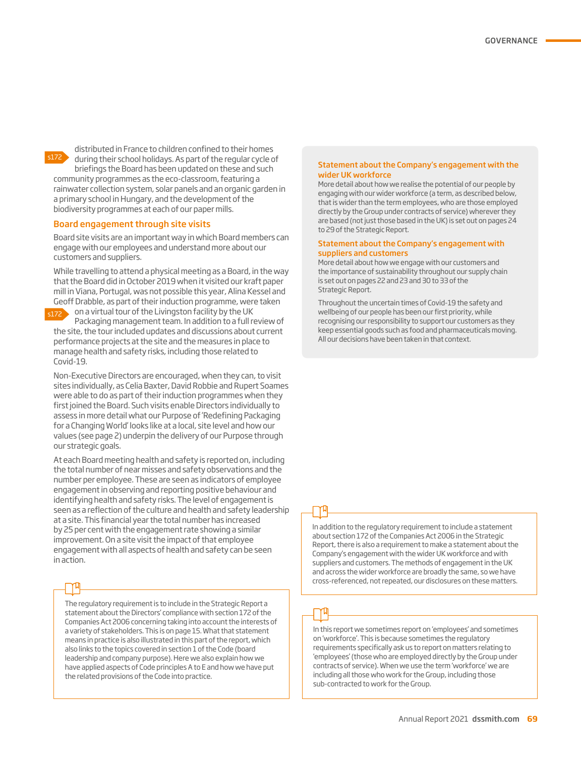

distributed in France to children confined to their homes during their school holidays. As part of the regular cycle of briefings the Board has been updated on these and such community programmes as the eco-classroom, featuring a rainwater collection system, solar panels and an organic garden in

a primary school in Hungary, and the development of the biodiversity programmes at each of our paper mills.

#### Board engagement through site visits

Board site visits are an important way in which Board members can engage with our employees and understand more about our customers and suppliers.

While travelling to attend a physical meeting as a Board, in the way that the Board did in October 2019 when it visited our kraft paper mill in Viana, Portugal, was not possible this year, Alina Kessel and Geoff Drabble, as part of their induction programme, were taken

on a virtual tour of the Livingston facility by the UK Packaging management team. In addition to a full review of the site, the tour included updates and discussions about current performance projects at the site and the measures in place to manage health and safety risks, including those related to Covid-19. s172

Non-Executive Directors are encouraged, when they can, to visit sites individually, as Celia Baxter, David Robbie and Rupert Soames were able to do as part of their induction programmes when they first joined the Board. Such visits enable Directors individually to assess in more detail what our Purpose of 'Redefining Packaging for a Changing World' looks like at a local, site level and how our values (see page 2) underpin the delivery of our Purpose through our strategic goals.

At each Board meeting health and safety is reported on, including the total number of near misses and safety observations and the number per employee. These are seen as indicators of employee engagement in observing and reporting positive behaviour and identifying health and safety risks. The level of engagement is seen as a reflection of the culture and health and safety leadership at a site. This financial year the total number has increased by 25 per cent with the engagement rate showing a similar improvement. On a site visit the impact of that employee engagement with all aspects of health and safety can be seen in action.

The regulatory requirement is to include in the Strategic Report a statement about the Directors' compliance with section 172 of the Companies Act 2006 concerning taking into account the interests of a variety of stakeholders. This is on page 15. What that statement means in practice is also illustrated in this part of the report, which also links to the topics covered in section 1 of the Code (board leadership and company purpose). Here we also explain how we have applied aspects of Code principles A to E and how we have put the related provisions of the Code into practice.

#### Statement about the Company's engagement with the wider UK workforce

More detail about how we realise the potential of our people by engaging with our wider workforce (a term, as described below, that is wider than the term employees, who are those employed directly by the Group under contracts of service) wherever they are based (not just those based in the UK) is set out on pages 24 to 29 of the Strategic Report.

#### Statement about the Company's engagement with suppliers and customers

More detail about how we engage with our customers and the importance of sustainability throughout our supply chain is set out on pages 22 and 23 and 30 to 33 of the Strategic Report.

Throughout the uncertain times of Covid-19 the safety and wellbeing of our people has been our first priority, while recognising our responsibility to support our customers as they keep essential goods such as food and pharmaceuticals moving. All our decisions have been taken in that context.

In addition to the regulatory requirement to include a statement about section 172 of the Companies Act 2006 in the Strategic Report, there is also a requirement to make a statement about the Company's engagement with the wider UK workforce and with suppliers and customers. The methods of engagement in the UK and across the wider workforce are broadly the same, so we have cross-referenced, not repeated, our disclosures on these matters.

In this report we sometimes report on 'employees' and sometimes on 'workforce'. This is because sometimes the regulatory requirements specifically ask us to report on matters relating to 'employees' (those who are employed directly by the Group under contracts of service). When we use the term 'workforce' we are including all those who work for the Group, including those sub-contracted to work for the Group.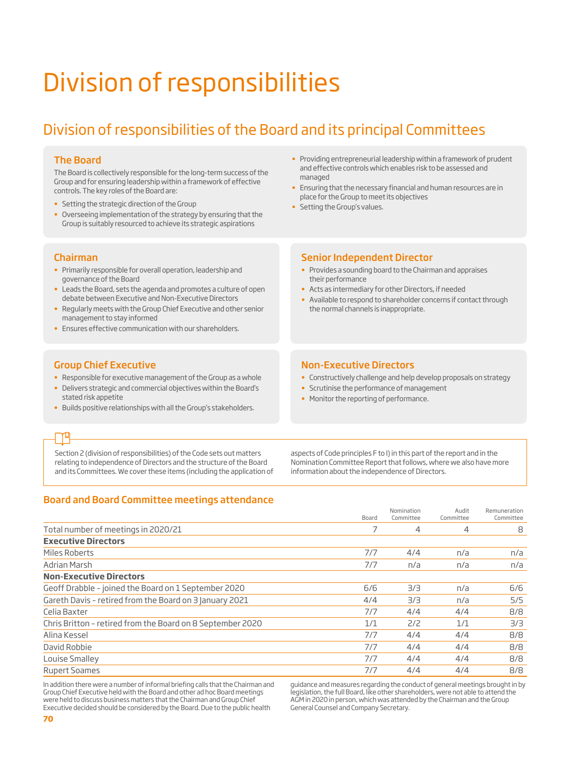# Division of responsibilities

# Division of responsibilities of the Board and its principal Committees

#### The Board

The Board is collectively responsible for the long-term success of the Group and for ensuring leadership within a framework of effective controls. The key roles of the Board are:

- Setting the strategic direction of the Group
- Overseeing implementation of the strategy by ensuring that the Group is suitably resourced to achieve its strategic aspirations

#### Chairman

- Primarily responsible for overall operation, leadership and governance of the Board
- Leads the Board, sets the agenda and promotes a culture of open debate between Executive and Non-Executive Directors
- Regularly meets with the Group Chief Executive and other senior management to stay informed
- Ensures effective communication with our shareholders.

#### Group Chief Executive

- Responsible for executive management of the Group as a whole
- Delivers strategic and commercial objectives within the Board's stated risk appetite
- Builds positive relationships with all the Group's stakeholders.
- Providing entrepreneurial leadership within a framework of prudent and effective controls which enables risk to be assessed and managed
- Ensuring that the necessary financial and human resources are in place for the Group to meet its objectives
- Setting the Group's values.

#### Senior Independent Director

- Provides a sounding board to the Chairman and appraises their performance
- Acts as intermediary for other Directors, if needed
- Available to respond to shareholder concerns if contact through the normal channels is inappropriate.

#### Non-Executive Directors

- Constructively challenge and help develop proposals on strategy
- Scrutinise the performance of management
- Monitor the reporting of performance.

## ገጣ

Section 2 (division of responsibilities) of the Code sets out matters relating to independence of Directors and the structure of the Board and its Committees. We cover these items (including the application of

aspects of Code principles F to I) in this part of the report and in the Nomination Committee Report that follows, where we also have more information about the independence of Directors.

#### Board and Board Committee meetings attendance

|                                                            | Board | Nomination<br>Committee | Audit<br>Committee | Remuneration<br>Committee |
|------------------------------------------------------------|-------|-------------------------|--------------------|---------------------------|
| Total number of meetings in 2020/21                        |       | 4                       | 4                  | 8                         |
| <b>Executive Directors</b>                                 |       |                         |                    |                           |
| Miles Roberts                                              | 7/7   | 4/4                     | n/a                | n/a                       |
| Adrian Marsh                                               | 7/7   | n/a                     | n/a                | n/a                       |
| <b>Non-Executive Directors</b>                             |       |                         |                    |                           |
| Geoff Drabble - joined the Board on 1 September 2020       | 6/6   | 3/3                     | n/a                | 6/6                       |
| Gareth Davis - retired from the Board on 3 January 2021    | 4/4   | 3/3                     | n/a                | 5/5                       |
| Celia Baxter                                               | 7/7   | 4/4                     | 4/4                | 8/8                       |
| Chris Britton - retired from the Board on 8 September 2020 | 1/1   | 2/2                     | 1/1                | 3/3                       |
| Alina Kessel                                               | 7/7   | 4/4                     | 4/4                | 8/8                       |
| David Robbie                                               | 7/7   | 4/4                     | 4/4                | 8/8                       |
| Louise Smalley                                             | 7/7   | 4/4                     | 4/4                | 8/8                       |
| <b>Rupert Soames</b>                                       | 7/7   | 4/4                     | 4/4                | 8/8                       |

In addition there were a number of informal briefing calls that the Chairman and Group Chief Executive held with the Board and other ad hoc Board meetings were held to discuss business matters that the Chairman and Group Chief Executive decided should be considered by the Board. Due to the public health

guidance and measures regarding the conduct of general meetings brought in by legislation, the full Board, like other shareholders, were not able to attend the AGM in 2020 in person, which was attended by the Chairman and the Group General Counsel and Company Secretary.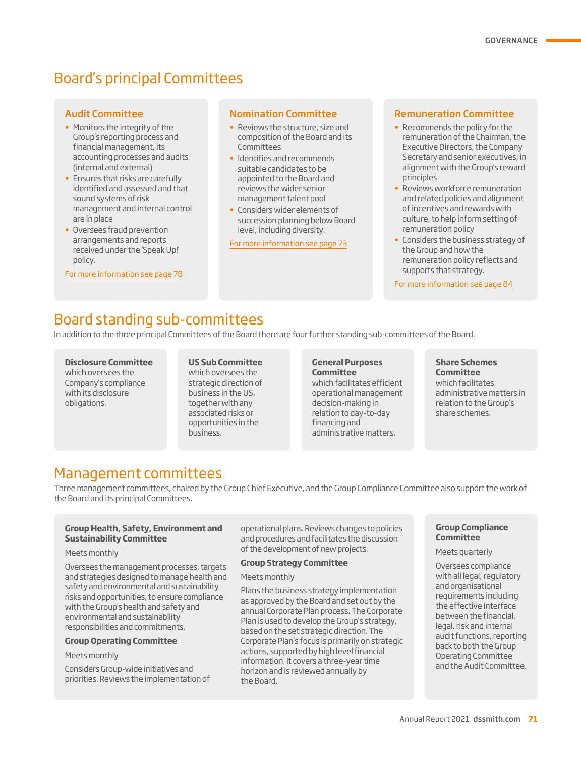# Board's principal Committees

#### Audit Committee

- Monitors the integrity of the Group's reporting process and financial management, its accounting processes and audits (internal and external)
- Ensures that risks are carefully identified and assessed and that sound systems of risk management and internal control are in place
- Oversees fraud prevention arrangements and reports received under the 'Speak Up!' policy.

For more information see page 78

#### Nomination Committee

- Reviews the structure, size and composition of the Board and its Committees
- Identifies and recommends suitable candidates to be appointed to the Board and reviews the wider senior management talent pool
- Considers wider elements of succession planning below Board level, including diversity.

For more information see page 73

#### Remuneration Committee

- Recommends the policy for the remuneration of the Chairman, the Executive Directors, the Company Secretary and senior executives, in alignment with the Group's reward principles
- Reviews workforce remuneration and related policies and alignment of incentives and rewards with culture, to help inform setting of remuneration policy
- Considers the business strategy of the Group and how the remuneration policy reflects and supports that strategy.

For more information see page 84

# Board standing sub-committees

In addition to the three principal Committees of the Board there are four further standing sub-committees of the Board.

#### **Disclosure Committee**  which oversees the Company's compliance with its disclosure obligations.

#### **US Sub Committee** which oversees the

strategic direction of business in the US, together with any associated risks or opportunities in the business.

#### **General Purposes Committee**

which facilitates efficient operational management decision-making in relation to day-to-day financing and administrative matters.

**Share Schemes Committee** which facilitates administrative matters in relation to the Group's share schemes.

## Management committees

Three management committees, chaired by the Group Chief Executive, and the Group Compliance Committee also support the work of the Board and its principal Committees.

#### **Group Health, Safety, Environment and Sustainability Committee**

#### Meets monthly

Oversees the management processes, targets and strategies designed to manage health and safety and environmental and sustainability risks and opportunities, to ensure compliance with the Group's health and safety and environmental and sustainability responsibilities and commitments.

#### **Group Operating Committee**

#### Meets monthly

Considers Group-wide initiatives and priorities. Reviews the implementation of operational plans. Reviews changes to policies and procedures and facilitates the discussion of the development of new projects.

#### **Group Strategy Committee**

#### Meets monthly

Plans the business strategy implementation as approved by the Board and set out by the annual Corporate Plan process. The Corporate Plan is used to develop the Group's strategy, based on the set strategic direction. The Corporate Plan's focus is primarily on strategic actions, supported by high level financial information. It covers a three-year time horizon and is reviewed annually by the Board.

#### **Group Compliance Committee**

Meets quarterly

Oversees compliance with all legal, regulatory and organisational requirements including the effective interface between the financial, legal, risk and internal audit functions, reporting back to both the Group Operating Committee and the Audit Committee.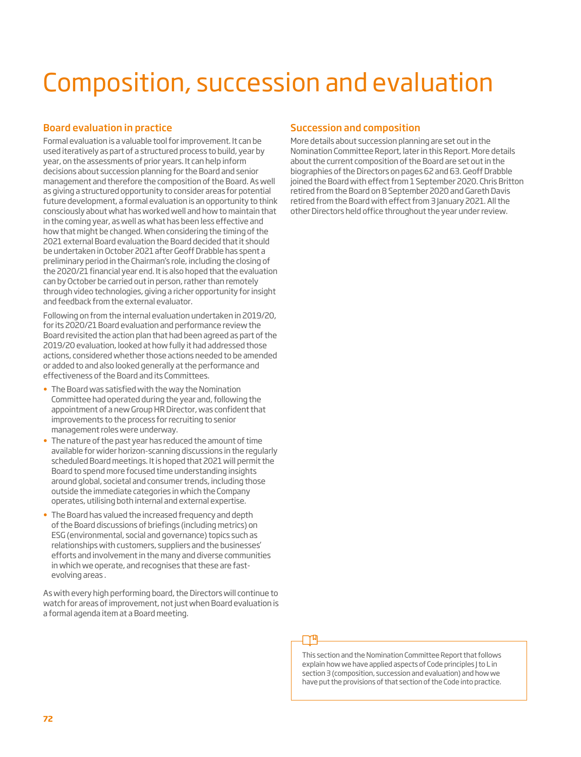# Composition, succession and evaluation

#### Board evaluation in practice

Formal evaluation is a valuable tool for improvement. It can be used iteratively as part of a structured process to build, year by year, on the assessments of prior years. It can help inform decisions about succession planning for the Board and senior management and therefore the composition of the Board. As well as giving a structured opportunity to consider areas for potential future development, a formal evaluation is an opportunity to think consciously about what has worked well and how to maintain that in the coming year, as well as what has been less effective and how that might be changed. When considering the timing of the 2021 external Board evaluation the Board decided that it should be undertaken in October 2021 after Geoff Drabble has spent a preliminary period in the Chairman's role, including the closing of the 2020/21 financial year end. It is also hoped that the evaluation can by October be carried out in person, rather than remotely through video technologies, giving a richer opportunity for insight and feedback from the external evaluator.

Following on from the internal evaluation undertaken in 2019/20, for its 2020/21 Board evaluation and performance review the Board revisited the action plan that had been agreed as part of the 2019/20 evaluation, looked at how fully it had addressed those actions, considered whether those actions needed to be amended or added to and also looked generally at the performance and effectiveness of the Board and its Committees.

- The Board was satisfied with the way the Nomination Committee had operated during the year and, following the appointment of a new Group HR Director, was confident that improvements to the process for recruiting to senior management roles were underway.
- The nature of the past year has reduced the amount of time available for wider horizon-scanning discussions in the regularly scheduled Board meetings. It is hoped that 2021 will permit the Board to spend more focused time understanding insights around global, societal and consumer trends, including those outside the immediate categories in which the Company operates, utilising both internal and external expertise.
- The Board has valued the increased frequency and depth of the Board discussions of briefings (including metrics) on ESG (environmental, social and governance) topics such as relationships with customers, suppliers and the businesses' efforts and involvement in the many and diverse communities in which we operate, and recognises that these are fastevolving areas .

As with every high performing board, the Directors will continue to watch for areas of improvement, not just when Board evaluation is a formal agenda item at a Board meeting.

#### Succession and composition

More details about succession planning are set out in the Nomination Committee Report, later in this Report. More details about the current composition of the Board are set out in the biographies of the Directors on pages 62 and 63. Geoff Drabble joined the Board with effect from 1 September 2020. Chris Britton retired from the Board on 8 September 2020 and Gareth Davis retired from the Board with effect from 3 January 2021. All the other Directors held office throughout the year under review.

This section and the Nomination Committee Report that follows explain how we have applied aspects of Code principles I to L in section 3 (composition, succession and evaluation) and how we have put the provisions of that section of the Code into practice.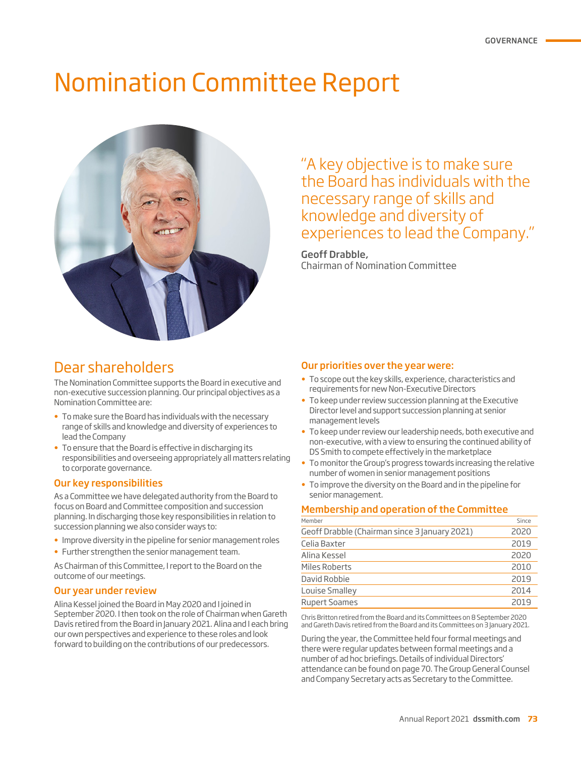# Nomination Committee Report



"A key objective is to make sure the Board has individuals with the necessary range of skills and knowledge and diversity of experiences to lead the Company."

Geoff Drabble, Chairman of Nomination Committee

## Dear shareholders

The Nomination Committee supports the Board in executive and non-executive succession planning. Our principal objectives as a Nomination Committee are:

- To make sure the Board has individuals with the necessary range of skills and knowledge and diversity of experiences to lead the Company
- To ensure that the Board is effective in discharging its responsibilities and overseeing appropriately all matters relating to corporate governance.

### Our key responsibilities

As a Committee we have delegated authority from the Board to focus on Board and Committee composition and succession planning. In discharging those key responsibilities in relation to succession planning we also consider ways to:

- Improve diversity in the pipeline for senior management roles
- Further strengthen the senior management team.

As Chairman of this Committee, I report to the Board on the outcome of our meetings.

#### Our year under review

Alina Kessel joined the Board in May 2020 and I joined in September 2020. I then took on the role of Chairman when Gareth Davis retired from the Board in January 2021. Alina and I each bring our own perspectives and experience to these roles and look forward to building on the contributions of our predecessors.

#### Our priorities over the year were:

- To scope out the key skills, experience, characteristics and requirements for new Non-Executive Directors
- To keep under review succession planning at the Executive Director level and support succession planning at senior management levels
- To keep under review our leadership needs, both executive and non-executive, with a view to ensuring the continued ability of DS Smith to compete effectively in the marketplace
- To monitor the Group's progress towards increasing the relative number of women in senior management positions
- To improve the diversity on the Board and in the pipeline for senior management.

#### Membership and operation of the Committee

| Member                                        | Since |
|-----------------------------------------------|-------|
| Geoff Drabble (Chairman since 3 January 2021) | 2020  |
| Celia Baxter                                  | 2019  |
| Alina Kessel                                  | 2020  |
| Miles Roberts                                 | 2010  |
| David Robbie                                  | 2019  |
| Louise Smalley                                | 2014  |
| <b>Rupert Soames</b>                          | 2019  |

Chris Britton retired from the Board and its Committees on 8 September 2020 and Gareth Davis retired from the Board and its Committees on 3 January 2021.

During the year, the Committee held four formal meetings and there were regular updates between formal meetings and a number of ad hoc briefings. Details of individual Directors' attendance can be found on page 70. The Group General Counsel and Company Secretary acts as Secretary to the Committee.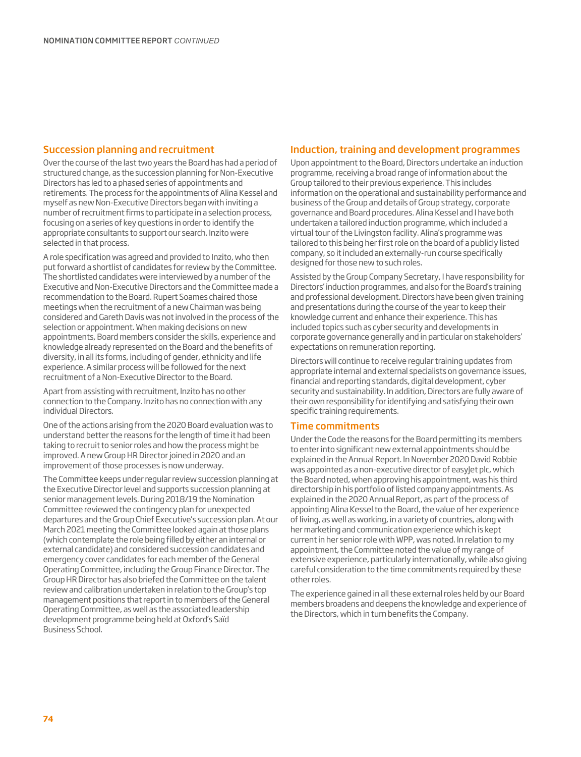#### Succession planning and recruitment

Over the course of the last two years the Board has had a period of structured change, as the succession planning for Non-Executive Directors has led to a phased series of appointments and retirements. The process for the appointments of Alina Kessel and myself as new Non-Executive Directors began with inviting a number of recruitment firms to participate in a selection process, focusing on a series of key questions in order to identify the appropriate consultants to support our search. Inzito were selected in that process.

A role specification was agreed and provided to Inzito, who then put forward a shortlist of candidates for review by the Committee. The shortlisted candidates were interviewed by a number of the Executive and Non-Executive Directors and the Committee made a recommendation to the Board. Rupert Soames chaired those meetings when the recruitment of a new Chairman was being considered and Gareth Davis was not involved in the process of the selection or appointment. When making decisions on new appointments, Board members consider the skills, experience and knowledge already represented on the Board and the benefits of diversity, in all its forms, including of gender, ethnicity and life experience. A similar process will be followed for the next recruitment of a Non-Executive Director to the Board.

Apart from assisting with recruitment, Inzito has no other connection to the Company. Inzito has no connection with any individual Directors.

One of the actions arising from the 2020 Board evaluation was to understand better the reasons for the length of time it had been taking to recruit to senior roles and how the process might be improved. A new Group HR Director joined in 2020 and an improvement of those processes is now underway.

The Committee keeps under regular review succession planning at the Executive Director level and supports succession planning at senior management levels. During 2018/19 the Nomination Committee reviewed the contingency plan for unexpected departures and the Group Chief Executive's succession plan. At our March 2021 meeting the Committee looked again at those plans (which contemplate the role being filled by either an internal or external candidate) and considered succession candidates and emergency cover candidates for each member of the General Operating Committee, including the Group Finance Director. The Group HR Director has also briefed the Committee on the talent review and calibration undertaken in relation to the Group's top management positions that report in to members of the General Operating Committee, as well as the associated leadership development programme being held at Oxford's Saïd Business School.

#### Induction, training and development programmes

Upon appointment to the Board, Directors undertake an induction programme, receiving a broad range of information about the Group tailored to their previous experience. This includes information on the operational and sustainability performance and business of the Group and details of Group strategy, corporate governance and Board procedures. Alina Kessel and I have both undertaken a tailored induction programme, which included a virtual tour of the Livingston facility. Alina's programme was tailored to this being her first role on the board of a publicly listed company, so it included an externally-run course specifically designed for those new to such roles.

Assisted by the Group Company Secretary, I have responsibility for Directors' induction programmes, and also for the Board's training and professional development. Directors have been given training and presentations during the course of the year to keep their knowledge current and enhance their experience. This has included topics such as cyber security and developments in corporate governance generally and in particular on stakeholders' expectations on remuneration reporting.

Directors will continue to receive regular training updates from appropriate internal and external specialists on governance issues, financial and reporting standards, digital development, cyber security and sustainability. In addition, Directors are fully aware of their own responsibility for identifying and satisfying their own specific training requirements.

#### Time commitments

Under the Code the reasons for the Board permitting its members to enter into significant new external appointments should be explained in the Annual Report. In November 2020 David Robbie was appointed as a non-executive director of easylet plc, which the Board noted, when approving his appointment, was his third directorship in his portfolio of listed company appointments. As explained in the 2020 Annual Report, as part of the process of appointing Alina Kessel to the Board, the value of her experience of living, as well as working, in a variety of countries, along with her marketing and communication experience which is kept current in her senior role with WPP, was noted. In relation to my appointment, the Committee noted the value of my range of extensive experience, particularly internationally, while also giving careful consideration to the time commitments required by these other roles.

The experience gained in all these external roles held by our Board members broadens and deepens the knowledge and experience of the Directors, which in turn benefits the Company.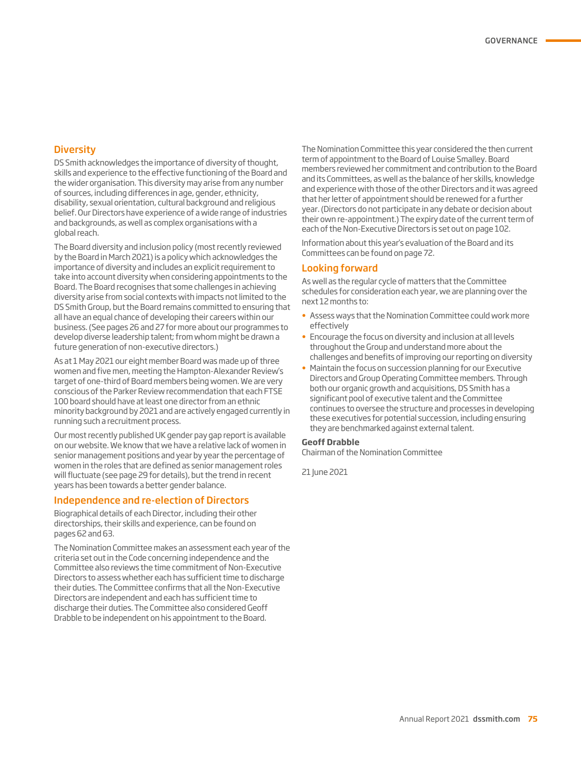#### **Diversity**

DS Smith acknowledges the importance of diversity of thought, skills and experience to the effective functioning of the Board and the wider organisation. This diversity may arise from any number of sources, including differences in age, gender, ethnicity, disability, sexual orientation, cultural background and religious belief. Our Directors have experience of a wide range of industries and backgrounds, as well as complex organisations with a global reach.

The Board diversity and inclusion policy (most recently reviewed by the Board in March 2021) is a policy which acknowledges the importance of diversity and includes an explicit requirement to take into account diversity when considering appointments to the Board. The Board recognises that some challenges in achieving diversity arise from social contexts with impacts not limited to the DS Smith Group, but the Board remains committed to ensuring that all have an equal chance of developing their careers within our business. (See pages 26 and 27 for more about our programmes to develop diverse leadership talent; from whom might be drawn a future generation of non-executive directors.)

As at 1 May 2021 our eight member Board was made up of three women and five men, meeting the Hampton-Alexander Review's target of one-third of Board members being women. We are very conscious of the Parker Review recommendation that each FTSE 100 board should have at least one director from an ethnic minority background by 2021 and are actively engaged currently in running such a recruitment process.

Our most recently published UK gender pay gap report is available on our website. We know that we have a relative lack of women in senior management positions and year by year the percentage of women in the roles that are defined as senior management roles will fluctuate (see page 29 for details), but the trend in recent years has been towards a better gender balance.

#### Independence and re-election of Directors

Biographical details of each Director, including their other directorships, their skills and experience, can be found on pages 62 and 63.

The Nomination Committee makes an assessment each year of the criteria set out in the Code concerning independence and the Committee also reviews the time commitment of Non-Executive Directors to assess whether each has sufficient time to discharge their duties. The Committee confirms that all the Non-Executive Directors are independent and each has sufficient time to discharge their duties. The Committee also considered Geoff Drabble to be independent on his appointment to the Board.

The Nomination Committee this year considered the then current term of appointment to the Board of Louise Smalley. Board members reviewed her commitment and contribution to the Board and its Committees, as well as the balance of her skills, knowledge and experience with those of the other Directors and it was agreed that her letter of appointment should be renewed for a further year. (Directors do not participate in any debate or decision about their own re-appointment.) The expiry date of the current term of each of the Non-Executive Directors is set out on page 102.

Information about this year's evaluation of the Board and its Committees can be found on page 72.

#### Looking forward

As well as the regular cycle of matters that the Committee schedules for consideration each year, we are planning over the next 12 months to:

- Assess ways that the Nomination Committee could work more effectively
- Encourage the focus on diversity and inclusion at all levels throughout the Group and understand more about the challenges and benefits of improving our reporting on diversity
- Maintain the focus on succession planning for our Executive Directors and Group Operating Committee members. Through both our organic growth and acquisitions, DS Smith has a significant pool of executive talent and the Committee continues to oversee the structure and processes in developing these executives for potential succession, including ensuring they are benchmarked against external talent.

#### **Geoff Drabble**

Chairman of the Nomination Committee

21 June 2021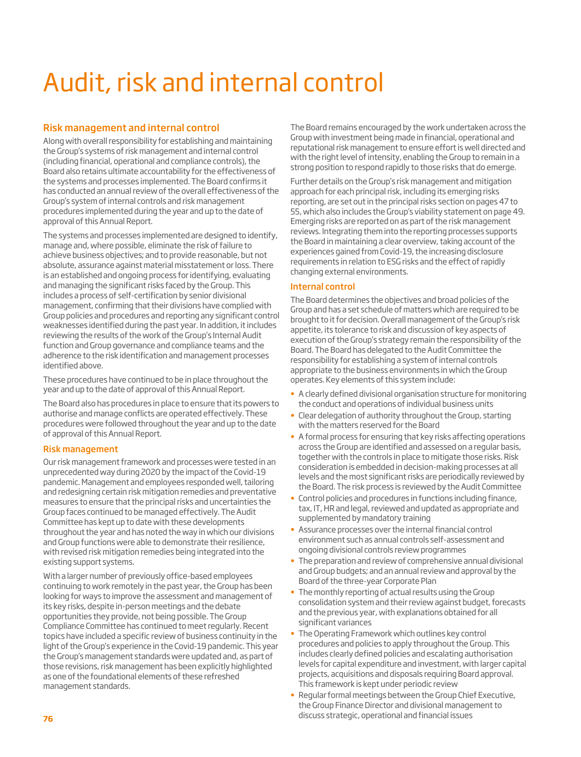# Audit, risk and internal control

### Risk management and internal control

Along with overall responsibility for establishing and maintaining the Group's systems of risk management and internal control (including financial, operational and compliance controls), the Board also retains ultimate accountability for the effectiveness of the systems and processes implemented. The Board confirms it has conducted an annual review of the overall effectiveness of the Group's system of internal controls and risk management procedures implemented during the year and up to the date of approval of this Annual Report.

The systems and processes implemented are designed to identify, manage and, where possible, eliminate the risk of failure to achieve business objectives; and to provide reasonable, but not absolute, assurance against material misstatement or loss. There is an established and ongoing process for identifying, evaluating and managing the significant risks faced by the Group. This includes a process of self-certification by senior divisional management, confirming that their divisions have complied with Group policies and procedures and reporting any significant control weaknesses identified during the past year. In addition, it includes reviewing the results of the work of the Group's Internal Audit function and Group governance and compliance teams and the adherence to the risk identification and management processes identified above.

These procedures have continued to be in place throughout the year and up to the date of approval of this Annual Report.

The Board also has procedures in place to ensure that its powers to authorise and manage conflicts are operated effectively. These procedures were followed throughout the year and up to the date of approval of this Annual Report.

#### Risk management

Our risk management framework and processes were tested in an unprecedented way during 2020 by the impact of the Covid-19 pandemic. Management and employees responded well, tailoring and redesigning certain risk mitigation remedies and preventative measures to ensure that the principal risks and uncertainties the Group faces continued to be managed effectively. The Audit Committee has kept up to date with these developments throughout the year and has noted the way in which our divisions and Group functions were able to demonstrate their resilience, with revised risk mitigation remedies being integrated into the existing support systems.

With a larger number of previously office-based employees continuing to work remotely in the past year, the Group has been looking for ways to improve the assessment and management of its key risks, despite in-person meetings and the debate opportunities they provide, not being possible. The Group Compliance Committee has continued to meet regularly. Recent topics have included a specific review of business continuity in the light of the Group's experience in the Covid-19 pandemic. This year the Group's management standards were updated and, as part of those revisions, risk management has been explicitly highlighted as one of the foundational elements of these refreshed management standards.

The Board remains encouraged by the work undertaken across the Group with investment being made in financial, operational and reputational risk management to ensure effort is well directed and with the right level of intensity, enabling the Group to remain in a strong position to respond rapidly to those risks that do emerge.

Further details on the Group's risk management and mitigation approach for each principal risk, including its emerging risks reporting, are set out in the principal risks section on pages 47 to 55, which also includes the Group's viability statement on page 49. Emerging risks are reported on as part of the risk management reviews. Integrating them into the reporting processes supports the Board in maintaining a clear overview, taking account of the experiences gained from Covid-19, the increasing disclosure requirements in relation to ESG risks and the effect of rapidly changing external environments.

#### Internal control

The Board determines the objectives and broad policies of the Group and has a set schedule of matters which are required to be brought to it for decision. Overall management of the Group's risk appetite, its tolerance to risk and discussion of key aspects of execution of the Group's strategy remain the responsibility of the Board. The Board has delegated to the Audit Committee the responsibility for establishing a system of internal controls appropriate to the business environments in which the Group operates. Key elements of this system include:

- A clearly defined divisional organisation structure for monitoring the conduct and operations of individual business units
- Clear delegation of authority throughout the Group, starting with the matters reserved for the Board
- A formal process for ensuring that key risks affecting operations across the Group are identified and assessed on a regular basis, together with the controls in place to mitigate those risks. Risk consideration is embedded in decision-making processes at all levels and the most significant risks are periodically reviewed by the Board. The risk process is reviewed by the Audit Committee
- Control policies and procedures in functions including finance, tax, IT, HR and legal, reviewed and updated as appropriate and supplemented by mandatory training
- Assurance processes over the internal financial control environment such as annual controls self-assessment and ongoing divisional controls review programmes
- The preparation and review of comprehensive annual divisional and Group budgets; and an annual review and approval by the Board of the three-year Corporate Plan
- The monthly reporting of actual results using the Group consolidation system and their review against budget, forecasts and the previous year, with explanations obtained for all significant variances
- The Operating Framework which outlines key control procedures and policies to apply throughout the Group. This includes clearly defined policies and escalating authorisation levels for capital expenditure and investment, with larger capital projects, acquisitions and disposals requiring Board approval. This framework is kept under periodic review
- Regular formal meetings between the Group Chief Executive, the Group Finance Director and divisional management to discuss strategic, operational and financial issues **<sup>76</sup>**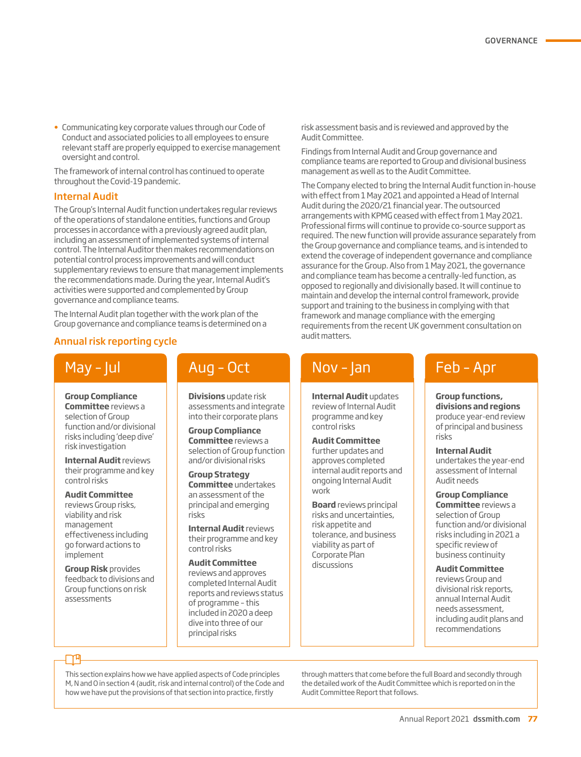• Communicating key corporate values through our Code of Conduct and associated policies to all employees to ensure relevant staff are properly equipped to exercise management oversight and control.

The framework of internal control has continued to operate throughout the Covid-19 pandemic.

#### Internal Audit

The Group's Internal Audit function undertakes regular reviews of the operations of standalone entities, functions and Group processes in accordance with a previously agreed audit plan, including an assessment of implemented systems of internal control. The Internal Auditor then makes recommendations on potential control process improvements and will conduct supplementary reviews to ensure that management implements the recommendations made. During the year, Internal Audit's activities were supported and complemented by Group governance and compliance teams.

The Internal Audit plan together with the work plan of the Group governance and compliance teams is determined on a

## Annual risk reporting cycle and the matter of the matters.

# May – Jul

**Group Compliance Committee** reviews a selection of Group function and/or divisional risks including 'deep dive' risk investigation

**Internal Audit** reviews their programme and key control risks

#### **Audit Committee**  reviews Group risks,

viability and risk management effectiveness including go forward actions to implement

**Group Risk** provides feedback to divisions and Group functions on risk assessments

### Aug – Oct

**Divisions** update risk assessments and integrate into their corporate plans

**Group Compliance Committee** reviews a selection of Group function and/or divisional risks

**Group Strategy Committee** undertakes an assessment of the principal and emerging risks

**Internal Audit** reviews their programme and key control risks

**Audit Committee** 

reviews and approves completed Internal Audit reports and reviews status of programme – this included in 2020 a deep dive into three of our principal risks

risk assessment basis and is reviewed and approved by the Audit Committee.

Findings from Internal Audit and Group governance and compliance teams are reported to Group and divisional business management as well as to the Audit Committee.

The Company elected to bring the Internal Audit function in-house with effect from 1 May 2021 and appointed a Head of Internal Audit during the 2020/21 financial year. The outsourced arrangements with KPMG ceased with effect from 1 May 2021. Professional firms will continue to provide co-source support as required. The new function will provide assurance separately from the Group governance and compliance teams, and is intended to extend the coverage of independent governance and compliance assurance for the Group. Also from 1 May 2021, the governance and compliance team has become a centrally-led function, as opposed to regionally and divisionally based. It will continue to maintain and develop the internal control framework, provide support and training to the business in complying with that framework and manage compliance with the emerging requirements from the recent UK government consultation on

## Nov – Jan

**Internal Audit** updates review of Internal Audit programme and key control risks

**Audit Committee**  further updates and approves completed internal audit reports and ongoing Internal Audit work

**Board** reviews principal risks and uncertainties, risk appetite and tolerance, and business viability as part of Corporate Plan discussions

## Feb – Apr

**Group functions, divisions and regions**  produce year-end review of principal and business risks

#### **Internal Audit**

undertakes the year-end assessment of Internal Audit needs

**Group Compliance** 

**Committee** reviews a selection of Group function and/or divisional risks including in 2021 a specific review of business continuity

#### **Audit Committee**

reviews Group and divisional risk reports, annual Internal Audit needs assessment, including audit plans and recommendations

### ୮୮୩

This section explains how we have applied aspects of Code principles M, N and O in section 4 (audit, risk and internal control) of the Code and how we have put the provisions of that section into practice, firstly

through matters that come before the full Board and secondly through the detailed work of the Audit Committee which is reported on in the Audit Committee Report that follows.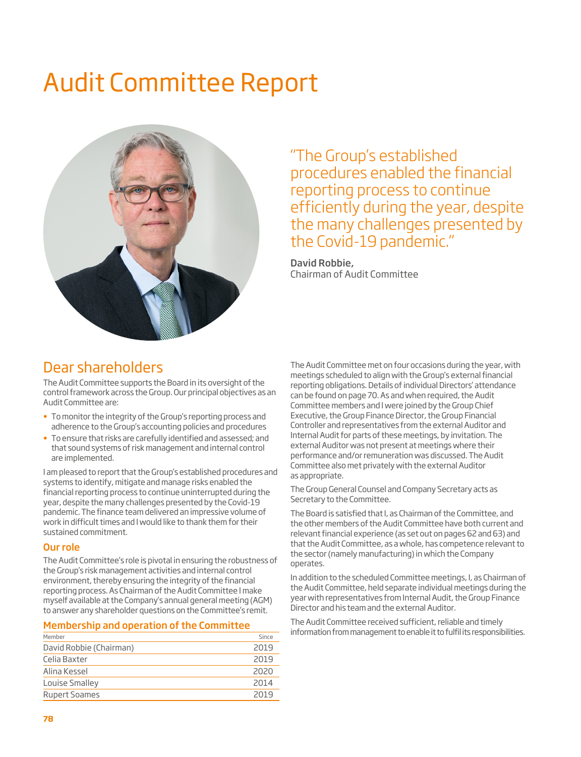# Audit Committee Report



"The Group's established procedures enabled the financial reporting process to continue efficiently during the year, despite the many challenges presented by the Covid-19 pandemic."

David Robbie, Chairman of Audit Committee

## Dear shareholders

The Audit Committee supports the Board in its oversight of the control framework across the Group. Our principal objectives as an Audit Committee are:

- To monitor the integrity of the Group's reporting process and adherence to the Group's accounting policies and procedures
- To ensure that risks are carefully identified and assessed; and that sound systems of risk management and internal control are implemented.

I am pleased to report that the Group's established procedures and systems to identify, mitigate and manage risks enabled the financial reporting process to continue uninterrupted during the year, despite the many challenges presented by the Covid-19 pandemic. The finance team delivered an impressive volume of work in difficult times and I would like to thank them for their sustained commitment.

#### Our role

The Audit Committee's role is pivotal in ensuring the robustness of the Group's risk management activities and internal control environment, thereby ensuring the integrity of the financial reporting process. As Chairman of the Audit Committee I make myself available at the Company's annual general meeting (AGM) to answer any shareholder questions on the Committee's remit.

#### Membership and operation of the Committee

| Member                  | Since |
|-------------------------|-------|
| David Robbie (Chairman) | 2019  |
| Celia Baxter            | 2019  |
| Alina Kessel            | 2020  |
| Louise Smalley          | 2014  |
| <b>Rupert Soames</b>    | 2019  |

The Audit Committee met on four occasions during the year, with meetings scheduled to align with the Group's external financial reporting obligations. Details of individual Directors' attendance can be found on page 70. As and when required, the Audit Committee members and I were joined by the Group Chief Executive, the Group Finance Director, the Group Financial Controller and representatives from the external Auditor and Internal Audit for parts of these meetings, by invitation. The external Auditor was not present at meetings where their performance and/or remuneration was discussed. The Audit Committee also met privately with the external Auditor as appropriate.

The Group General Counsel and Company Secretary acts as Secretary to the Committee.

The Board is satisfied that I, as Chairman of the Committee, and the other members of the Audit Committee have both current and relevant financial experience (as set out on pages 62 and 63) and that the Audit Committee, as a whole, has competence relevant to the sector (namely manufacturing) in which the Company operates.

In addition to the scheduled Committee meetings, I, as Chairman of the Audit Committee, held separate individual meetings during the year with representatives from Internal Audit, the Group Finance Director and his team and the external Auditor.

The Audit Committee received sufficient, reliable and timely information from management to enable it to fulfil its responsibilities.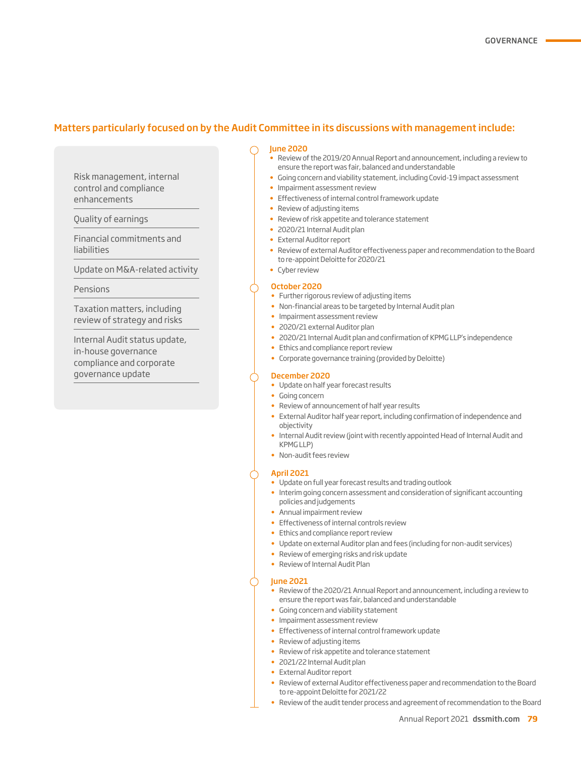#### Matters particularly focused on by the Audit Committee in its discussions with management include:

Risk management, internal control and compliance enhancements

Quality of earnings

Financial commitments and liabilities

Update on M&A-related activity

#### Pensions

Taxation matters, including review of strategy and risks

Internal Audit status update, in-house governance compliance and corporate governance update

#### June 2020

- Review of the 2019/20 Annual Report and announcement, including a review to ensure the report was fair, balanced and understandable
- Going concern and viability statement, including Covid-19 impact assessment
- Impairment assessment review
- Effectiveness of internal control framework update
- Review of adjusting items
- Review of risk appetite and tolerance statement
- 2020/21 Internal Audit plan
- External Auditor report
- Review of external Auditor effectiveness paper and recommendation to the Board to re-appoint Deloitte for 2020/21
- Cyber review

#### October 2020

- Further rigorous review of adjusting items
- Non-financial areas to be targeted by Internal Audit plan
- Impairment assessment review
- 2020/21 external Auditor plan
- 2020/21 Internal Audit plan and confirmation of KPMG LLP's independence
- Ethics and compliance report review
- Corporate governance training (provided by Deloitte)

#### December 2020

- Update on half year forecast results
- Going concern
- Review of announcement of half year results
- External Auditor half year report, including confirmation of independence and objectivity
- Internal Audit review (joint with recently appointed Head of Internal Audit and KPMG LLP)
- Non-audit fees review

#### April 2021

- Update on full year forecast results and trading outlook
- Interim going concern assessment and consideration of significant accounting policies and judgements
- Annual impairment review
- Effectiveness of internal controls review
- Ethics and compliance report review
- Update on external Auditor plan and fees (including for non-audit services)
- Review of emerging risks and risk update
- Review of Internal Audit Plan

#### June 2021

- Review of the 2020/21 Annual Report and announcement, including a review to ensure the report was fair, balanced and understandable
- Going concern and viability statement
- Impairment assessment review
- Effectiveness of internal control framework update
- Review of adjusting items
- Review of risk appetite and tolerance statement
- 2021/22 Internal Audit plan
- External Auditor report
- Review of external Auditor effectiveness paper and recommendation to the Board to re-appoint Deloitte for 2021/22
- Review of the audit tender process and agreement of recommendation to the Board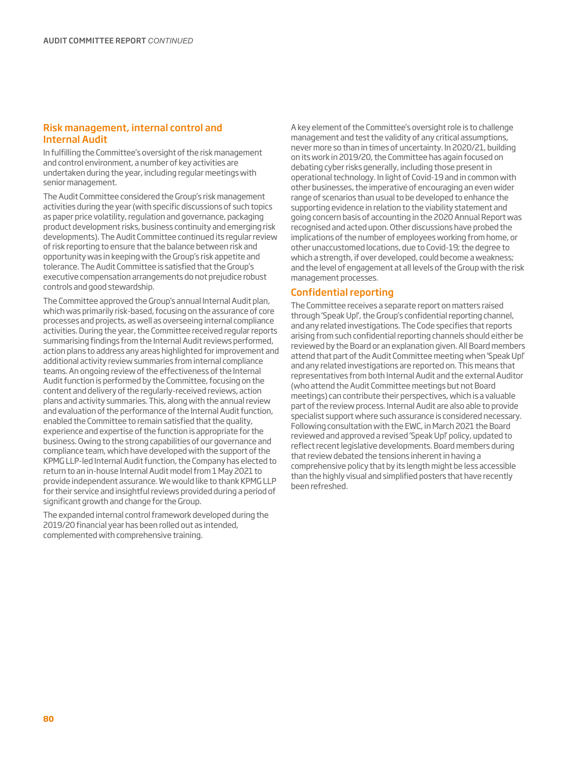#### Risk management, internal control and Internal Audit

In fulfilling the Committee's oversight of the risk management and control environment, a number of key activities are undertaken during the year, including regular meetings with senior management.

The Audit Committee considered the Group's risk management activities during the year (with specific discussions of such topics as paper price volatility, regulation and governance, packaging product development risks, business continuity and emerging risk developments). The Audit Committee continued its regular review of risk reporting to ensure that the balance between risk and opportunity was in keeping with the Group's risk appetite and tolerance. The Audit Committee is satisfied that the Group's executive compensation arrangements do not prejudice robust controls and good stewardship.

The Committee approved the Group's annual Internal Audit plan, which was primarily risk-based, focusing on the assurance of core processes and projects, as well as overseeing internal compliance activities. During the year, the Committee received regular reports summarising findings from the Internal Audit reviews performed, action plans to address any areas highlighted for improvement and additional activity review summaries from internal compliance teams. An ongoing review of the effectiveness of the Internal Audit function is performed by the Committee, focusing on the content and delivery of the regularly-received reviews, action plans and activity summaries. This, along with the annual review and evaluation of the performance of the Internal Audit function, enabled the Committee to remain satisfied that the quality, experience and expertise of the function is appropriate for the business. Owing to the strong capabilities of our governance and compliance team, which have developed with the support of the KPMG LLP-led Internal Audit function, the Company has elected to return to an in-house Internal Audit model from 1 May 2021 to provide independent assurance. We would like to thank KPMG LLP for their service and insightful reviews provided during a period of significant growth and change for the Group.

The expanded internal control framework developed during the 2019/20 financial year has been rolled out as intended, complemented with comprehensive training.

A key element of the Committee's oversight role is to challenge management and test the validity of any critical assumptions, never more so than in times of uncertainty. In 2020/21, building on its work in 2019/20, the Committee has again focused on debating cyber risks generally, including those present in operational technology. In light of Covid-19 and in common with other businesses, the imperative of encouraging an even wider range of scenarios than usual to be developed to enhance the supporting evidence in relation to the viability statement and going concern basis of accounting in the 2020 Annual Report was recognised and acted upon. Other discussions have probed the implications of the number of employees working from home, or other unaccustomed locations, due to Covid-19; the degree to which a strength, if over developed, could become a weakness; and the level of engagement at all levels of the Group with the risk management processes.

#### Confidential reporting

The Committee receives a separate report on matters raised through 'Speak Up!', the Group's confidential reporting channel, and any related investigations. The Code specifies that reports arising from such confidential reporting channels should either be reviewed by the Board or an explanation given. All Board members attend that part of the Audit Committee meeting when 'Speak Up!' and any related investigations are reported on. This means that representatives from both Internal Audit and the external Auditor (who attend the Audit Committee meetings but not Board meetings) can contribute their perspectives, which is a valuable part of the review process. Internal Audit are also able to provide specialist support where such assurance is considered necessary. Following consultation with the EWC, in March 2021 the Board reviewed and approved a revised 'Speak Up!' policy, updated to reflect recent legislative developments. Board members during that review debated the tensions inherent in having a comprehensive policy that by its length might be less accessible than the highly visual and simplified posters that have recently been refreshed.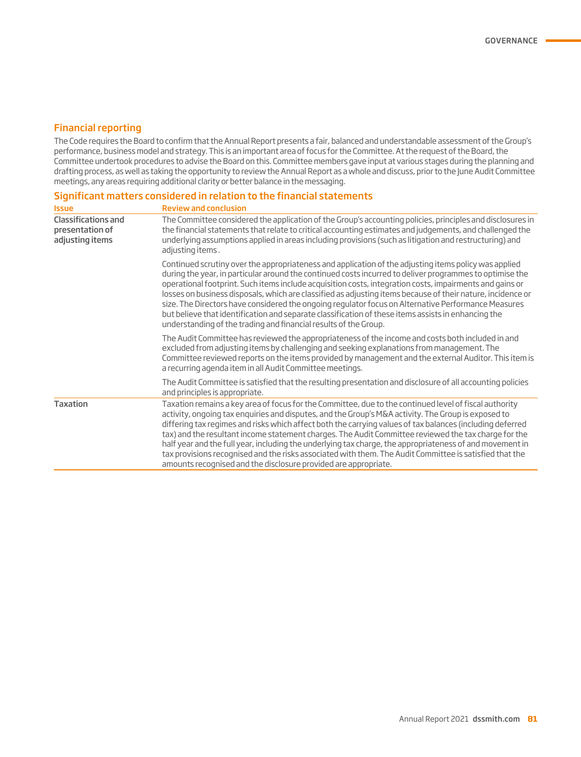#### Financial reporting

The Code requires the Board to confirm that the Annual Report presents a fair, balanced and understandable assessment of the Group's performance, business model and strategy. This is an important area of focus for the Committee. At the request of the Board, the Committee undertook procedures to advise the Board on this. Committee members gave input at various stages during the planning and drafting process, as well as taking the opportunity to review the Annual Report as a whole and discuss, prior to the June Audit Committee meetings, any areas requiring additional clarity or better balance in the messaging.

#### Significant matters considered in relation to the financial statements

| <b>Issue</b>                                                     | <b>Review and conclusion</b>                                                                                                                                                                                                                                                                                                                                                                                                                                                                                                                                                                                                                                                                                                   |
|------------------------------------------------------------------|--------------------------------------------------------------------------------------------------------------------------------------------------------------------------------------------------------------------------------------------------------------------------------------------------------------------------------------------------------------------------------------------------------------------------------------------------------------------------------------------------------------------------------------------------------------------------------------------------------------------------------------------------------------------------------------------------------------------------------|
| <b>Classifications and</b><br>presentation of<br>adjusting items | The Committee considered the application of the Group's accounting policies, principles and disclosures in<br>the financial statements that relate to critical accounting estimates and judgements, and challenged the<br>underlying assumptions applied in areas including provisions (such as litigation and restructuring) and<br>adjusting items.                                                                                                                                                                                                                                                                                                                                                                          |
|                                                                  | Continued scrutiny over the appropriateness and application of the adjusting items policy was applied<br>during the year, in particular around the continued costs incurred to deliver programmes to optimise the<br>operational footprint. Such items include acquisition costs, integration costs, impairments and gains or<br>losses on business disposals, which are classified as adjusting items because of their nature, incidence or<br>size. The Directors have considered the ongoing regulator focus on Alternative Performance Measures<br>but believe that identification and separate classification of these items assists in enhancing the<br>understanding of the trading and financial results of the Group. |
|                                                                  | The Audit Committee has reviewed the appropriateness of the income and costs both included in and<br>excluded from adjusting items by challenging and seeking explanations from management. The<br>Committee reviewed reports on the items provided by management and the external Auditor. This item is<br>a recurring agenda item in all Audit Committee meetings.                                                                                                                                                                                                                                                                                                                                                           |
|                                                                  | The Audit Committee is satisfied that the resulting presentation and disclosure of all accounting policies<br>and principles is appropriate.                                                                                                                                                                                                                                                                                                                                                                                                                                                                                                                                                                                   |
| <b>Taxation</b>                                                  | Taxation remains a key area of focus for the Committee, due to the continued level of fiscal authority<br>activity, ongoing tax enguiries and disputes, and the Group's M&A activity. The Group is exposed to<br>differing tax regimes and risks which affect both the carrying values of tax balances (including deferred<br>tax) and the resultant income statement charges. The Audit Committee reviewed the tax charge for the<br>half year and the full year, including the underlying tax charge, the appropriateness of and movement in<br>tax provisions recognised and the risks associated with them. The Audit Committee is satisfied that the<br>amounts recognised and the disclosure provided are appropriate.   |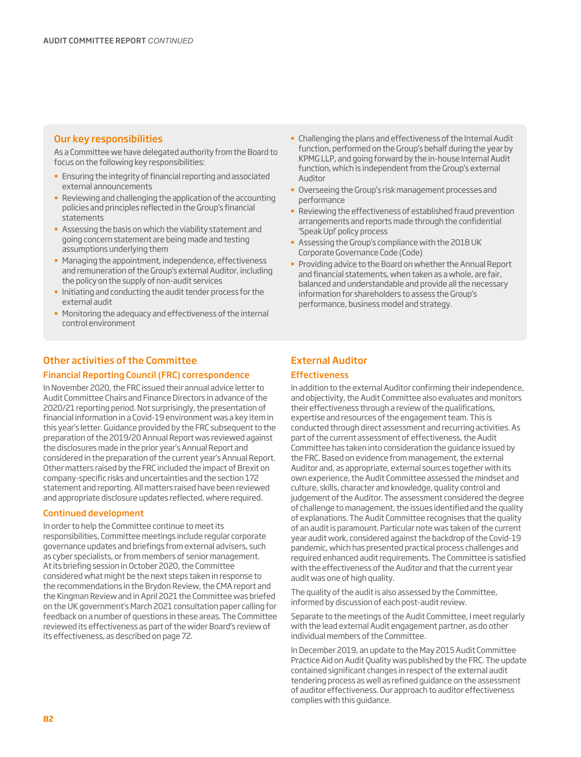#### Our key responsibilities

As a Committee we have delegated authority from the Board to focus on the following key responsibilities:

- Ensuring the integrity of financial reporting and associated external announcements
- Reviewing and challenging the application of the accounting policies and principles reflected in the Group's financial statements
- Assessing the basis on which the viability statement and going concern statement are being made and testing assumptions underlying them
- Managing the appointment, independence, effectiveness and remuneration of the Group's external Auditor, including the policy on the supply of non-audit services
- Initiating and conducting the audit tender process for the external audit
- Monitoring the adequacy and effectiveness of the internal control environment

#### Other activities of the Committee

#### Financial Reporting Council (FRC) correspondence

In November 2020, the FRC issued their annual advice letter to Audit Committee Chairs and Finance Directors in advance of the 2020/21 reporting period. Not surprisingly, the presentation of financial information in a Covid-19 environment was a key item in this year's letter. Guidance provided by the FRC subsequent to the preparation of the 2019/20 Annual Report was reviewed against the disclosures made in the prior year's Annual Report and considered in the preparation of the current year's Annual Report. Other matters raised by the FRC included the impact of Brexit on company-specific risks and uncertainties and the section 172 statement and reporting. All matters raised have been reviewed and appropriate disclosure updates reflected, where required.

#### Continued development

In order to help the Committee continue to meet its responsibilities, Committee meetings include regular corporate governance updates and briefings from external advisers, such as cyber specialists, or from members of senior management. At its briefing session in October 2020, the Committee considered what might be the next steps taken in response to the recommendations in the Brydon Review, the CMA report and the Kingman Review and in April 2021 the Committee was briefed on the UK government's March 2021 consultation paper calling for feedback on a number of questions in these areas. The Committee reviewed its effectiveness as part of the wider Board's review of its effectiveness, as described on page 72.

- Challenging the plans and effectiveness of the Internal Audit function, performed on the Group's behalf during the year by KPMG LLP, and going forward by the in-house Internal Audit function, which is independent from the Group's external Auditor
- Overseeing the Group's risk management processes and performance
- Reviewing the effectiveness of established fraud prevention arrangements and reports made through the confidential 'Speak Up!' policy process
- Assessing the Group's compliance with the 2018 UK Corporate Governance Code (Code)
- Providing advice to the Board on whether the Annual Report and financial statements, when taken as a whole, are fair, balanced and understandable and provide all the necessary information for shareholders to assess the Group's performance, business model and strategy.

### External Auditor

#### **Effectiveness**

In addition to the external Auditor confirming their independence, and objectivity, the Audit Committee also evaluates and monitors their effectiveness through a review of the qualifications, expertise and resources of the engagement team. This is conducted through direct assessment and recurring activities. As part of the current assessment of effectiveness, the Audit Committee has taken into consideration the guidance issued by the FRC. Based on evidence from management, the external Auditor and, as appropriate, external sources together with its own experience, the Audit Committee assessed the mindset and culture, skills, character and knowledge, quality control and judgement of the Auditor. The assessment considered the degree of challenge to management, the issues identified and the quality of explanations. The Audit Committee recognises that the quality of an audit is paramount. Particular note was taken of the current year audit work, considered against the backdrop of the Covid-19 pandemic, which has presented practical process challenges and required enhanced audit requirements. The Committee is satisfied with the effectiveness of the Auditor and that the current year audit was one of high quality.

The quality of the audit is also assessed by the Committee, informed by discussion of each post-audit review.

Separate to the meetings of the Audit Committee, I meet regularly with the lead external Audit engagement partner, as do other individual members of the Committee.

In December 2019, an update to the May 2015 Audit Committee Practice Aid on Audit Quality was published by the FRC. The update contained significant changes in respect of the external audit tendering process as well as refined guidance on the assessment of auditor effectiveness. Our approach to auditor effectiveness complies with this guidance.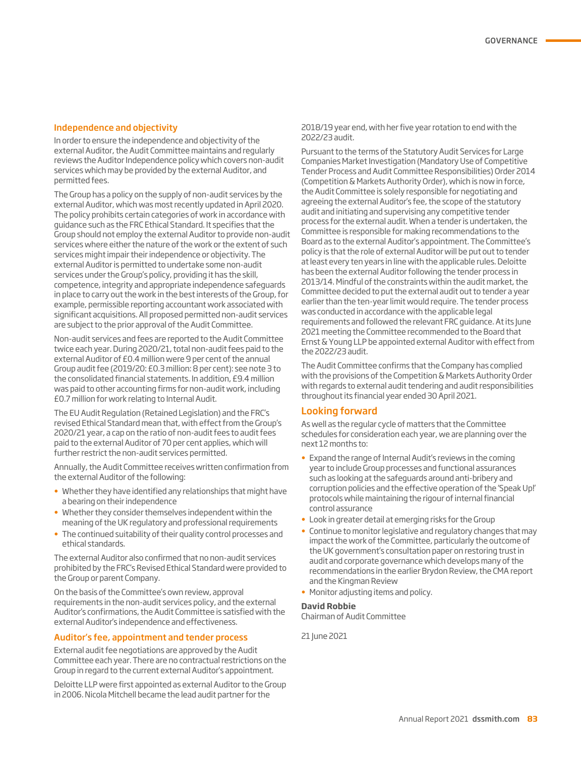#### Independence and objectivity

In order to ensure the independence and objectivity of the external Auditor, the Audit Committee maintains and regularly reviews the Auditor Independence policy which covers non-audit services which may be provided by the external Auditor, and permitted fees.

The Group has a policy on the supply of non-audit services by the external Auditor, which was most recently updated in April 2020. The policy prohibits certain categories of work in accordance with guidance such as the FRC Ethical Standard. It specifies that the Group should not employ the external Auditor to provide non-audit services where either the nature of the work or the extent of such services might impair their independence or objectivity. The external Auditor is permitted to undertake some non-audit services under the Group's policy, providing it has the skill, competence, integrity and appropriate independence safeguards in place to carry out the work in the best interests of the Group, for example, permissible reporting accountant work associated with significant acquisitions. All proposed permitted non-audit services are subject to the prior approval of the Audit Committee.

Non-audit services and fees are reported to the Audit Committee twice each year. During 2020/21, total non-audit fees paid to the external Auditor of £0.4 million were 9 per cent of the annual Group audit fee (2019/20: £0.3 million: 8 per cent): see note 3 to the consolidated financial statements. In addition, £9.4 million was paid to other accounting firms for non-audit work, including £0.7 million for work relating to Internal Audit.

The EU Audit Regulation (Retained Legislation) and the FRC's revised Ethical Standard mean that, with effect from the Group's 2020/21 year, a cap on the ratio of non-audit fees to audit fees paid to the external Auditor of 70 per cent applies, which will further restrict the non-audit services permitted.

Annually, the Audit Committee receives written confirmation from the external Auditor of the following:

- Whether they have identified any relationships that might have a bearing on their independence
- Whether they consider themselves independent within the meaning of the UK regulatory and professional requirements
- The continued suitability of their quality control processes and ethical standards.

The external Auditor also confirmed that no non-audit services prohibited by the FRC's Revised Ethical Standard were provided to the Group or parent Company.

On the basis of the Committee's own review, approval requirements in the non-audit services policy, and the external Auditor's confirmations, the Audit Committee is satisfied with the external Auditor's independence and effectiveness.

#### Auditor's fee, appointment and tender process

External audit fee negotiations are approved by the Audit Committee each year. There are no contractual restrictions on the Group in regard to the current external Auditor's appointment.

Deloitte LLP were first appointed as external Auditor to the Group in 2006. Nicola Mitchell became the lead audit partner for the

2018/19 year end, with her five year rotation to end with the 2022/23 audit.

Pursuant to the terms of the Statutory Audit Services for Large Companies Market Investigation (Mandatory Use of Competitive Tender Process and Audit Committee Responsibilities) Order 2014 (Competition & Markets Authority Order), which is now in force, the Audit Committee is solely responsible for negotiating and agreeing the external Auditor's fee, the scope of the statutory audit and initiating and supervising any competitive tender process for the external audit. When a tender is undertaken, the Committee is responsible for making recommendations to the Board as to the external Auditor's appointment. The Committee's policy is that the role of external Auditor will be put out to tender at least every ten years in line with the applicable rules. Deloitte has been the external Auditor following the tender process in 2013/14. Mindful of the constraints within the audit market, the Committee decided to put the external audit out to tender a year earlier than the ten-year limit would require. The tender process was conducted in accordance with the applicable legal requirements and followed the relevant FRC guidance. At its June 2021 meeting the Committee recommended to the Board that Ernst & Young LLP be appointed external Auditor with effect from the 2022/23 audit.

The Audit Committee confirms that the Company has complied with the provisions of the Competition & Markets Authority Order with regards to external audit tendering and audit responsibilities throughout its financial year ended 30 April 2021.

#### Looking forward

As well as the regular cycle of matters that the Committee schedules for consideration each year, we are planning over the next 12 months to:

- Expand the range of Internal Audit's reviews in the coming year to include Group processes and functional assurances such as looking at the safeguards around anti-bribery and corruption policies and the effective operation of the 'Speak Up!' protocols while maintaining the rigour of internal financial control assurance
- Look in greater detail at emerging risks for the Group
- Continue to monitor legislative and regulatory changes that may impact the work of the Committee, particularly the outcome of the UK government's consultation paper on restoring trust in audit and corporate governance which develops many of the recommendations in the earlier Brydon Review, the CMA report and the Kingman Review
- Monitor adjusting items and policy.

#### **David Robbie**

Chairman of Audit Committee

21 June 2021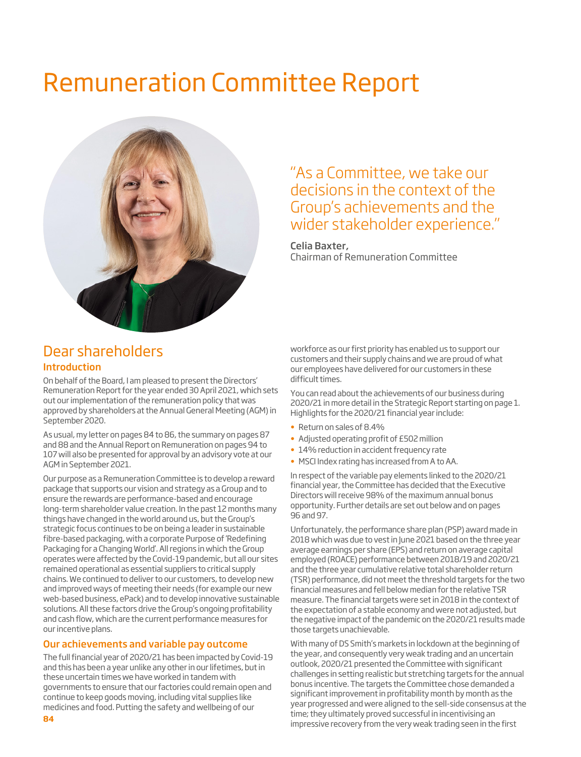# Remuneration Committee Report



## "As a Committee, we take our decisions in the context of the Group's achievements and the wider stakeholder experience."

#### Celia Baxter,

Chairman of Remuneration Committee

### Dear shareholders Introduction

On behalf of the Board, I am pleased to present the Directors' Remuneration Report for the year ended 30 April 2021, which sets out our implementation of the remuneration policy that was approved by shareholders at the Annual General Meeting (AGM) in September 2020.

As usual, my letter on pages 84 to 86, the summary on pages 87 and 88 and the Annual Report on Remuneration on pages 94 to 107 will also be presented for approval by an advisory vote at our AGM in September 2021.

Our purpose as a Remuneration Committee is to develop a reward package that supports our vision and strategy as a Group and to ensure the rewards are performance-based and encourage long-term shareholder value creation. In the past 12 months many things have changed in the world around us, but the Group's strategic focus continues to be on being a leader in sustainable fibre-based packaging, with a corporate Purpose of 'Redefining Packaging for a Changing World'. All regions in which the Group operates were affected by the Covid-19 pandemic, but all our sites remained operational as essential suppliers to critical supply chains. We continued to deliver to our customers, to develop new and improved ways of meeting their needs (for example our new web-based business, ePack) and to develop innovative sustainable solutions. All these factors drive the Group's ongoing profitability and cash flow, which are the current performance measures for our incentive plans.

#### Our achievements and variable pay outcome

The full financial year of 2020/21 has been impacted by Covid-19 and this has been a year unlike any other in our lifetimes, but in these uncertain times we have worked in tandem with governments to ensure that our factories could remain open and continue to keep goods moving, including vital supplies like medicines and food. Putting the safety and wellbeing of our

workforce as our first priority has enabled us to support our customers and their supply chains and we are proud of what our employees have delivered for our customers in these difficult times.

You can read about the achievements of our business during 2020/21 in more detail in the Strategic Report starting on page 1. Highlights for the 2020/21 financial year include:

- Return on sales of 8.4%
- Adjusted operating profit of £502 million
- 14% reduction in accident frequency rate
- MSCI Index rating has increased from A to AA.

In respect of the variable pay elements linked to the 2020/21 financial year, the Committee has decided that the Executive Directors will receive 98% of the maximum annual bonus opportunity. Further details are set out below and on pages 96 and 97.

Unfortunately, the performance share plan (PSP) award made in 2018 which was due to vest in June 2021 based on the three year average earnings per share (EPS) and return on average capital employed (ROACE) performance between 2018/19 and 2020/21 and the three year cumulative relative total shareholder return (TSR) performance, did not meet the threshold targets for the two financial measures and fell below median for the relative TSR measure. The financial targets were set in 2018 in the context of the expectation of a stable economy and were not adjusted, but the negative impact of the pandemic on the 2020/21 results made those targets unachievable.

With many of DS Smith's markets in lockdown at the beginning of the year, and consequently very weak trading and an uncertain outlook, 2020/21 presented the Committee with significant challenges in setting realistic but stretching targets for the annual bonus incentive. The targets the Committee chose demanded a significant improvement in profitability month by month as the year progressed and were aligned to the sell-side consensus at the time; they ultimately proved successful in incentivising an impressive recovery from the very weak trading seen in the first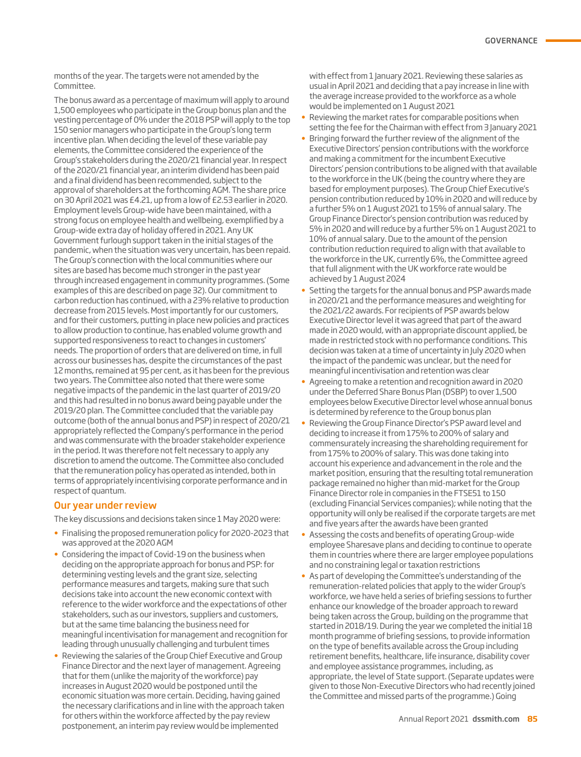months of the year. The targets were not amended by the Committee.

The bonus award as a percentage of maximum will apply to around 1,500 employees who participate in the Group bonus plan and the vesting percentage of 0% under the 2018 PSP will apply to the top 150 senior managers who participate in the Group's long term incentive plan. When deciding the level of these variable pay elements, the Committee considered the experience of the Group's stakeholders during the 2020/21 financial year. In respect of the 2020/21 financial year, an interim dividend has been paid and a final dividend has been recommended, subject to the approval of shareholders at the forthcoming AGM. The share price on 30 April 2021 was £4.21, up from a low of £2.53 earlier in 2020. Employment levels Group-wide have been maintained, with a strong focus on employee health and wellbeing, exemplified by a Group-wide extra day of holiday offered in 2021. Any UK Government furlough support taken in the initial stages of the pandemic, when the situation was very uncertain, has been repaid. The Group's connection with the local communities where our sites are based has become much stronger in the past year through increased engagement in community programmes. (Some examples of this are described on page 32). Our commitment to carbon reduction has continued, with a 23% relative to production decrease from 2015 levels. Most importantly for our customers, and for their customers, putting in place new policies and practices to allow production to continue, has enabled volume growth and supported responsiveness to react to changes in customers' needs. The proportion of orders that are delivered on time, in full across our businesses has, despite the circumstances of the past 12 months, remained at 95 per cent, as it has been for the previous two years. The Committee also noted that there were some negative impacts of the pandemic in the last quarter of 2019/20 and this had resulted in no bonus award being payable under the 2019/20 plan. The Committee concluded that the variable pay outcome (both of the annual bonus and PSP) in respect of 2020/21 appropriately reflected the Company's performance in the period and was commensurate with the broader stakeholder experience in the period. It was therefore not felt necessary to apply any discretion to amend the outcome. The Committee also concluded that the remuneration policy has operated as intended, both in terms of appropriately incentivising corporate performance and in respect of quantum.

#### Our year under review

The key discussions and decisions taken since 1 May 2020 were:

- Finalising the proposed remuneration policy for 2020-2023 that was approved at the 2020 AGM
- Considering the impact of Covid-19 on the business when deciding on the appropriate approach for bonus and PSP: for determining vesting levels and the grant size, selecting performance measures and targets, making sure that such decisions take into account the new economic context with reference to the wider workforce and the expectations of other stakeholders, such as our investors, suppliers and customers, but at the same time balancing the business need for meaningful incentivisation for management and recognition for leading through unusually challenging and turbulent times
- Reviewing the salaries of the Group Chief Executive and Group Finance Director and the next layer of management. Agreeing that for them (unlike the majority of the workforce) pay increases in August 2020 would be postponed until the economic situation was more certain. Deciding, having gained the necessary clarifications and in line with the approach taken for others within the workforce affected by the pay review postponement, an interim pay review would be implemented

with effect from 1 January 2021. Reviewing these salaries as usual in April 2021 and deciding that a pay increase in line with the average increase provided to the workforce as a whole would be implemented on 1 August 2021

- Reviewing the market rates for comparable positions when setting the fee for the Chairman with effect from 3 January 2021
- Bringing forward the further review of the alignment of the Executive Directors' pension contributions with the workforce and making a commitment for the incumbent Executive Directors' pension contributions to be aligned with that available to the workforce in the UK (being the country where they are based for employment purposes). The Group Chief Executive's pension contribution reduced by 10% in 2020 and will reduce by a further 5% on 1 August 2021 to 15% of annual salary. The Group Finance Director's pension contribution was reduced by 5% in 2020 and will reduce by a further 5% on 1 August 2021 to 10% of annual salary. Due to the amount of the pension contribution reduction required to align with that available to the workforce in the UK, currently 6%, the Committee agreed that full alignment with the UK workforce rate would be achieved by 1 August 2024
- Setting the targets for the annual bonus and PSP awards made in 2020/21 and the performance measures and weighting for the 2021/22 awards. For recipients of PSP awards below Executive Director level it was agreed that part of the award made in 2020 would, with an appropriate discount applied, be made in restricted stock with no performance conditions. This decision was taken at a time of uncertainty in July 2020 when the impact of the pandemic was unclear, but the need for meaningful incentivisation and retention was clear
- Agreeing to make a retention and recognition award in 2020 under the Deferred Share Bonus Plan (DSBP) to over 1,500 employees below Executive Director level whose annual bonus is determined by reference to the Group bonus plan
- Reviewing the Group Finance Director's PSP award level and deciding to increase it from 175% to 200% of salary and commensurately increasing the shareholding requirement for from 175% to 200% of salary. This was done taking into account his experience and advancement in the role and the market position, ensuring that the resulting total remuneration package remained no higher than mid-market for the Group Finance Director role in companies in the FTSE51 to 150 (excluding Financial Services companies); while noting that the opportunity will only be realised if the corporate targets are met and five years after the awards have been granted
- Assessing the costs and benefits of operating Group-wide employee Sharesave plans and deciding to continue to operate them in countries where there are larger employee populations and no constraining legal or taxation restrictions
- As part of developing the Committee's understanding of the remuneration-related policies that apply to the wider Group's workforce, we have held a series of briefing sessions to further enhance our knowledge of the broader approach to reward being taken across the Group, building on the programme that started in 2018/19. During the year we completed the initial 18 month programme of briefing sessions, to provide information on the type of benefits available across the Group including retirement benefits, healthcare, life insurance, disability cover and employee assistance programmes, including, as appropriate, the level of State support. (Separate updates were given to those Non-Executive Directors who had recently joined the Committee and missed parts of the programme.) Going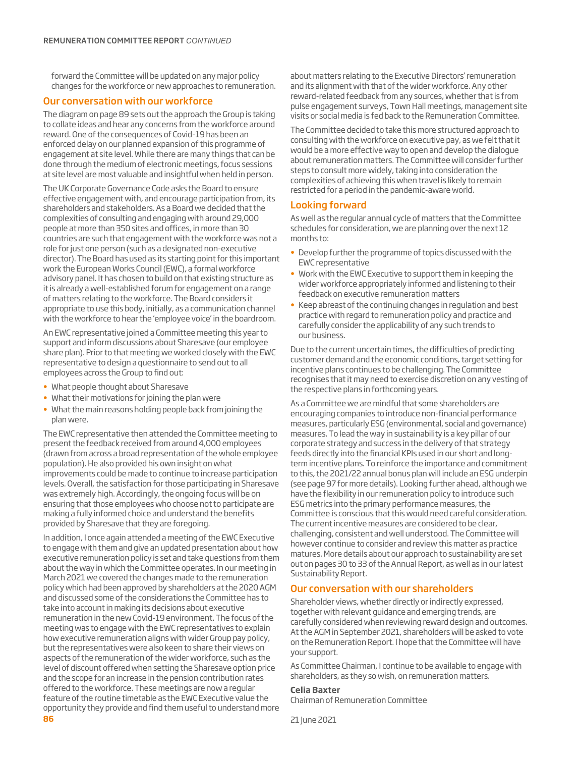forward the Committee will be updated on any major policy changes for the workforce or new approaches to remuneration.

#### Our conversation with our workforce

The diagram on page 89 sets out the approach the Group is taking to collate ideas and hear any concerns from the workforce around reward. One of the consequences of Covid-19 has been an enforced delay on our planned expansion of this programme of engagement at site level. While there are many things that can be done through the medium of electronic meetings, focus sessions at site level are most valuable and insightful when held in person.

The UK Corporate Governance Code asks the Board to ensure effective engagement with, and encourage participation from, its shareholders and stakeholders. As a Board we decided that the complexities of consulting and engaging with around 29,000 people at more than 350 sites and offices, in more than 30 countries are such that engagement with the workforce was not a role for just one person (such as a designated non-executive director). The Board has used as its starting point for this important work the European Works Council (EWC), a formal workforce advisory panel. It has chosen to build on that existing structure as it is already a well-established forum for engagement on a range of matters relating to the workforce. The Board considers it appropriate to use this body, initially, as a communication channel with the workforce to hear the 'employee voice' in the boardroom.

An EWC representative joined a Committee meeting this year to support and inform discussions about Sharesave (our employee share plan). Prior to that meeting we worked closely with the EWC representative to design a questionnaire to send out to all employees across the Group to find out:

- What people thought about Sharesave
- What their motivations for joining the plan were
- What the main reasons holding people back from joining the plan were.

The EWC representative then attended the Committee meeting to present the feedback received from around 4,000 employees (drawn from across a broad representation of the whole employee population). He also provided his own insight on what improvements could be made to continue to increase participation levels. Overall, the satisfaction for those participating in Sharesave was extremely high. Accordingly, the ongoing focus will be on ensuring that those employees who choose not to participate are making a fully informed choice and understand the benefits provided by Sharesave that they are foregoing.

In addition, I once again attended a meeting of the EWC Executive to engage with them and give an updated presentation about how executive remuneration policy is set and take questions from them about the way in which the Committee operates. In our meeting in March 2021 we covered the changes made to the remuneration policy which had been approved by shareholders at the 2020 AGM and discussed some of the considerations the Committee has to take into account in making its decisions about executive remuneration in the new Covid-19 environment. The focus of the meeting was to engage with the EWC representatives to explain how executive remuneration aligns with wider Group pay policy, but the representatives were also keen to share their views on aspects of the remuneration of the wider workforce, such as the level of discount offered when setting the Sharesave option price and the scope for an increase in the pension contribution rates offered to the workforce. These meetings are now a regular feature of the routine timetable as the EWC Executive value the opportunity they provide and find them useful to understand more about matters relating to the Executive Directors' remuneration and its alignment with that of the wider workforce. Any other reward-related feedback from any sources, whether that is from pulse engagement surveys, Town Hall meetings, management site visits or social media is fed back to the Remuneration Committee.

The Committee decided to take this more structured approach to consulting with the workforce on executive pay, as we felt that it would be a more effective way to open and develop the dialogue about remuneration matters. The Committee will consider further steps to consult more widely, taking into consideration the complexities of achieving this when travel is likely to remain restricted for a period in the pandemic-aware world.

#### Looking forward

As well as the regular annual cycle of matters that the Committee schedules for consideration, we are planning over the next 12 months to:

- Develop further the programme of topics discussed with the EWC representative
- Work with the EWC Executive to support them in keeping the wider workforce appropriately informed and listening to their feedback on executive remuneration matters
- Keep abreast of the continuing changes in regulation and best practice with regard to remuneration policy and practice and carefully consider the applicability of any such trends to our business.

Due to the current uncertain times, the difficulties of predicting customer demand and the economic conditions, target setting for incentive plans continues to be challenging. The Committee recognises that it may need to exercise discretion on any vesting of the respective plans in forthcoming years.

As a Committee we are mindful that some shareholders are encouraging companies to introduce non-financial performance measures, particularly ESG (environmental, social and governance) measures. To lead the way in sustainability is a key pillar of our corporate strategy and success in the delivery of that strategy feeds directly into the financial KPIs used in our short and longterm incentive plans. To reinforce the importance and commitment to this, the 2021/22 annual bonus plan will include an ESG underpin (see page 97 for more details). Looking further ahead, although we have the flexibility in our remuneration policy to introduce such ESG metrics into the primary performance measures, the Committee is conscious that this would need careful consideration. The current incentive measures are considered to be clear, challenging, consistent and well understood. The Committee will however continue to consider and review this matter as practice matures. More details about our approach to sustainability are set out on pages 30 to 33 of the Annual Report, as well as in our latest Sustainability Report.

#### Our conversation with our shareholders

Shareholder views, whether directly or indirectly expressed, together with relevant guidance and emerging trends, are carefully considered when reviewing reward design and outcomes. At the AGM in September 2021, shareholders will be asked to vote on the Remuneration Report. I hope that the Committee will have your support.

As Committee Chairman, I continue to be available to engage with shareholders, as they so wish, on remuneration matters.

#### **Celia Baxter**

Chairman of Remuneration Committee

**86** 21 June 2021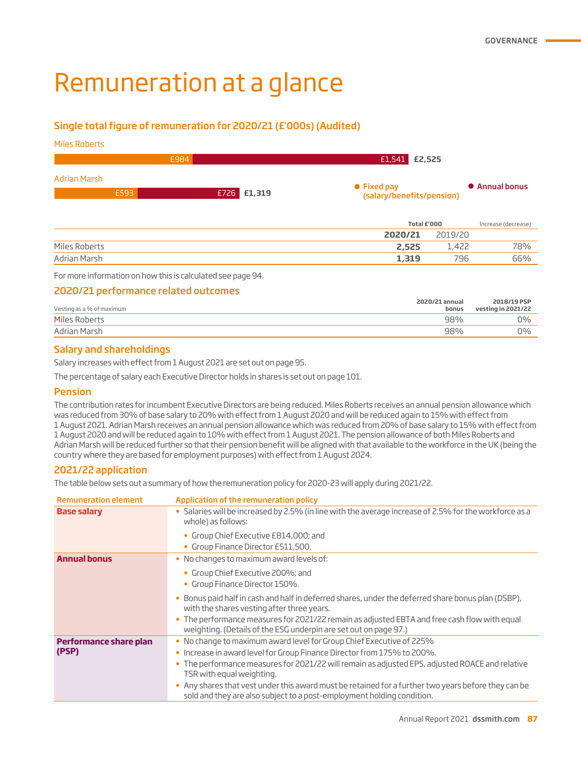# Remuneration at a glance

#### Single total figure of remuneration for 2020/21 (£'000s) (Audited)

Miles Roberts

| £984                 |             | $E1,541$ $E2,525$                        |                |  |  |
|----------------------|-------------|------------------------------------------|----------------|--|--|
| Adrian Marsh<br>£593 | £726 £1,319 | • Fixed pay<br>(salary/benefits/pension) | • Annual bonus |  |  |

|               |         | Total £'000 |     |
|---------------|---------|-------------|-----|
|               | 2020/21 | 2019/20     |     |
| Miles Roberts | 2,525   | 1,422       | 78% |
| Adrian Marsh  | 1,319   | 796         | 66% |

For more information on how this is calculated see page 94.

#### 2020/21 performance related outcomes

| Vesting as a % of maximum | 2020/21 annual<br>bonus | 2018/19 PSP<br>vesting in 2021/22 |
|---------------------------|-------------------------|-----------------------------------|
| Miles Roberts             | 98%                     | 0%                                |
| Adrian Marsh              | 98%                     | 0%                                |

#### Salary and shareholdings

Salary increases with effect from 1 August 2021 are set out on page 95.

The percentage of salary each Executive Director holds in shares is set out on page 101.

#### **Pension**

The contribution rates for incumbent Executive Directors are being reduced. Miles Roberts receives an annual pension allowance which was reduced from 30% of base salary to 20% with effect from 1 August 2020 and will be reduced again to 15% with effect from 1 August 2021. Adrian Marsh receives an annual pension allowance which was reduced from 20% of base salary to 15% with effect from 1 August 2020 and will be reduced again to 10% with effect from 1 August 2021. The pension allowance of both Miles Roberts and Adrian Marsh will be reduced further so that their pension benefit will be aligned with that available to the workforce in the UK (being the country where they are based for employment purposes) with effect from 1 August 2024.

#### 2021/22 application

The table below sets out a summary of how the remuneration policy for 2020-23 will apply during 2021/22.

| <b>Remuneration element</b> | Application of the remuneration policy                                                                                                                                        |
|-----------------------------|-------------------------------------------------------------------------------------------------------------------------------------------------------------------------------|
| <b>Base salary</b>          | · Salaries will be increased by 2.5% (in line with the average increase of 2.5% for the workforce as a<br>whole) as follows:                                                  |
|                             | • Group Chief Executive £814,000; and<br>• Group Finance Director £511,500.                                                                                                   |
| <b>Annual bonus</b>         | • No changes to maximum award levels of:                                                                                                                                      |
|                             | • Group Chief Executive 200%; and<br>• Group Finance Director 150%.                                                                                                           |
|                             | Bonus paid half in cash and half in deferred shares, under the deferred share bonus plan (DSBP),<br>with the shares vesting after three years.                                |
|                             | • The performance measures for 2021/22 remain as adjusted EBTA and free cash flow with equal<br>weighting. (Details of the ESG underpin are set out on page 97.)              |
| Performance share plan      | . No change to maximum award level for Group Chief Executive of 225%                                                                                                          |
| (PSP)                       | • Increase in award level for Group Finance Director from 175% to 200%.                                                                                                       |
|                             | The performance measures for 2021/22 will remain as adjusted EPS, adjusted ROACE and relative<br>TSR with equal weighting.                                                    |
|                             | • Any shares that vest under this award must be retained for a further two years before they can be<br>sold and they are also subject to a post-employment holding condition. |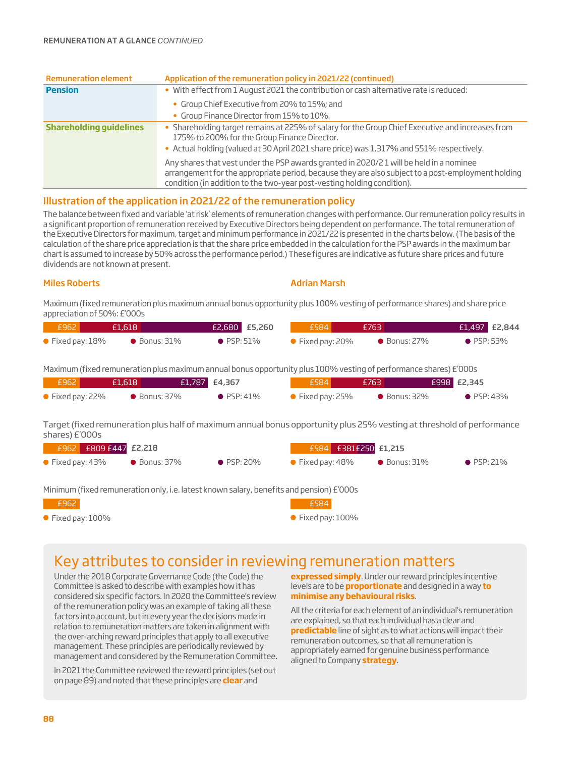| <b>Remuneration element</b>    | Application of the remuneration policy in 2021/22 (continued)                                                                                                                                                                                                           |
|--------------------------------|-------------------------------------------------------------------------------------------------------------------------------------------------------------------------------------------------------------------------------------------------------------------------|
| <b>Pension</b>                 | . With effect from 1 August 2021 the contribution or cash alternative rate is reduced:                                                                                                                                                                                  |
|                                | • Group Chief Executive from 20% to 15%; and                                                                                                                                                                                                                            |
|                                | • Group Finance Director from 15% to 10%.                                                                                                                                                                                                                               |
| <b>Shareholding quidelines</b> | • Shareholding target remains at 225% of salary for the Group Chief Executive and increases from<br>175% to 200% for the Group Finance Director.<br>• Actual holding (valued at 30 April 2021 share price) was 1,317% and 551% respectively.                            |
|                                | Any shares that vest under the PSP awards granted in 2020/21 will be held in a nominee<br>arrangement for the appropriate period, because they are also subject to a post-employment holding<br>condition (in addition to the two-year post-vesting holding condition). |

#### Illustration of the application in 2021/22 of the remuneration policy

The balance between fixed and variable 'at risk' elements of remuneration changes with performance. Our remuneration policy results in a significant proportion of remuneration received by Executive Directors being dependent on performance. The total remuneration of the Executive Directors for maximum, target and minimum performance in 2021/22 is presented in the charts below. (The basis of the calculation of the share price appreciation is that the share price embedded in the calculation for the PSP awards in the maximum bar chart is assumed to increase by 50% across the performance period.) These figures are indicative as future share prices and future dividends are not known at present.

Miles Roberts Adrian Marsh (Adrian Marsh 1999) and the Marsh (Adrian Marsh 1999)

Maximum (fixed remuneration plus maximum annual bonus opportunity plus 100% vesting of performance shares) and share price appreciation of 50%: £'000s

| $-6962$                  | f1.618               | £2,680 £5,260      | E584                                 | £763                 | $E1,497$ $E2,844$  |
|--------------------------|----------------------|--------------------|--------------------------------------|----------------------|--------------------|
| $\bullet$ Fixed pay: 18% | $\bullet$ Bonus: 31% | $\bullet$ PSP: 51% | $\blacktriangleright$ Fixed pay: 20% | $\bullet$ Bonus: 27% | $\bullet$ PSP: 53% |

Maximum (fixed remuneration plus maximum annual bonus opportunity plus 100% vesting of performance shares) £'000s

| E962 '                   | £1.618               | £1,787 £4,367 |                    | £584                     | <b>F763</b>          | <b>E998 E2,345</b> |
|--------------------------|----------------------|---------------|--------------------|--------------------------|----------------------|--------------------|
| $\bullet$ Fixed pay: 22% | $\bullet$ Bonus: 37% |               | $\bullet$ PSP: 41% | $\bullet$ Fixed pay: 25% | $\bullet$ Bonus: 32% | $\bullet$ PSP: 43% |

Target (fixed remuneration plus half of maximum annual bonus opportunity plus 25% vesting at threshold of performance shares) £'000s

| F962 I                   | E809 E447 E2,218 |                                                                                          |                    |                          | £584 £381£250 £1,215 |                      |                    |
|--------------------------|------------------|------------------------------------------------------------------------------------------|--------------------|--------------------------|----------------------|----------------------|--------------------|
| $\bullet$ Fixed pay: 43% |                  | $\bullet$ Bonus: 37%                                                                     | $\bullet$ PSP: 20% | $\bullet$ Fixed pay: 48% |                      | $\bullet$ Bonus: 31% | $\bullet$ PSP: 21% |
|                          |                  | Minimum (fixed remuneration only, i.e. latest known salary, benefits and pension) £'000s |                    |                          |                      |                      |                    |
| £962                     |                  |                                                                                          |                    | £584                     |                      |                      |                    |

● Fixed pay: 100%

● Fixed pay: 100%

## Key attributes to consider in reviewing remuneration matters

Under the 2018 Corporate Governance Code (the Code) the Committee is asked to describe with examples how it has considered six specific factors. In 2020 the Committee's review of the remuneration policy was an example of taking all these factors into account, but in every year the decisions made in relation to remuneration matters are taken in alignment with the over-arching reward principles that apply to all executive management. These principles are periodically reviewed by management and considered by the Remuneration Committee.

In 2021 the Committee reviewed the reward principles (set out on page 89) and noted that these principles are **clear** and

**expressed simply**. Under our reward principles incentive levels are to be **proportionate** and designed in a way **to minimise any behavioural risks**.

All the criteria for each element of an individual's remuneration are explained, so that each individual has a clear and **predictable** line of sight as to what actions will impact their remuneration outcomes, so that all remuneration is appropriately earned for genuine business performance aligned to Company **strategy**.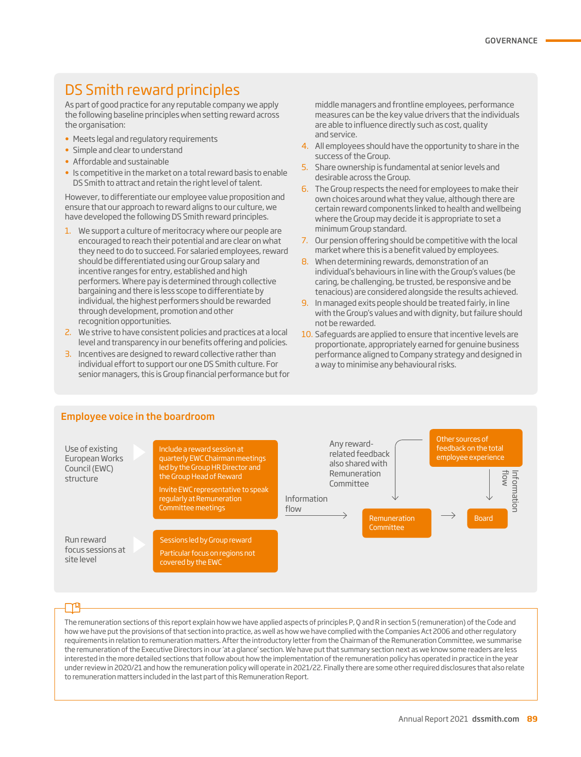# DS Smith reward principles

As part of good practice for any reputable company we apply the following baseline principles when setting reward across the organisation:

- Meets legal and regulatory requirements
- Simple and clear to understand
- Affordable and sustainable
- Is competitive in the market on a total reward basis to enable DS Smith to attract and retain the right level of talent.

However, to differentiate our employee value proposition and ensure that our approach to reward aligns to our culture, we have developed the following DS Smith reward principles.

- 1. We support a culture of meritocracy where our people are encouraged to reach their potential and are clear on what they need to do to succeed. For salaried employees, reward should be differentiated using our Group salary and incentive ranges for entry, established and high performers. Where pay is determined through collective bargaining and there is less scope to differentiate by individual, the highest performers should be rewarded through development, promotion and other recognition opportunities.
- 2. We strive to have consistent policies and practices at a local level and transparency in our benefits offering and policies.
- 3. Incentives are designed to reward collective rather than individual effort to support our one DS Smith culture. For senior managers, this is Group financial performance but for

middle managers and frontline employees, performance measures can be the key value drivers that the individuals are able to influence directly such as cost, quality and service.

- 4. All employees should have the opportunity to share in the success of the Group.
- 5. Share ownership is fundamental at senior levels and desirable across the Group.
- 6. The Group respects the need for employees to make their own choices around what they value, although there are certain reward components linked to health and wellbeing where the Group may decide it is appropriate to set a minimum Group standard.
- 7. Our pension offering should be competitive with the local market where this is a benefit valued by employees.
- 8. When determining rewards, demonstration of an individual's behaviours in line with the Group's values (be caring, be challenging, be trusted, be responsive and be tenacious) are considered alongside the results achieved.
- 9. In managed exits people should be treated fairly, in line with the Group's values and with dignity, but failure should not be rewarded.
- 10. Safeguards are applied to ensure that incentive levels are proportionate, appropriately earned for genuine business performance aligned to Company strategy and designed in a way to minimise any behavioural risks.



The remuneration sections of this report explain how we have applied aspects of principles P, Q and R in section 5 (remuneration) of the Code and how we have put the provisions of that section into practice, as well as how we have complied with the Companies Act 2006 and other regulatory requirements in relation to remuneration matters. After the introductory letter from the Chairman of the Remuneration Committee, we summarise the remuneration of the Executive Directors in our 'at a glance' section. We have put that summary section next as we know some readers are less interested in the more detailed sections that follow about how the implementation of the remuneration policy has operated in practice in the year under review in 2020/21 and how the remuneration policy will operate in 2021/22. Finally there are some other required disclosures that also relate to remuneration matters included in the last part of this Remuneration Report.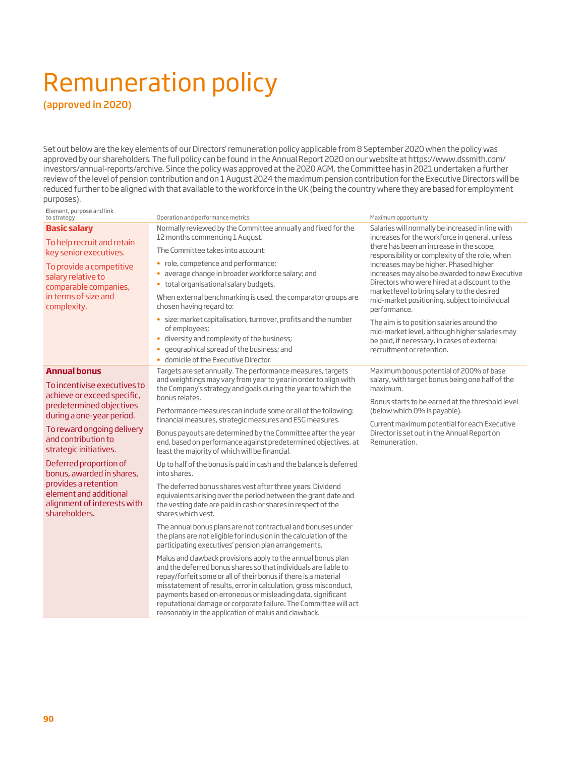# Remuneration policy

(approved in 2020)

Set out below are the key elements of our Directors' remuneration policy applicable from 8 September 2020 when the policy was approved by our shareholders. The full policy can be found in the Annual Report 2020 on our website at https://www.dssmith.com/ investors/annual-reports/archive. Since the policy was approved at the 2020 AGM, the Committee has in 2021 undertaken a further review of the level of pension contribution and on 1 August 2024 the maximum pension contribution for the Executive Directors will be reduced further to be aligned with that available to the workforce in the UK (being the country where they are based for employment purposes).

#### Element, purpose and link

| to strategy                                                                                                    | Operation and performance metrics                                                                                                                                                                                                                                                                                                                                                                                                                                 | Maximum opportunity                                                                                                                                                                                                                        |
|----------------------------------------------------------------------------------------------------------------|-------------------------------------------------------------------------------------------------------------------------------------------------------------------------------------------------------------------------------------------------------------------------------------------------------------------------------------------------------------------------------------------------------------------------------------------------------------------|--------------------------------------------------------------------------------------------------------------------------------------------------------------------------------------------------------------------------------------------|
| <b>Basic salary</b><br>To help recruit and retain<br>key senior executives.                                    | Normally reviewed by the Committee annually and fixed for the<br>12 months commencing 1 August.<br>The Committee takes into account:<br>• role, competence and performance;                                                                                                                                                                                                                                                                                       | Salaries will normally be increased in line with<br>increases for the workforce in general, unless<br>there has been an increase in the scope,<br>responsibility or complexity of the role, when<br>increases may be higher. Phased higher |
| To provide a competitive<br>salary relative to<br>comparable companies,<br>in terms of size and<br>complexity. | average change in broader workforce salary; and<br>$\bullet$<br>total organisational salary budgets.<br>$\bullet$<br>When external benchmarking is used, the comparator groups are<br>chosen having regard to:                                                                                                                                                                                                                                                    | increases may also be awarded to new Executive<br>Directors who were hired at a discount to the<br>market level to bring salary to the desired<br>mid-market positioning, subject to individual<br>performance.                            |
|                                                                                                                | · size: market capitalisation, turnover, profits and the number<br>of employees;<br>diversity and complexity of the business;<br>$\bullet$<br>geographical spread of the business; and<br>domicile of the Executive Director.<br>$\bullet$                                                                                                                                                                                                                        | The aim is to position salaries around the<br>mid-market level, although higher salaries may<br>be paid, if necessary, in cases of external<br>recruitment or retention.                                                                   |
| <b>Annual bonus</b><br>To incentivise executives to<br>achieve or exceed specific,                             | Targets are set annually. The performance measures, targets<br>and weightings may vary from year to year in order to align with<br>the Company's strategy and goals during the year to which the<br>bonus relates.                                                                                                                                                                                                                                                | Maximum bonus potential of 200% of base<br>salary, with target bonus being one half of the<br>maximum.                                                                                                                                     |
| predetermined objectives<br>during a one-year period.                                                          | Performance measures can include some or all of the following:<br>financial measures, strategic measures and ESG measures.                                                                                                                                                                                                                                                                                                                                        | Bonus starts to be earned at the threshold level<br>(below which 0% is payable).                                                                                                                                                           |
| To reward ongoing delivery<br>and contribution to<br>strategic initiatives.                                    | Bonus payouts are determined by the Committee after the year<br>end, based on performance against predetermined objectives, at<br>least the majority of which will be financial.                                                                                                                                                                                                                                                                                  | Current maximum potential for each Executive<br>Director is set out in the Annual Report on<br>Remuneration.                                                                                                                               |
| Deferred proportion of<br>bonus, awarded in shares,                                                            | Up to half of the bonus is paid in cash and the balance is deferred<br>into shares.                                                                                                                                                                                                                                                                                                                                                                               |                                                                                                                                                                                                                                            |
| provides a retention<br>element and additional<br>alignment of interests with<br>shareholders.                 | The deferred bonus shares vest after three years. Dividend<br>equivalents arising over the period between the grant date and<br>the vesting date are paid in cash or shares in respect of the<br>shares which yest.                                                                                                                                                                                                                                               |                                                                                                                                                                                                                                            |
|                                                                                                                | The annual bonus plans are not contractual and bonuses under<br>the plans are not eligible for inclusion in the calculation of the<br>participating executives' pension plan arrangements.                                                                                                                                                                                                                                                                        |                                                                                                                                                                                                                                            |
|                                                                                                                | Malus and clawback provisions apply to the annual bonus plan<br>and the deferred bonus shares so that individuals are liable to<br>repay/forfeit some or all of their bonus if there is a material<br>misstatement of results, error in calculation, gross misconduct,<br>payments based on erroneous or misleading data, significant<br>reputational damage or corporate failure. The Committee will act<br>reasonably in the application of malus and clawback. |                                                                                                                                                                                                                                            |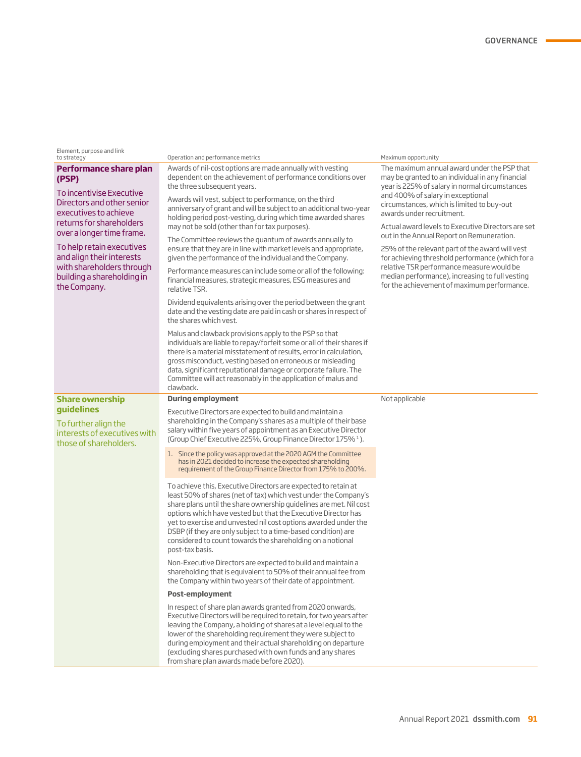| Element, purpose and link |
|---------------------------|
| to strategy               |

| Performance share plan |  |
|------------------------|--|
| (PSP)                  |  |

To incentivise Executive Directors and other senior executives to achieve returns for shareholders over a longer time frame.

To help retain executives and align their interests with shareholders through building a shareholding in the Company.

**Share ownership guidelines**

To further align the interests of executives with those of shareholders.

Operation and performance metrics and the strategy operation and performance metrics Maximum opportunity

Awards of nil-cost options are made annually with vesting dependent on the achievement of performance conditions over the three subsequent years.

Awards will vest, subject to performance, on the third anniversary of grant and will be subject to an additional two-year holding period post-vesting, during which time awarded shares may not be sold (other than for tax purposes).

The Committee reviews the quantum of awards annually to ensure that they are in line with market levels and appropriate, given the performance of the individual and the Company.

Performance measures can include some or all of the following: financial measures, strategic measures, ESG measures and relative TSR.

Dividend equivalents arising over the period between the grant date and the vesting date are paid in cash or shares in respect of the shares which vest.

Malus and clawback provisions apply to the PSP so that individuals are liable to repay/forfeit some or all of their shares if there is a material misstatement of results, error in calculation, gross misconduct, vesting based on erroneous or misleading data, significant reputational damage or corporate failure. The Committee will act reasonably in the application of malus and clawback.

#### **During employment**

Executive Directors are expected to build and maintain a shareholding in the Company's shares as a multiple of their base salary within five years of appointment as an Executive Director (Group Chief Executive 225%, Group Finance Director 175% 1 ).

1. Since the policy was approved at the 2020 AGM the Committee has in 2021 decided to increase the expected shareholding requirement of the Group Finance Director from 175% to 200%.

To achieve this, Executive Directors are expected to retain at least 50% of shares (net of tax) which vest under the Company's share plans until the share ownership guidelines are met. Nil cost options which have vested but that the Executive Director has yet to exercise and unvested nil cost options awarded under the DSBP (if they are only subject to a time-based condition) are considered to count towards the shareholding on a notional post-tax basis.

Non-Executive Directors are expected to build and maintain a shareholding that is equivalent to 50% of their annual fee from the Company within two years of their date of appointment.

#### **Post-employment**

In respect of share plan awards granted from 2020 onwards, Executive Directors will be required to retain, for two years after leaving the Company, a holding of shares at a level equal to the lower of the shareholding requirement they were subject to during employment and their actual shareholding on departure (excluding shares purchased with own funds and any shares from share plan awards made before 2020).

The maximum annual award under the PSP that may be granted to an individual in any financial year is 225% of salary in normal circumstances and 400% of salary in exceptional circumstances, which is limited to buy-out awards under recruitment.

Actual award levels to Executive Directors are set out in the Annual Report on Remuneration.

25% of the relevant part of the award will vest for achieving threshold performance (which for a relative TSR performance measure would be median performance), increasing to full vesting for the achievement of maximum performance.

Not applicable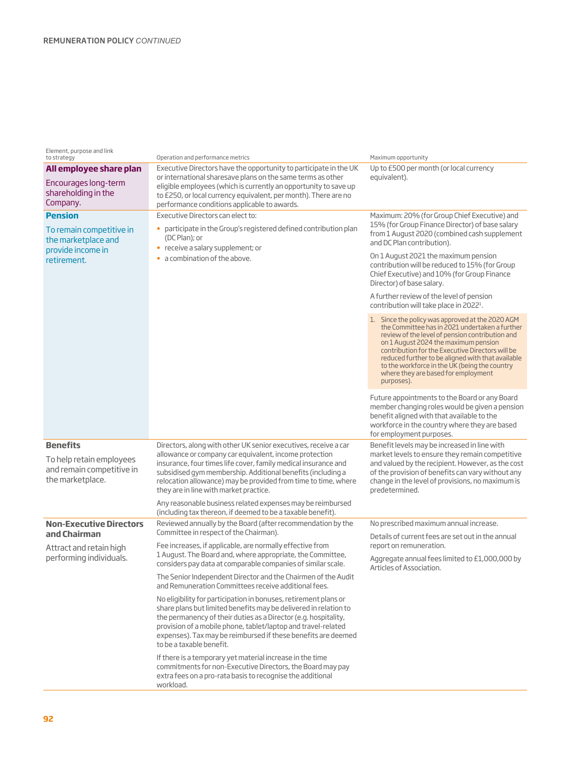#### Element, purpose and link

| to strategy                                                                                           | Operation and performance metrics                                                                                                                                                                                                                                                                                                                                      | Maximum opportunity                                                                                                                                                                                                                                                                                                                                                                                          |
|-------------------------------------------------------------------------------------------------------|------------------------------------------------------------------------------------------------------------------------------------------------------------------------------------------------------------------------------------------------------------------------------------------------------------------------------------------------------------------------|--------------------------------------------------------------------------------------------------------------------------------------------------------------------------------------------------------------------------------------------------------------------------------------------------------------------------------------------------------------------------------------------------------------|
| All employee share plan<br>Encourages long-term<br>shareholding in the<br>Company.                    | Executive Directors have the opportunity to participate in the UK<br>or international sharesave plans on the same terms as other<br>eligible employees (which is currently an opportunity to save up<br>to £250, or local currency equivalent, per month). There are no<br>performance conditions applicable to awards.                                                | Up to £500 per month (or local currency<br>equivalent).                                                                                                                                                                                                                                                                                                                                                      |
| <b>Pension</b><br>To remain competitive in<br>the marketplace and<br>provide income in<br>retirement. | Executive Directors can elect to:<br>participate in the Group's registered defined contribution plan<br>٠<br>(DC Plan); or<br>• receive a salary supplement; or<br>a combination of the above.                                                                                                                                                                         | Maximum: 20% (for Group Chief Executive) and<br>15% (for Group Finance Director) of base salary<br>from 1 August 2020 (combined cash supplement<br>and DC Plan contribution).<br>On 1 August 2021 the maximum pension<br>contribution will be reduced to 15% (for Group<br>Chief Executive) and 10% (for Group Finance<br>Director) of base salary.                                                          |
|                                                                                                       |                                                                                                                                                                                                                                                                                                                                                                        | A further review of the level of pension<br>contribution will take place in 2022 <sup>1</sup> .                                                                                                                                                                                                                                                                                                              |
|                                                                                                       |                                                                                                                                                                                                                                                                                                                                                                        | 1. Since the policy was approved at the 2020 AGM<br>the Committee has in 2021 undertaken a further<br>review of the level of pension contribution and<br>on 1 August 2024 the maximum pension<br>contribution for the Executive Directors will be<br>reduced further to be aligned with that available<br>to the workforce in the UK (being the country<br>where they are based for employment<br>purposes). |
|                                                                                                       |                                                                                                                                                                                                                                                                                                                                                                        | Future appointments to the Board or any Board<br>member changing roles would be given a pension<br>benefit aligned with that available to the<br>workforce in the country where they are based<br>for employment purposes.                                                                                                                                                                                   |
| <b>Benefits</b><br>To help retain employees<br>and remain competitive in<br>the marketplace.          | Directors, along with other UK senior executives, receive a car<br>allowance or company car equivalent, income protection<br>insurance, four times life cover, family medical insurance and<br>subsidised gym membership. Additional benefits (including a<br>relocation allowance) may be provided from time to time, where<br>they are in line with market practice. | Benefit levels may be increased in line with<br>market levels to ensure they remain competitive<br>and valued by the recipient. However, as the cost<br>of the provision of benefits can vary without any<br>change in the level of provisions, no maximum is<br>predetermined.                                                                                                                              |
|                                                                                                       | Any reasonable business related expenses may be reimbursed<br>(including tax thereon, if deemed to be a taxable benefit).                                                                                                                                                                                                                                              |                                                                                                                                                                                                                                                                                                                                                                                                              |
| <b>Non-Executive Directors</b><br>and Chairman                                                        | Reviewed annually by the Board (after recommendation by the<br>Committee in respect of the Chairman).                                                                                                                                                                                                                                                                  | No prescribed maximum annual increase.                                                                                                                                                                                                                                                                                                                                                                       |
| Attract and retain high                                                                               | Fee increases, if applicable, are normally effective from                                                                                                                                                                                                                                                                                                              | Details of current fees are set out in the annual<br>report on remuneration.                                                                                                                                                                                                                                                                                                                                 |
| performing individuals.                                                                               | 1 August. The Board and, where appropriate, the Committee,<br>considers pay data at comparable companies of similar scale.                                                                                                                                                                                                                                             | Aggregate annual fees limited to £1,000,000 by<br>Articles of Association.                                                                                                                                                                                                                                                                                                                                   |
|                                                                                                       | The Senior Independent Director and the Chairmen of the Audit<br>and Remuneration Committees receive additional fees.                                                                                                                                                                                                                                                  |                                                                                                                                                                                                                                                                                                                                                                                                              |
|                                                                                                       | No eligibility for participation in bonuses, retirement plans or<br>share plans but limited benefits may be delivered in relation to<br>the permanency of their duties as a Director (e.g. hospitality,<br>provision of a mobile phone, tablet/laptop and travel-related<br>expenses). Tax may be reimbursed if these benefits are deemed<br>to be a taxable benefit.  |                                                                                                                                                                                                                                                                                                                                                                                                              |
|                                                                                                       | If there is a temporary yet material increase in the time<br>commitments for non-Executive Directors, the Board may pay<br>extra fees on a pro-rata basis to recognise the additional<br>workload.                                                                                                                                                                     |                                                                                                                                                                                                                                                                                                                                                                                                              |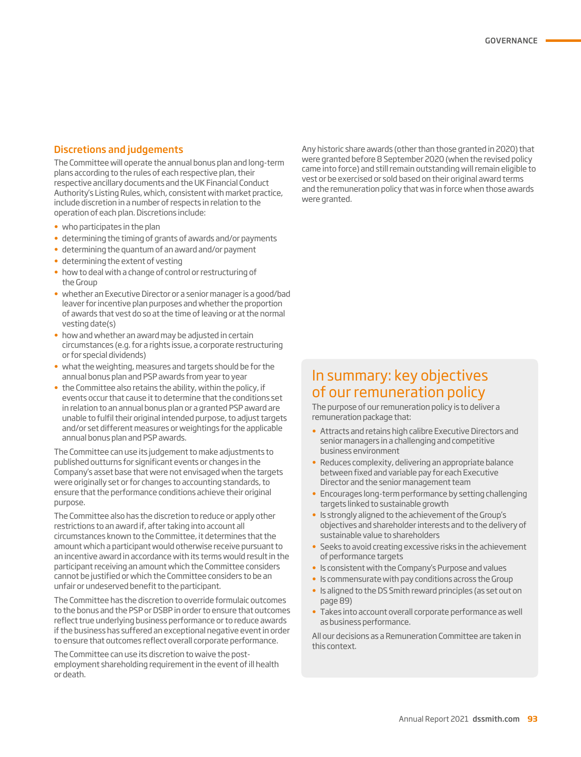#### Discretions and judgements

The Committee will operate the annual bonus plan and long-term plans according to the rules of each respective plan, their respective ancillary documents and the UK Financial Conduct Authority's Listing Rules, which, consistent with market practice, include discretion in a number of respects in relation to the operation of each plan. Discretions include:

- who participates in the plan
- determining the timing of grants of awards and/or payments
- determining the quantum of an award and/or payment
- determining the extent of vesting
- how to deal with a change of control or restructuring of the Group
- whether an Executive Director or a senior manager is a good/bad leaver for incentive plan purposes and whether the proportion of awards that vest do so at the time of leaving or at the normal vesting date(s)
- how and whether an award may be adjusted in certain circumstances (e.g. for a rights issue, a corporate restructuring or for special dividends)
- what the weighting, measures and targets should be for the annual bonus plan and PSP awards from year to year
- the Committee also retains the ability, within the policy, if events occur that cause it to determine that the conditions set in relation to an annual bonus plan or a granted PSP award are unable to fulfil their original intended purpose, to adjust targets and/or set different measures or weightings for the applicable annual bonus plan and PSP awards.

The Committee can use its judgement to make adjustments to published outturns for significant events or changes in the Company's asset base that were not envisaged when the targets were originally set or for changes to accounting standards, to ensure that the performance conditions achieve their original purpose.

The Committee also has the discretion to reduce or apply other restrictions to an award if, after taking into account all circumstances known to the Committee, it determines that the amount which a participant would otherwise receive pursuant to an incentive award in accordance with its terms would result in the participant receiving an amount which the Committee considers cannot be justified or which the Committee considers to be an unfair or undeserved benefit to the participant.

The Committee has the discretion to override formulaic outcomes to the bonus and the PSP or DSBP in order to ensure that outcomes reflect true underlying business performance or to reduce awards if the business has suffered an exceptional negative event in order to ensure that outcomes reflect overall corporate performance.

The Committee can use its discretion to waive the postemployment shareholding requirement in the event of ill health or death.

Any historic share awards (other than those granted in 2020) that were granted before 8 September 2020 (when the revised policy came into force) and still remain outstanding will remain eligible to vest or be exercised or sold based on their original award terms and the remuneration policy that was in force when those awards were granted.

### In summary: key objectives of our remuneration policy

The purpose of our remuneration policy is to deliver a remuneration package that:

- Attracts and retains high calibre Executive Directors and senior managers in a challenging and competitive business environment
- Reduces complexity, delivering an appropriate balance between fixed and variable pay for each Executive Director and the senior management team
- Encourages long-term performance by setting challenging targets linked to sustainable growth
- Is strongly aligned to the achievement of the Group's objectives and shareholder interests and to the delivery of sustainable value to shareholders
- Seeks to avoid creating excessive risks in the achievement of performance targets
- Is consistent with the Company's Purpose and values
- Is commensurate with pay conditions across the Group
- Is aligned to the DS Smith reward principles (as set out on page 89)
- Takes into account overall corporate performance as well as business performance.

All our decisions as a Remuneration Committee are taken in this context.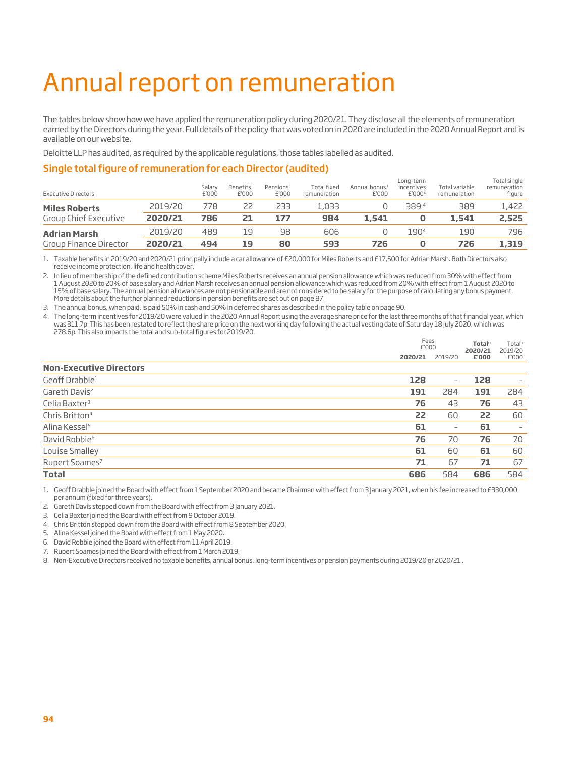# Annual report on remuneration

The tables below show how we have applied the remuneration policy during 2020/21. They disclose all the elements of remuneration earned by the Directors during the year. Full details of the policy that was voted on in 2020 are included in the 2020 Annual Report and is available on our website.

Deloitte LLP has audited, as required by the applicable regulations, those tables labelled as audited.

#### Single total figure of remuneration for each Director (audited)

| Group Finance Director     | 2020/21 | 494             | 19                             | 80                             | 593                                | 726                                |                                               | 726                            | 1,319                                  |
|----------------------------|---------|-----------------|--------------------------------|--------------------------------|------------------------------------|------------------------------------|-----------------------------------------------|--------------------------------|----------------------------------------|
| <b>Adrian Marsh</b>        | 2019/20 | 489             | 19                             | 98                             | 606                                |                                    | 1904                                          | 190                            | 796                                    |
| Group Chief Executive      | 2020/21 | 786             | 21                             | 177                            | 984                                | 1.541                              |                                               | 1,541                          | 2,525                                  |
| <b>Miles Roberts</b>       | 2019/20 | 778             |                                | 233                            | 1,033                              |                                    | 389 <sup>4</sup>                              | 389                            | 1,422                                  |
| <b>Executive Directors</b> |         | Salarv<br>£'000 | Benefits <sup>1</sup><br>£'000 | Pensions <sup>2</sup><br>£'000 | <b>Total fixed</b><br>remuneration | Annual bonus <sup>3</sup><br>£'000 | Long-term<br>incentives<br>£'000 <sup>4</sup> | Total variable<br>remuneration | Total single<br>remuneration<br>figure |

1. Taxable benefits in 2019/20 and 2020/21 principally include a car allowance of £20,000 for Miles Roberts and £17,500 for Adrian Marsh. Both Directors also receive income protection, life and health cover.

2. In lieu of membership of the defined contribution scheme Miles Roberts receives an annual pension allowance which was reduced from 30% with effect from 1 August 2020 to 20% of base salary and Adrian Marsh receives an annual pension allowance which was reduced from 20% with effect from 1 August 2020 to 15% of base salary. The annual pension allowances are not pensionable and are not considered to be salary for the purpose of calculating any bonus payment. More details about the further planned reductions in pension benefits are set out on page 87.

3. The annual bonus, when paid, is paid 50% in cash and 50% in deferred shares as described in the policy table on page 90.

4. The long-term incentives for 2019/20 were valued in the 2020 Annual Report using the average share price for the last three months of that financial year, which was 311.7p. This has been restated to reflect the share price on the next working day following the actual vesting date of Saturday 18 July 2020, which was 278.6p. This also impacts the total and sub-total figures for 2019/20.

|                                |         | Fees<br>£'000            |                  |                          |
|--------------------------------|---------|--------------------------|------------------|--------------------------|
|                                | 2020/21 | 2019/20                  | 2020/21<br>£'000 | 2019/20<br>£'000         |
| <b>Non-Executive Directors</b> |         |                          |                  |                          |
| Geoff Drabble <sup>1</sup>     | 128     | $\overline{\phantom{a}}$ | 128              | $\qquad \qquad -$        |
| Gareth Davis <sup>2</sup>      | 191     | 284                      | 191              | 284                      |
| Celia Baxter <sup>3</sup>      | 76      | 43                       | 76               | 43                       |
| Chris Britton <sup>4</sup>     | 22      | 60                       | 22               | 60                       |
| Alina Kessel <sup>5</sup>      | 61      | $\qquad \qquad -$        | 61               | $\overline{\phantom{a}}$ |
| David Robbie <sup>6</sup>      | 76      | 70                       | 76               | 70                       |
| Louise Smalley                 | 61      | 60                       | 61               | 60                       |
| Rupert Soames <sup>7</sup>     | 71      | 67                       | 71               | 67                       |
| <b>Total</b>                   | 686     | 584                      | 686              | 584                      |

1. Geoff Drabble joined the Board with effect from 1 September 2020 and became Chairman with effect from 3 January 2021, when his fee increased to £330,000 per annum (fixed for three years).

2. Gareth Davis stepped down from the Board with effect from 3 January 2021.

3. Celia Baxter joined the Board with effect from 9 October 2019.

4. Chris Britton stepped down from the Board with effect from 8 September 2020.

5. Alina Kessel joined the Board with effect from 1 May 2020.

6. David Robbie joined the Board with effect from 11 April 2019.

7. Rupert Soames joined the Board with effect from 1 March 2019.

8. Non-Executive Directors received no taxable benefits, annual bonus, long-term incentives or pension payments during 2019/20 or 2020/21 .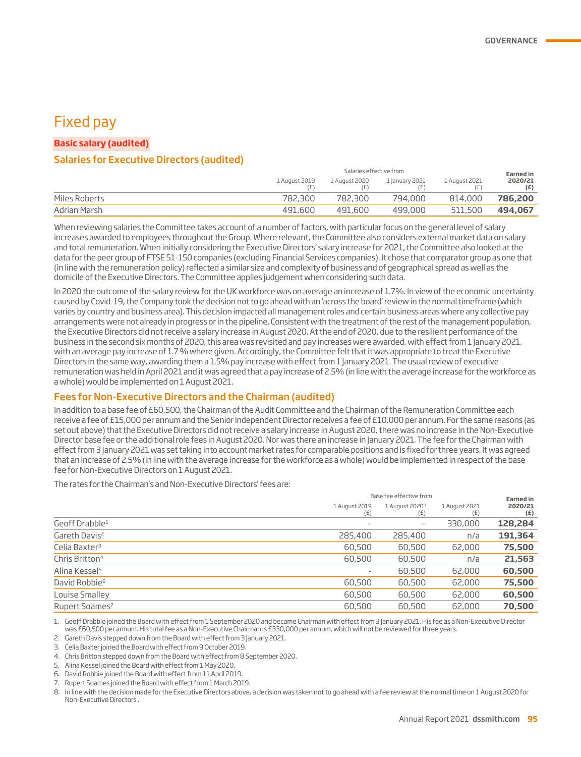## Fixed pay

#### **Basic salary (audited)**

#### Salaries for Executive Directors (audited)

|               | Salaries effective from |               |                |               |                |
|---------------|-------------------------|---------------|----------------|---------------|----------------|
|               | 1 August 2019           | 1 August 2020 | 1 January 2021 | 1 August 2021 | 2020/21<br>(E) |
| Miles Roberts | 782,300                 | 782,300       | 794,000        | 814,000       | 786,200        |
| Adrian Marsh  | 491,600                 | 491,600       | 499,000        | 511.500       | 494,067        |

When reviewing salaries the Committee takes account of a number of factors, with particular focus on the general level of salary increases awarded to employees throughout the Group. Where relevant, the Committee also considers external market data on salary and total remuneration. When initially considering the Executive Directors' salary increase for 2021, the Committee also looked at the data for the peer group of FTSE 51-150 companies (excluding Financial Services companies). It chose that comparator group as one that (in line with the remuneration policy) reflected a similar size and complexity of business and of geographical spread as well as the domicile of the Executive Directors. The Committee applies judgement when considering such data.

In 2020 the outcome of the salary review for the UK workforce was on average an increase of 1.7%. In view of the economic uncertainty caused by Covid-19, the Company took the decision not to go ahead with an 'across the board' review in the normal timeframe (which varies by country and business area). This decision impacted all management roles and certain business areas where any collective pay arrangements were not already in progress or in the pipeline. Consistent with the treatment of the rest of the management population, the Executive Directors did not receive a salary increase in August 2020. At the end of 2020, due to the resilient performance of the business in the second six months of 2020, this area was revisited and pay increases were awarded, with effect from 1 January 2021, with an average pay increase of 1.7 % where given. Accordingly, the Committee felt that it was appropriate to treat the Executive Directors in the same way, awarding them a 1.5% pay increase with effect from 1 January 2021. The usual review of executive remuneration was held in April 2021 and it was agreed that a pay increase of 2.5% (in line with the average increase for the workforce as a whole) would be implemented on 1 August 2021.

#### Fees for Non-Executive Directors and the Chairman (audited)

In addition to a base fee of £60,500, the Chairman of the Audit Committee and the Chairman of the Remuneration Committee each receive a fee of £15,000 per annum and the Senior Independent Director receives a fee of £10,000 per annum. For the same reasons (as set out above) that the Executive Directors did not receive a salary increase in August 2020, there was no increase in the Non-Executive Director base fee or the additional role fees in August 2020. Nor was there an increase in January 2021. The fee for the Chairman with effect from 3 January 2021 was set taking into account market rates for comparable positions and is fixed for three years. It was agreed that an increase of 2.5% (in line with the average increase for the workforce as a whole) would be implemented in respect of the base fee for Non-Executive Directors on 1 August 2021.

The rates for the Chairman's and Non-Executive Directors' fees are:

|                            |                              | Base fee effective from           |                      |                                    |  |
|----------------------------|------------------------------|-----------------------------------|----------------------|------------------------------------|--|
|                            | 1 August 2019<br>(E)         | 1 August 2020 <sup>8</sup><br>(E) | 1 August 2021<br>(E) | <b>Earned</b> in<br>2020/21<br>(E) |  |
| Geoff Drabble <sup>1</sup> | -                            | $\qquad \qquad \blacksquare$      | 330,000              | 128,284                            |  |
| Gareth Davis <sup>2</sup>  | 285,400                      | 285,400                           | n/a                  | 191,364                            |  |
| Celia Baxter <sup>3</sup>  | 60,500                       | 60,500                            | 62,000               | 75,500                             |  |
| Chris Britton <sup>4</sup> | 60,500                       | 60,500                            | n/a                  | 21,563                             |  |
| Alina Kessel <sup>5</sup>  | $\qquad \qquad \blacksquare$ | 60,500                            | 62,000               | 60,500                             |  |
| David Robbie <sup>6</sup>  | 60,500                       | 60,500                            | 62,000               | 75,500                             |  |
| Louise Smalley             | 60,500                       | 60,500                            | 62,000               | 60,500                             |  |
| Rupert Soames <sup>7</sup> | 60,500                       | 60,500                            | 62,000               | 70,500                             |  |
|                            |                              |                                   |                      |                                    |  |

1. Geoff Drabble joined the Board with effect from 1 September 2020 and became Chairman with effect from 3 January 2021. His fee as a Non-Executive Director was £60,500 per annum. His total fee as a Non-Executive Chairman is £330,000 per annum, which will not be reviewed for three years.

2. Gareth Davis stepped down from the Board with effect from 3 January 2021.

3. Celia Baxter joined the Board with effect from 9 October 2019.

4. Chris Britton stepped down from the Board with effect from 8 September 2020.

5. Alina Kessel joined the Board with effect from 1 May 2020.

6. David Robbie joined the Board with effect from 11 April 2019.

7. Rupert Soames joined the Board with effect from 1 March 2019.

8. In line with the decision made for the Executive Directors above, a decision was taken not to go ahead with a fee review at the normal time on 1 August 2020 for Non-Executive Directors .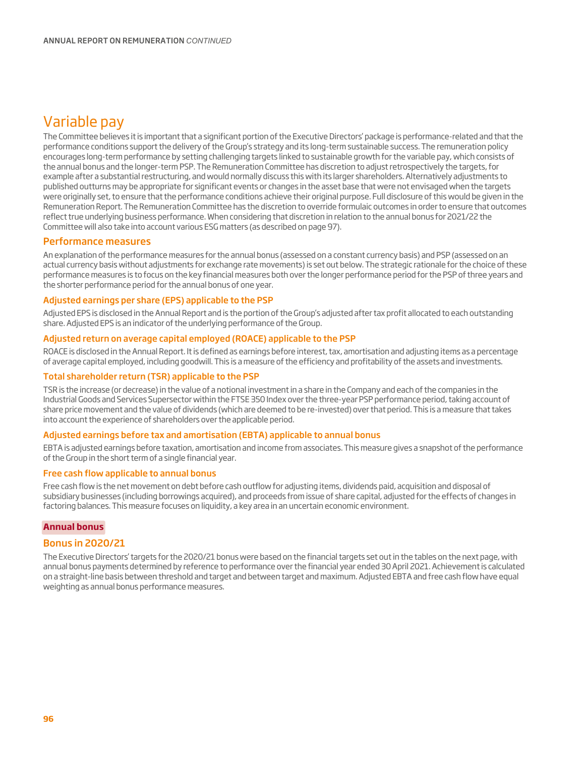# Variable pay

The Committee believes it is important that a significant portion of the Executive Directors' package is performance-related and that the performance conditions support the delivery of the Group's strategy and its long-term sustainable success. The remuneration policy encourages long-term performance by setting challenging targets linked to sustainable growth for the variable pay, which consists of the annual bonus and the longer-term PSP. The Remuneration Committee has discretion to adjust retrospectively the targets, for example after a substantial restructuring, and would normally discuss this with its larger shareholders. Alternatively adjustments to published outturns may be appropriate for significant events or changes in the asset base that were not envisaged when the targets were originally set, to ensure that the performance conditions achieve their original purpose. Full disclosure of this would be given in the Remuneration Report. The Remuneration Committee has the discretion to override formulaic outcomes in order to ensure that outcomes reflect true underlying business performance. When considering that discretion in relation to the annual bonus for 2021/22 the Committee will also take into account various ESG matters (as described on page 97).

#### Performance measures

An explanation of the performance measures for the annual bonus (assessed on a constant currency basis) and PSP (assessed on an actual currency basis without adjustments for exchange rate movements) is set out below. The strategic rationale for the choice of these performance measures is to focus on the key financial measures both over the longer performance period for the PSP of three years and the shorter performance period for the annual bonus of one year.

#### Adjusted earnings per share (EPS) applicable to the PSP

Adjusted EPS is disclosed in the Annual Report and is the portion of the Group's adjusted after tax profit allocated to each outstanding share. Adjusted EPS is an indicator of the underlying performance of the Group.

#### Adjusted return on average capital employed (ROACE) applicable to the PSP

ROACE is disclosed in the Annual Report. It is defined as earnings before interest, tax, amortisation and adjusting items as a percentage of average capital employed, including goodwill. This is a measure of the efficiency and profitability of the assets and investments.

#### Total shareholder return (TSR) applicable to the PSP

TSR is the increase (or decrease) in the value of a notional investment in a share in the Company and each of the companies in the Industrial Goods and Services Supersector within the FTSE 350 Index over the three-year PSP performance period, taking account of share price movement and the value of dividends (which are deemed to be re-invested) over that period. This is a measure that takes into account the experience of shareholders over the applicable period.

#### Adjusted earnings before tax and amortisation (EBTA) applicable to annual bonus

EBTA is adjusted earnings before taxation, amortisation and income from associates. This measure gives a snapshot of the performance of the Group in the short term of a single financial year.

#### Free cash flow applicable to annual bonus

Free cash flow is the net movement on debt before cash outflow for adjusting items, dividends paid, acquisition and disposal of subsidiary businesses (including borrowings acquired), and proceeds from issue of share capital, adjusted for the effects of changes in factoring balances. This measure focuses on liquidity, a key area in an uncertain economic environment.

#### **Annual bonus**

#### Bonus in 2020/21

The Executive Directors' targets for the 2020/21 bonus were based on the financial targets set out in the tables on the next page, with annual bonus payments determined by reference to performance over the financial year ended 30 April 2021. Achievement is calculated on a straight-line basis between threshold and target and between target and maximum. Adjusted EBTA and free cash flow have equal weighting as annual bonus performance measures.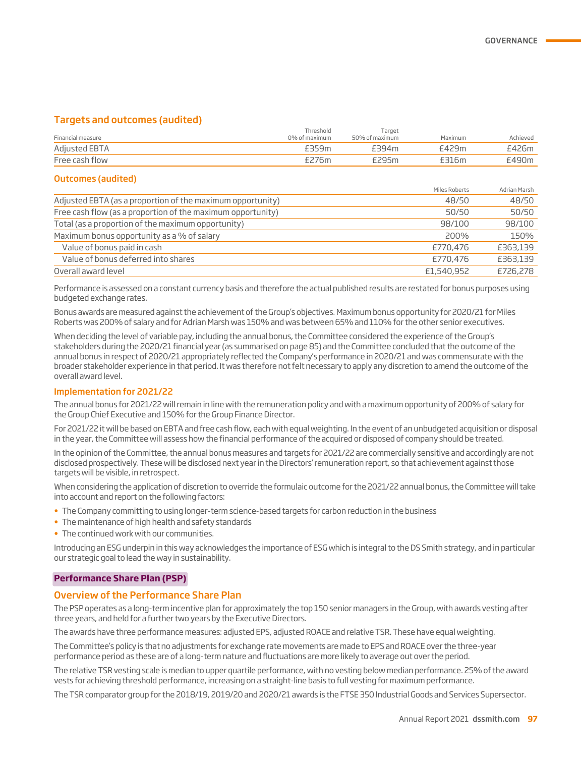#### Targets and outcomes (audited)

| Financial measure | Threshold<br>0% of maximum | Target<br>50% of maximum | Maximum | Achieved |
|-------------------|----------------------------|--------------------------|---------|----------|
| Adjusted EBTA     |                            | F394m                    | £429m   | £426m    |
| Free cash flow    | ີ <sup>7</sup> 76m         | 795m                     | `16m    | £490m    |

#### Outcomes (audited)

|                                                             | Miles Roberts | Adrian Marsh |
|-------------------------------------------------------------|---------------|--------------|
| Adjusted EBTA (as a proportion of the maximum opportunity)  | 48/50         | 48/50        |
| Free cash flow (as a proportion of the maximum opportunity) | 50/50         | 50/50        |
| Total (as a proportion of the maximum opportunity)          | 98/100        | 98/100       |
| Maximum bonus opportunity as a % of salary                  | 200%          | 150%         |
| Value of bonus paid in cash                                 | £770,476      | £363,139     |
| Value of bonus deferred into shares                         | £770,476      | £363,139     |
| Overall award level                                         | £1,540,952    | £726,278     |

Performance is assessed on a constant currency basis and therefore the actual published results are restated for bonus purposes using budgeted exchange rates.

Bonus awards are measured against the achievement of the Group's objectives. Maximum bonus opportunity for 2020/21 for Miles Roberts was 200% of salary and for Adrian Marsh was 150% and was between 65% and 110% for the other senior executives.

When deciding the level of variable pay, including the annual bonus, the Committee considered the experience of the Group's stakeholders during the 2020/21 financial year (as summarised on page 85) and the Committee concluded that the outcome of the annual bonus in respect of 2020/21 appropriately reflected the Company's performance in 2020/21 and was commensurate with the broader stakeholder experience in that period. It was therefore not felt necessary to apply any discretion to amend the outcome of the overall award level.

#### Implementation for 2021/22

The annual bonus for 2021/22 will remain in line with the remuneration policy and with a maximum opportunity of 200% of salary for the Group Chief Executive and 150% for the Group Finance Director.

For 2021/22 it will be based on EBTA and free cash flow, each with equal weighting. In the event of an unbudgeted acquisition or disposal in the year, the Committee will assess how the financial performance of the acquired or disposed of company should be treated.

In the opinion of the Committee, the annual bonus measures and targets for 2021/22 are commercially sensitive and accordingly are not disclosed prospectively. These will be disclosed next year in the Directors' remuneration report, so that achievement against those targets will be visible, in retrospect.

When considering the application of discretion to override the formulaic outcome for the 2021/22 annual bonus, the Committee will take into account and report on the following factors:

- The Company committing to using longer-term science-based targets for carbon reduction in the business
- The maintenance of high health and safety standards
- The continued work with our communities.

Introducing an ESG underpin in this way acknowledges the importance of ESG which is integral to the DS Smith strategy, and in particular our strategic goal to lead the way in sustainability.

#### **Performance Share Plan (PSP)**

#### Overview of the Performance Share Plan

The PSP operates as a long-term incentive plan for approximately the top 150 senior managers in the Group, with awards vesting after three years, and held for a further two years by the Executive Directors.

The awards have three performance measures: adjusted EPS, adjusted ROACE and relative TSR. These have equal weighting.

The Committee's policy is that no adjustments for exchange rate movements are made to EPS and ROACE over the three-year performance period as these are of a long-term nature and fluctuations are more likely to average out over the period.

The relative TSR vesting scale is median to upper quartile performance, with no vesting below median performance. 25% of the award vests for achieving threshold performance, increasing on a straight-line basis to full vesting for maximum performance.

The TSR comparator group for the 2018/19, 2019/20 and 2020/21 awards is the FTSE 350 Industrial Goods and Services Supersector.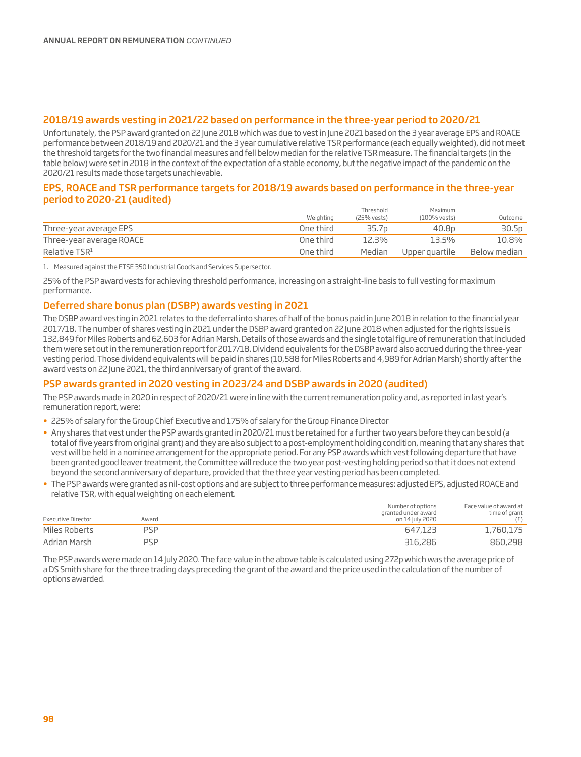#### 2018/19 awards vesting in 2021/22 based on performance in the three-year period to 2020/21

Unfortunately, the PSP award granted on 22 June 2018 which was due to vest in June 2021 based on the 3 year average EPS and ROACE performance between 2018/19 and 2020/21 and the 3 year cumulative relative TSR performance (each equally weighted), did not meet the threshold targets for the two financial measures and fell below median for the relative TSR measure. The financial targets (in the table below) were set in 2018 in the context of the expectation of a stable economy, but the negative impact of the pandemic on the 2020/21 results made those targets unachievable.

#### EPS, ROACE and TSR performance targets for 2018/19 awards based on performance in the three-year period to 2020-21 (audited)

|                          | Weighting | Threshold<br>(25% vests) | Maximum<br>(100% vests) | Outcome      |
|--------------------------|-----------|--------------------------|-------------------------|--------------|
| Three-year average EPS   | One third | 35.7p                    | 40.8 <sub>p</sub>       | 30.5p        |
| Three-year average ROACE | One third | 12.3%                    | 13.5%                   | 10.8%        |
| Relative TSR1            | One third | Median                   | Upper guartile          | Below median |

1. Measured against the FTSE 350 Industrial Goods and Services Supersector.

25% of the PSP award vests for achieving threshold performance, increasing on a straight-line basis to full vesting for maximum performance.

#### Deferred share bonus plan (DSBP) awards vesting in 2021

The DSBP award vesting in 2021 relates to the deferral into shares of half of the bonus paid in June 2018 in relation to the financial year 2017/18. The number of shares vesting in 2021 under the DSBP award granted on 22 June 2018 when adjusted for the rights issue is 132,849 for Miles Roberts and 62,603 for Adrian Marsh. Details of those awards and the single total figure of remuneration that included them were set out in the remuneration report for 2017/18. Dividend equivalents for the DSBP award also accrued during the three-year vesting period. Those dividend equivalents will be paid in shares (10,588 for Miles Roberts and 4,989 for Adrian Marsh) shortly after the award vests on 22 June 2021, the third anniversary of grant of the award.

#### PSP awards granted in 2020 vesting in 2023/24 and DSBP awards in 2020 (audited)

The PSP awards made in 2020 in respect of 2020/21 were in line with the current remuneration policy and, as reported in last year's remuneration report, were:

- 225% of salary for the Group Chief Executive and 175% of salary for the Group Finance Director
- Any shares that vest under the PSP awards granted in 2020/21 must be retained for a further two years before they can be sold (a total of five years from original grant) and they are also subject to a post-employment holding condition, meaning that any shares that vest will be held in a nominee arrangement for the appropriate period. For any PSP awards which vest following departure that have been granted good leaver treatment, the Committee will reduce the two year post-vesting holding period so that it does not extend beyond the second anniversary of departure, provided that the three year vesting period has been completed.
- The PSP awards were granted as nil-cost options and are subject to three performance measures: adjusted EPS, adjusted ROACE and relative TSR, with equal weighting on each element.

| Executive Director | Award | Number of options<br>granted under award<br>on 14 July 2020 | Face value of award at<br>time of grant<br>(E) |
|--------------------|-------|-------------------------------------------------------------|------------------------------------------------|
| Miles Roberts      | PSP   | 647.123                                                     | 1,760,175                                      |
| Adrian Marsh       | PSP   | 316,286                                                     | 860,298                                        |

The PSP awards were made on 14 July 2020. The face value in the above table is calculated using 272p which was the average price of a DS Smith share for the three trading days preceding the grant of the award and the price used in the calculation of the number of options awarded.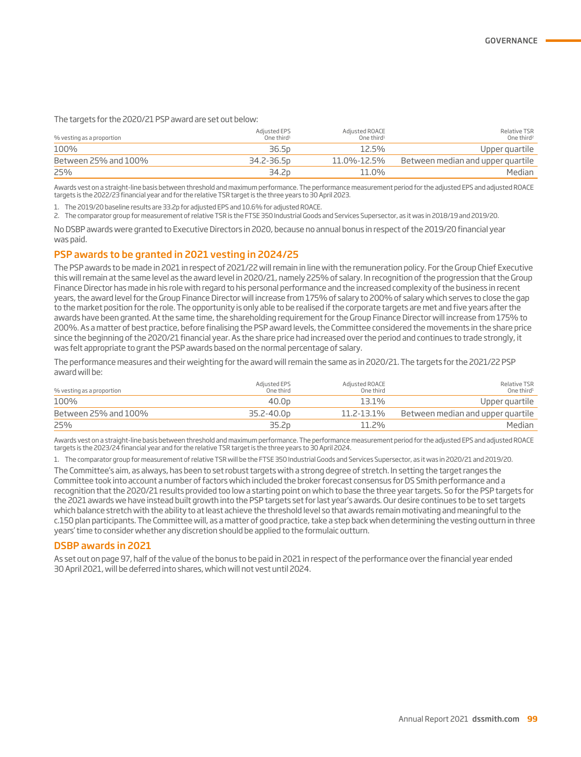The targets for the 2020/21 PSP award are set out below:

| % vesting as a proportion | Adjusted EPS<br>One third <sup>1</sup> | Adjusted ROACE<br>One third <sup>1</sup> | Relative TSR<br>One third <sup>2</sup> |
|---------------------------|----------------------------------------|------------------------------------------|----------------------------------------|
| 100%                      | 36.5 <sub>p</sub>                      | 12.5%                                    | Upper quartile                         |
| Between 25% and 100%      | 34.2-36.5p                             | 11.0%-12.5%                              | Between median and upper quartile      |
| 25%                       | 34.2p                                  | 11.0%                                    | Median                                 |

Awards vest on a straight-line basis between threshold and maximum performance. The performance measurement period for the adjusted EPS and adjusted ROACE targets is the 2022/23 financial year and for the relative TSR target is the three years to 30 April 2023.

1. The 2019/20 baseline results are 33.2p for adjusted EPS and 10.6% for adjusted ROACE.

2. The comparator group for measurement of relative TSR is the FTSE 350 Industrial Goods and Services Supersector, as it was in 2018/19 and 2019/20.

No DSBP awards were granted to Executive Directors in 2020, because no annual bonus in respect of the 2019/20 financial year was paid.

#### PSP awards to be granted in 2021 vesting in 2024/25

The PSP awards to be made in 2021 in respect of 2021/22 will remain in line with the remuneration policy. For the Group Chief Executive this will remain at the same level as the award level in 2020/21, namely 225% of salary. In recognition of the progression that the Group Finance Director has made in his role with regard to his personal performance and the increased complexity of the business in recent years, the award level for the Group Finance Director will increase from 175% of salary to 200% of salary which serves to close the gap to the market position for the role. The opportunity is only able to be realised if the corporate targets are met and five years after the awards have been granted. At the same time, the shareholding requirement for the Group Finance Director will increase from 175% to 200%. As a matter of best practice, before finalising the PSP award levels, the Committee considered the movements in the share price since the beginning of the 2020/21 financial year. As the share price had increased over the period and continues to trade strongly, it was felt appropriate to grant the PSP awards based on the normal percentage of salary.

The performance measures and their weighting for the award will remain the same as in 2020/21. The targets for the 2021/22 PSP award will be:

| % vesting as a proportion | Adjusted EPS<br>One third | Adjusted ROACE<br>One third | Relative TSR<br>One third <sup>1</sup> |
|---------------------------|---------------------------|-----------------------------|----------------------------------------|
| 100%                      | 40.0 <sub>p</sub>         | 13.1%                       | Upper quartile                         |
| Between 25% and 100%      | 35.2-40.0 <sub>p</sub>    | 11.2-13.1%                  | Between median and upper quartile      |
| 25%                       | 35.2 <sub>D</sub>         | $11.7\%$                    | Median                                 |

Awards vest on a straight-line basis between threshold and maximum performance. The performance measurement period for the adjusted EPS and adjusted ROACE targets is the 2023/24 financial year and for the relative TSR target is the three years to 30 April 2024.

1. The comparator group for measurement of relative TSR will be the FTSE 350 Industrial Goods and Services Supersector, as it was in 2020/21 and 2019/20. The Committee's aim, as always, has been to set robust targets with a strong degree of stretch. In setting the target ranges the Committee took into account a number of factors which included the broker forecast consensus for DS Smith performance and a recognition that the 2020/21 results provided too low a starting point on which to base the three year targets. So for the PSP targets for the 2021 awards we have instead built growth into the PSP targets set for last year's awards. Our desire continues to be to set targets which balance stretch with the ability to at least achieve the threshold level so that awards remain motivating and meaningful to the c.150 plan participants. The Committee will, as a matter of good practice, take a step back when determining the vesting outturn in three years' time to consider whether any discretion should be applied to the formulaic outturn.

#### DSBP awards in 2021

As set out on page 97, half of the value of the bonus to be paid in 2021 in respect of the performance over the financial year ended 30 April 2021, will be deferred into shares, which will not vest until 2024.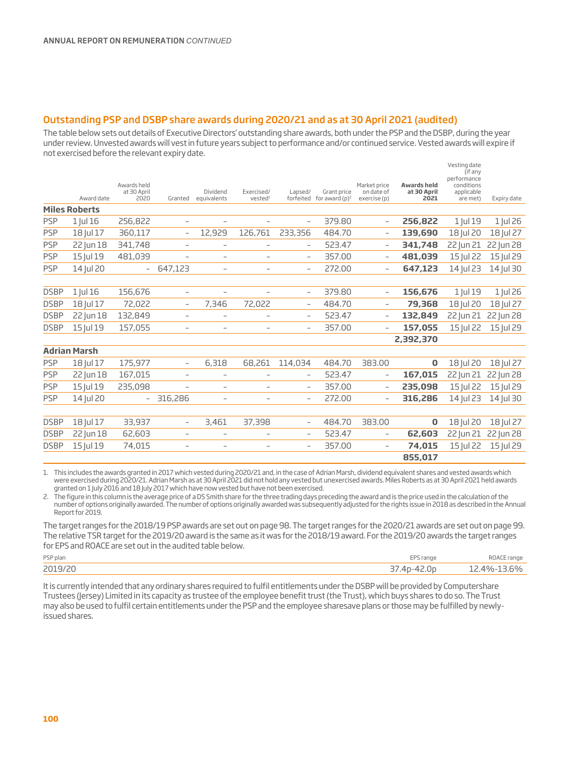#### Outstanding PSP and DSBP share awards during 2020/21 and as at 30 April 2021 (audited)

The table below sets out details of Executive Directors' outstanding share awards, both under the PSP and the DSBP, during the year under review. Unvested awards will vest in future years subject to performance and/or continued service. Vested awards will expire if not exercised before the relevant expiry date.

|             | Award date           | Awards held<br>at 30 April<br>2020 | Granted                  | Dividend<br>equivalents  | Exercised/<br>vested <sup>1</sup> | Lapsed/                  | Grant price<br>forfeited for award $(p)^2$ | Market price<br>on date of<br>exercise (p) | <b>Awardsheld</b><br>at 30 April<br>2021 | Vesting date<br>(if any<br>performance<br>conditions<br>applicable<br>are met) | Expiry date |
|-------------|----------------------|------------------------------------|--------------------------|--------------------------|-----------------------------------|--------------------------|--------------------------------------------|--------------------------------------------|------------------------------------------|--------------------------------------------------------------------------------|-------------|
|             | <b>Miles Roberts</b> |                                    |                          |                          |                                   |                          |                                            |                                            |                                          |                                                                                |             |
| <b>PSP</b>  | 1 Jul 16             | 256,822                            | $\overline{\phantom{a}}$ | $\qquad \qquad -$        | $\overline{\phantom{a}}$          | $\overline{\phantom{a}}$ | 379.80                                     |                                            | 256,822                                  | 1 Jul 19                                                                       | $1$ Jul 26  |
| <b>PSP</b>  | 18 Jul 17            | 360,117                            | $\overline{\phantom{a}}$ | 12,929                   | 126,761                           | 233,356                  | 484.70                                     | $\overline{\phantom{a}}$                   | 139,690                                  | 18 Jul 20                                                                      | 18 Jul 27   |
| <b>PSP</b>  | 22 Jun 18            | 341,748                            | $\overline{\phantom{m}}$ | $\overline{\phantom{0}}$ | $\overline{\phantom{0}}$          | $\overline{\phantom{a}}$ | 523.47                                     | $\overline{\phantom{a}}$                   | 341,748                                  | 22 Jun 21                                                                      | 22 Jun 28   |
| <b>PSP</b>  | 15 Jul 19            | 481,039                            | $\overline{\phantom{a}}$ | $\overline{\phantom{a}}$ | $\overline{\phantom{0}}$          | $\overline{\phantom{a}}$ | 357.00                                     | $\overline{\phantom{a}}$                   | 481,039                                  | 15 Jul 22                                                                      | 15 Jul 29   |
| <b>PSP</b>  | 14 Jul 20            | $\overline{\phantom{0}}$           | 647,123                  | $\overline{\phantom{0}}$ | $\overline{\phantom{a}}$          | $\overline{\phantom{a}}$ | 272.00                                     |                                            | 647,123                                  | 14 Jul 23                                                                      | 14 Jul 30   |
|             |                      |                                    |                          |                          |                                   |                          |                                            |                                            |                                          |                                                                                |             |
| <b>DSBP</b> | 1 Jul 16             | 156,676                            | $\overline{\phantom{a}}$ | $\qquad \qquad -$        | $\overline{\phantom{0}}$          | $\overline{\phantom{a}}$ | 379.80                                     |                                            | 156,676                                  | 1 Jul 19                                                                       | $1$ Jul 26  |
| <b>DSBP</b> | 18 Jul 17            | 72,022                             | $\overline{\phantom{a}}$ | 7,346                    | 72,022                            | $\overline{\phantom{a}}$ | 484.70                                     | $\overline{\phantom{0}}$                   | 79,368                                   | 18 Jul 20                                                                      | 18 Jul 27   |
| <b>DSBP</b> | 22 Jun 18            | 132,849                            | $\overline{\phantom{a}}$ | $\qquad \qquad -$        | $\qquad \qquad -$                 | $\overline{\phantom{a}}$ | 523.47                                     |                                            | 132,849                                  | 22 Jun 21                                                                      | 22 Jun 28   |
| <b>DSBP</b> | 15 Jul 19            | 157,055                            | $\overline{\phantom{a}}$ | $\overline{\phantom{0}}$ | $\overline{\phantom{0}}$          | $\overline{\phantom{a}}$ | 357.00                                     |                                            | 157,055                                  | 15 Jul 22                                                                      | 15 Jul 29   |
|             |                      |                                    |                          |                          |                                   |                          |                                            |                                            | 2,392,370                                |                                                                                |             |
|             | <b>Adrian Marsh</b>  |                                    |                          |                          |                                   |                          |                                            |                                            |                                          |                                                                                |             |
| <b>PSP</b>  | 18 Jul 17            | 175,977                            | $\overline{\phantom{a}}$ | 6,318                    | 68,261                            | 114,034                  | 484.70                                     | 383.00                                     | $\bf{0}$                                 | 18 Jul 20                                                                      | 18 Jul 27   |
| <b>PSP</b>  | 22 Jun 18            | 167,015                            | $\overline{\phantom{a}}$ | $\qquad \qquad -$        | $\overline{\phantom{0}}$          | $\overline{\phantom{a}}$ | 523.47                                     | $\overline{\phantom{0}}$                   | 167,015                                  | 22 Jun 21                                                                      | 22 Jun 28   |
| <b>PSP</b>  | 15 Jul 19            | 235,098                            | $\qquad \qquad -$        | $\qquad \qquad -$        | $\overline{\phantom{0}}$          | $\overline{\phantom{a}}$ | 357.00                                     |                                            | 235,098                                  | 15 Jul 22                                                                      | 15 Jul 29   |
| <b>PSP</b>  | 14 Jul 20            | $\overline{\phantom{0}}$           | 316,286                  | $\overline{\phantom{0}}$ | $\overline{\phantom{0}}$          | $\overline{\phantom{a}}$ | 272.00                                     |                                            | 316,286                                  | 14 Jul 23                                                                      | 14 Jul 30   |
|             |                      |                                    |                          |                          |                                   |                          |                                            |                                            |                                          |                                                                                |             |
| <b>DSBP</b> | 18 Jul 17            | 33,937                             | $\overline{\phantom{a}}$ | 3,461                    | 37,398                            | $\overline{\phantom{a}}$ | 484.70                                     | 383.00                                     | 0                                        | 18 Jul 20                                                                      | 18 Jul 27   |
| <b>DSBP</b> | 22 Jun 18            | 62,603                             | $\overline{\phantom{a}}$ | $\overline{\phantom{0}}$ | $\overline{\phantom{0}}$          | $\overline{\phantom{a}}$ | 523.47                                     |                                            | 62,603                                   | 22 Jun 21                                                                      | 22 Jun 28   |
| <b>DSBP</b> | 15 Jul 19            | 74,015                             | $\overline{\phantom{a}}$ | $\overline{\phantom{0}}$ | $\overline{\phantom{0}}$          | $\overline{\phantom{a}}$ | 357.00                                     | $\overline{\phantom{0}}$                   | 74,015                                   | 15 Jul 22                                                                      | 15 Jul 29   |
|             |                      |                                    |                          |                          |                                   |                          |                                            |                                            | 855,017                                  |                                                                                |             |

1. This includes the awards granted in 2017 which vested during 2020/21 and, in the case of Adrian Marsh, dividend equivalent shares and vested awards which were exercised during 2020/21. Adrian Marsh as at 30 April 2021 did not hold any vested but unexercised awards. Miles Roberts as at 30 April 2021 held awards granted on 1 July 2016 and 18 July 2017 which have now vested but have not been exercised.

2. The figure in this column is the average price of a DS Smith share for the three trading days preceding the award and is the price used in the calculation of the number of options originally awarded. The number of options originally awarded was subsequently adjusted for the rights issue in 2018 as described in the Annual Report for 2019.

The target ranges for the 2018/19 PSP awards are set out on page 98. The target ranges for the 2020/21 awards are set out on page 99. The relative TSR target for the 2019/20 award is the same as it was for the 2018/19 award. For the 2019/20 awards the target ranges for EPS and ROACE are set out in the audited table below.

| PSP plan        | <b>FDC</b>                      |     |
|-----------------|---------------------------------|-----|
| $\neg$ $\cap$ 1 | .Or<br>$\overline{\phantom{a}}$ | ьч/ |

It is currently intended that any ordinary shares required to fulfil entitlements under the DSBP will be provided by Computershare Trustees (Jersey) Limited in its capacity as trustee of the employee benefit trust (the Trust), which buys shares to do so. The Trust may also be used to fulfil certain entitlements under the PSP and the employee sharesave plans or those may be fulfilled by newlyissued shares.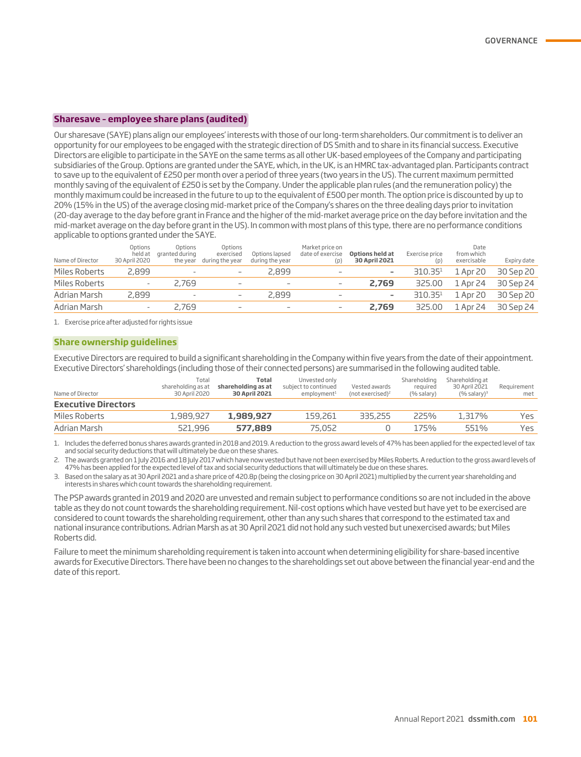#### **Sharesave – employee share plans (audited)**

Our sharesave (SAYE) plans align our employees' interests with those of our long-term shareholders. Our commitment is to deliver an opportunity for our employees to be engaged with the strategic direction of DS Smith and to share in its financial success. Executive Directors are eligible to participate in the SAYE on the same terms as all other UK-based employees of the Company and participating subsidiaries of the Group. Options are granted under the SAYE, which, in the UK, is an HMRC tax-advantaged plan. Participants contract to save up to the equivalent of £250 per month over a period of three years (two years in the US). The current maximum permitted monthly saving of the equivalent of £250 is set by the Company. Under the applicable plan rules (and the remuneration policy) the monthly maximum could be increased in the future to up to the equivalent of £500 per month. The option price is discounted by up to 20% (15% in the US) of the average closing mid-market price of the Company's shares on the three dealing days prior to invitation (20-day average to the day before grant in France and the higher of the mid-market average price on the day before invitation and the mid-market average on the day before grant in the US). In common with most plans of this type, there are no performance conditions applicable to options granted under the SAYE.

| Name of Director | Options<br>held at<br>30 April 2020 | Options<br>aranted during<br>the year | Options<br>exercised<br>during the year | Options lapsed<br>during the year | Market price on<br>date of exercise<br>(p) | Options held at<br><b>30 April 2021</b> | Exercise price<br>(p) | Date<br>from which<br>exercisable | Expiry date |
|------------------|-------------------------------------|---------------------------------------|-----------------------------------------|-----------------------------------|--------------------------------------------|-----------------------------------------|-----------------------|-----------------------------------|-------------|
| Miles Roberts    | 2,899                               | $\overline{\phantom{a}}$              | $\qquad \qquad -$                       | 2,899                             | $\overline{\phantom{a}}$                   | ۰                                       | 310.35 <sup>1</sup>   | 1 Apr 20                          | 30 Sep 20   |
| Miles Roberts    | $\overline{\phantom{a}}$            | 2,769                                 | $\overline{\phantom{a}}$                |                                   |                                            | 2,769                                   | 325,00                | 1 Apr 24                          | 30 Sep 24   |
| Adrian Marsh     | 2,899                               | $\overline{\phantom{a}}$              | $\overline{\phantom{a}}$                | 2,899                             | $\overline{\phantom{a}}$                   | -                                       | 310.35 <sup>1</sup>   | 1 Apr 20                          | 30 Sep 20   |
| Adrian Marsh     | $\overline{\phantom{a}}$            | 2,769                                 | $\overline{\phantom{a}}$                |                                   | $\overline{\phantom{0}}$                   | 2,769                                   | 325,00                | 1 Apr 24                          | 30 Sep 24   |

1. Exercise price after adjusted for rights issue

#### **Share ownership guidelines**

Executive Directors are required to build a significant shareholding in the Company within five years from the date of their appointment. Executive Directors' shareholdings (including those of their connected persons) are summarised in the following audited table.

| Name of Director           | Total<br>shareholding as at<br>30 April 2020 | Total<br>shareholding as at<br><b>30 April 2021</b> | Unvested only<br>subject to continued<br>employment <sup>1</sup> | Vested awards<br>(not exercised) <sup>2</sup> | Shareholding<br>reguired<br>(% salary) | Shareholding at<br>30 April 2021<br>$(%$ salary) <sup>3</sup> | Requirement<br>met |
|----------------------------|----------------------------------------------|-----------------------------------------------------|------------------------------------------------------------------|-----------------------------------------------|----------------------------------------|---------------------------------------------------------------|--------------------|
| <b>Executive Directors</b> |                                              |                                                     |                                                                  |                                               |                                        |                                                               |                    |
| Miles Roberts              | 1,989,927                                    | 1,989,927                                           | 159,261                                                          | 335,255                                       | 225%                                   | 1,317%                                                        | Yes.               |
| Adrian Marsh               | 521,996                                      | 577.889                                             | 75.052                                                           |                                               | 175%                                   | 551%                                                          | Yes.               |

1. Includes the deferred bonus shares awards granted in 2018 and 2019. A reduction to the gross award levels of 47% has been applied for the expected level of tax and social security deductions that will ultimately be due on these shares.

2. The awards granted on 1 July 2016 and 18 July 2017 which have now vested but have not been exercised by Miles Roberts. A reduction to the gross award levels of 47% has been applied for the expected level of tax and social security deductions that will ultimately be due on these shares.

3. Based on the salary as at 30 April 2021 and a share price of 420.8p (being the closing price on 30 April 2021) multiplied by the current year shareholding and interests in shares which count towards the shareholding requirement.

The PSP awards granted in 2019 and 2020 are unvested and remain subject to performance conditions so are not included in the above table as they do not count towards the shareholding requirement. Nil-cost options which have vested but have yet to be exercised are considered to count towards the shareholding requirement, other than any such shares that correspond to the estimated tax and national insurance contributions. Adrian Marsh as at 30 April 2021 did not hold any such vested but unexercised awards; but Miles Roberts did.

Failure to meet the minimum shareholding requirement is taken into account when determining eligibility for share-based incentive awards for Executive Directors. There have been no changes to the shareholdings set out above between the financial year-end and the date of this report.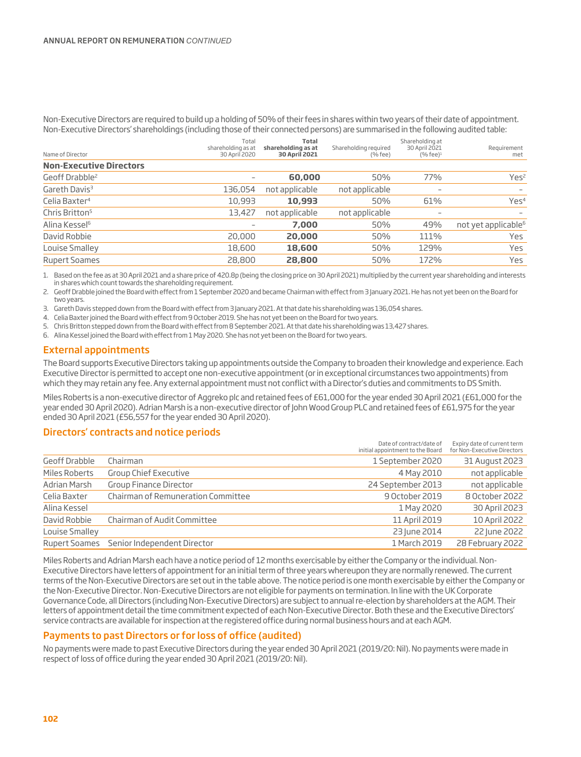Non-Executive Directors are required to build up a holding of 50% of their fees in shares within two years of their date of appointment. Non-Executive Directors' shareholdings (including those of their connected persons) are summarised in the following audited table:

| Name of Director               | Total<br>shareholding as at<br>30 April 2020 | <b>Total</b><br>shareholding as at<br><b>30 April 2021</b> | Shareholding required<br>$(%$ fee $)$ | Shareholding at<br>30 April 2021<br>$(%$ fee $)^1$ | Requirement<br>met              |
|--------------------------------|----------------------------------------------|------------------------------------------------------------|---------------------------------------|----------------------------------------------------|---------------------------------|
| <b>Non-Executive Directors</b> |                                              |                                                            |                                       |                                                    |                                 |
| Geoff Drabble <sup>2</sup>     | $\overline{\phantom{a}}$                     | 60,000                                                     | 50%                                   | 77%                                                | Yes <sup>2</sup>                |
| Gareth Davis <sup>3</sup>      | 136,054                                      | not applicable                                             | not applicable                        | $\qquad \qquad$                                    | $\overline{\phantom{a}}$        |
| Celia Baxter <sup>4</sup>      | 10,993                                       | 10,993                                                     | 50%                                   | 61%                                                | Yes <sup>4</sup>                |
| Chris Britton <sup>5</sup>     | 13,427                                       | not applicable                                             | not applicable                        | $\qquad \qquad$                                    |                                 |
| Alina Kessel <sup>6</sup>      | $\qquad \qquad$                              | 7,000                                                      | 50%                                   | 49%                                                | not yet applicable <sup>6</sup> |
| David Robbie                   | 20,000                                       | 20,000                                                     | 50%                                   | 111%                                               | Yes                             |
| Louise Smalley                 | 18,600                                       | 18,600                                                     | 50%                                   | 129%                                               | Yes                             |
| <b>Rupert Soames</b>           | 28,800                                       | 28,800                                                     | 50%                                   | 172%                                               | Yes                             |

1. Based on the fee as at 30 April 2021 and a share price of 420.8p (being the closing price on 30 April 2021) multiplied by the current year shareholding and interests in shares which count towards the shareholding requirement.

2. Geoff Drabble joined the Board with effect from 1 September 2020 and became Chairman with effect from 3 January 2021. He has not yet been on the Board for two years.

3. Gareth Davis stepped down from the Board with effect from 3 January 2021. At that date his shareholding was 136,054 shares.

- 4. Celia Baxter joined the Board with effect from 9 October 2019. She has not yet been on the Board for two years.
- 5. Chris Britton stepped down from the Board with effect from 8 September 2021. At that date his shareholding was 13,427 shares.
- 6. Alina Kessel joined the Board with effect from 1 May 2020. She has not yet been on the Board for two years.

#### External appointments

The Board supports Executive Directors taking up appointments outside the Company to broaden their knowledge and experience. Each Executive Director is permitted to accept one non-executive appointment (or in exceptional circumstances two appointments) from which they may retain any fee. Any external appointment must not conflict with a Director's duties and commitments to DS Smith.

Miles Roberts is a non-executive director of Aggreko plc and retained fees of £61,000 for the year ended 30 April 2021 (£61,000 for the year ended 30 April 2020). Adrian Marsh is a non-executive director of John Wood Group PLC and retained fees of £61,975 for the year ended 30 April 2021 (£56,557 for the year ended 30 April 2020).

#### Directors' contracts and notice periods

|                |                                           | Date of contract/date of<br>initial appointment to the Board | Expiry date of current term<br>for Non-Executive Directors |
|----------------|-------------------------------------------|--------------------------------------------------------------|------------------------------------------------------------|
| Geoff Drabble  | Chairman                                  | 1 September 2020                                             | 31 August 2023                                             |
| Miles Roberts  | Group Chief Executive                     | 4 May 2010                                                   | not applicable                                             |
| Adrian Marsh   | <b>Group Finance Director</b>             | 24 September 2013                                            | not applicable                                             |
| Celia Baxter   | <b>Chairman of Remuneration Committee</b> | 9 October 2019                                               | 8 October 2022                                             |
| Alina Kessel   |                                           | 1 May 2020                                                   | 30 April 2023                                              |
| David Robbie   | Chairman of Audit Committee               | 11 April 2019                                                | 10 April 2022                                              |
| Louise Smalley |                                           | 23 June 2014                                                 | 22 June 2022                                               |
|                | Rupert Soames Senior Independent Director | 1 March 2019                                                 | 28 February 2022                                           |

Miles Roberts and Adrian Marsh each have a notice period of 12 months exercisable by either the Company or the individual. Non-Executive Directors have letters of appointment for an initial term of three years whereupon they are normally renewed. The current terms of the Non-Executive Directors are set out in the table above. The notice period is one month exercisable by either the Company or the Non-Executive Director. Non-Executive Directors are not eligible for payments on termination. In line with the UK Corporate Governance Code, all Directors (including Non-Executive Directors) are subject to annual re-election by shareholders at the AGM. Their letters of appointment detail the time commitment expected of each Non-Executive Director. Both these and the Executive Directors' service contracts are available for inspection at the registered office during normal business hours and at each AGM.

#### Payments to past Directors or for loss of office (audited)

No payments were made to past Executive Directors during the year ended 30 April 2021 (2019/20: Nil). No payments were made in respect of loss of office during the year ended 30 April 2021 (2019/20: Nil).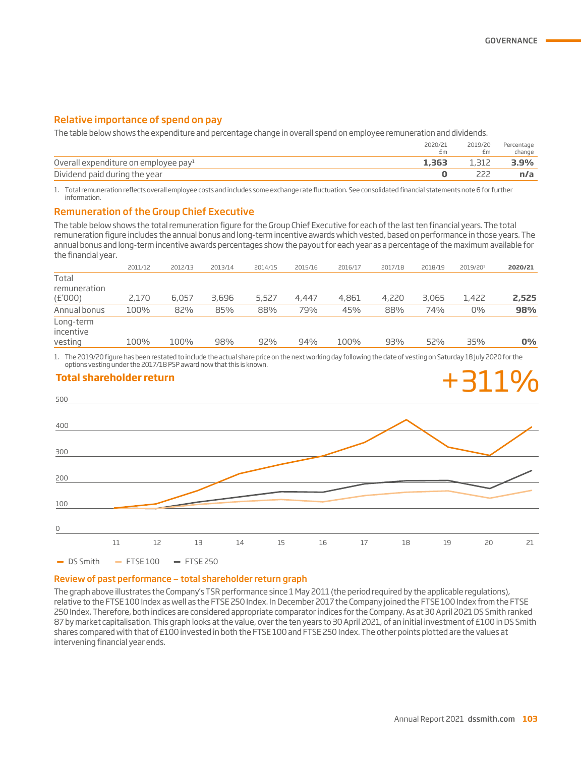#### Relative importance of spend on pay

The table below shows the expenditure and percentage change in overall spend on employee remuneration and dividends.

|                                                  | 2020/21<br>£m | 2019/20<br>£m | Percentage<br>change |
|--------------------------------------------------|---------------|---------------|----------------------|
| Overall expenditure on employee pay <sup>1</sup> | 1,363         | 1.312         | 3.9%                 |
| Dividend paid during the year                    |               |               |                      |

1. Total remuneration reflects overall employee costs and includes some exchange rate fluctuation. See consolidated financial statements note 6 for further information.

#### Remuneration of the Group Chief Executive

The table below shows the total remuneration figure for the Group Chief Executive for each of the last ten financial years. The total remuneration figure includes the annual bonus and long-term incentive awards which vested, based on performance in those years. The annual bonus and long-term incentive awards percentages show the payout for each year as a percentage of the maximum available for the financial year.

|                                   | 2011/12 | 2012/13 | 2013/14 | 2014/15 | 2015/16 | 2016/17 | 2017/18 | 2018/19 | 2019/201 | 2020/21 |
|-----------------------------------|---------|---------|---------|---------|---------|---------|---------|---------|----------|---------|
| Total<br>remuneration<br>(E'000)  | 2,170   | 6,057   | 3,696   | 5,527   | 4,447   | 4,861   | 4,220   | 3,065   | 1,422    | 2,525   |
| Annual bonus                      | 100%    | 82%     | 85%     | 88%     | 79%     | 45%     | 88%     | 74%     | 0%       | 98%     |
| Long-term<br>incentive<br>vesting | 100%    | 100%    | 98%     | 92%     | 94%     | 100%    | 93%     | 52%     | 35%      | 0%      |

1. The 2019/20 figure has been restated to include the actual share price on the next working day following the date of vesting on Saturday 18 July 2020 for the options vesting under the 2017/18 PSP award now that this is known.



#### Review of past performance — total shareholder return graph

The graph above illustrates the Company's TSR performance since 1 May 2011 (the period required by the applicable regulations), relative to the FTSE 100 Index as well as the FTSE 250 Index. In December 2017 the Company joined the FTSE 100 Index from the FTSE 250 Index. Therefore, both indices are considered appropriate comparator indices for the Company. As at 30 April 2021 DS Smith ranked 87 by market capitalisation. This graph looks at the value, over the ten years to 30 April 2021, of an initial investment of £100 in DS Smith shares compared with that of £100 invested in both the FTSE 100 and FTSE 250 Index. The other points plotted are the values at intervening financial year ends.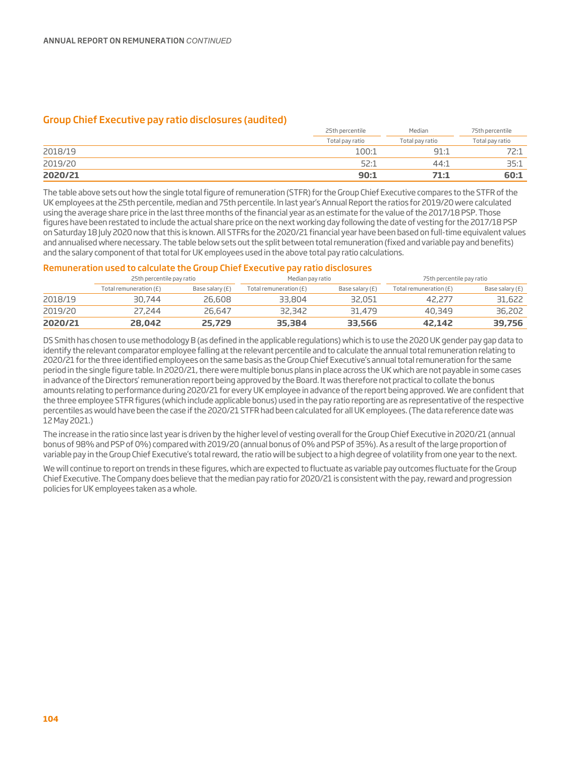#### Group Chief Executive pay ratio disclosures (audited)

|         | 25th percentile | Median          | 75th percentile |
|---------|-----------------|-----------------|-----------------|
|         | Total pay ratio | Total pay ratio | Total pay ratio |
| 2018/19 | 100:1           | 91:1            | フつい             |
| 2019/20 | 52:1            | 44:1            | 35:1            |
| 2020/21 | 90:1            | 71:1            | 60:1            |

The table above sets out how the single total figure of remuneration (STFR) for the Group Chief Executive compares to the STFR of the UK employees at the 25th percentile, median and 75th percentile. In last year's Annual Report the ratios for 2019/20 were calculated using the average share price in the last three months of the financial year as an estimate for the value of the 2017/18 PSP. Those figures have been restated to include the actual share price on the next working day following the date of vesting for the 2017/18 PSP on Saturday 18 July 2020 now that this is known. All STFRs for the 2020/21 financial year have been based on full-time equivalent values and annualised where necessary. The table below sets out the split between total remuneration (fixed and variable pay and benefits) and the salary component of that total for UK employees used in the above total pay ratio calculations.

#### Remuneration used to calculate the Group Chief Executive pay ratio disclosures

|         | 25th percentile pay ratio |                 | Median pay ratio       |                 | 75th percentile pay ratio |                 |  |
|---------|---------------------------|-----------------|------------------------|-----------------|---------------------------|-----------------|--|
|         | Total remuneration (£)    | Base salary (£) | Total remuneration (£) | Base salary (£) | Total remuneration (£)    | Base salary (£) |  |
| 2018/19 | 30,744                    | 26,608          | 33,804                 | 32,051          | 42,277                    | 31,622          |  |
| 2019/20 | 27,244                    | 26.647          | 32,342                 | 31,479          | 40.349                    | 36,202          |  |
| 2020/21 | 28,042                    | 25,729          | 35,384                 | 33,566          | 42,142                    | 39,756          |  |

DS Smith has chosen to use methodology B (as defined in the applicable regulations) which is to use the 2020 UK gender pay gap data to identify the relevant comparator employee falling at the relevant percentile and to calculate the annual total remuneration relating to 2020/21 for the three identified employees on the same basis as the Group Chief Executive's annual total remuneration for the same period in the single figure table. In 2020/21, there were multiple bonus plans in place across the UK which are not payable in some cases in advance of the Directors' remuneration report being approved by the Board. It was therefore not practical to collate the bonus amounts relating to performance during 2020/21 for every UK employee in advance of the report being approved. We are confident that the three employee STFR figures (which include applicable bonus) used in the pay ratio reporting are as representative of the respective percentiles as would have been the case if the 2020/21 STFR had been calculated for all UK employees. (The data reference date was 12 May 2021.)

The increase in the ratio since last year is driven by the higher level of vesting overall for the Group Chief Executive in 2020/21 (annual bonus of 98% and PSP of 0%) compared with 2019/20 (annual bonus of 0% and PSP of 35%). As a result of the large proportion of variable pay in the Group Chief Executive's total reward, the ratio will be subject to a high degree of volatility from one year to the next.

We will continue to report on trends in these figures, which are expected to fluctuate as variable pay outcomes fluctuate for the Group Chief Executive. The Company does believe that the median pay ratio for 2020/21 is consistent with the pay, reward and progression policies for UK employees taken as a whole.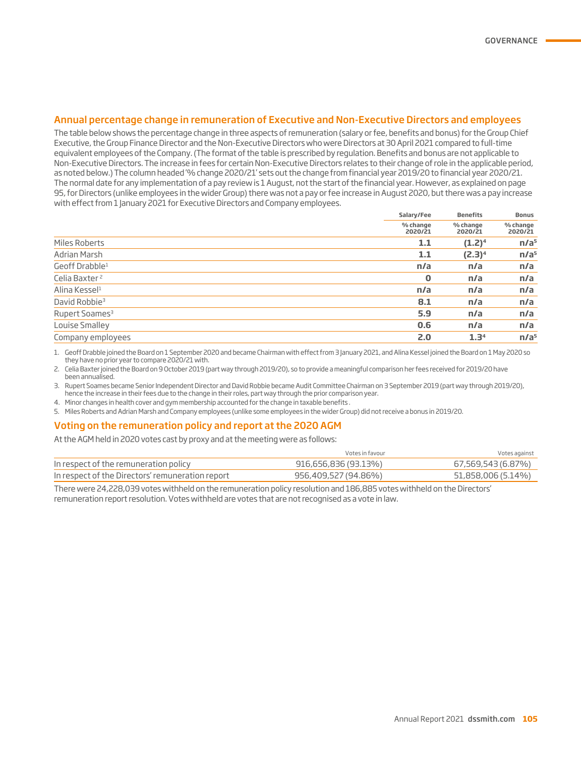#### Annual percentage change in remuneration of Executive and Non-Executive Directors and employees

The table below shows the percentage change in three aspects of remuneration (salary or fee, benefits and bonus) for the Group Chief Executive, the Group Finance Director and the Non-Executive Directors who were Directors at 30 April 2021 compared to full-time equivalent employees of the Company. (The format of the table is prescribed by regulation. Benefits and bonus are not applicable to Non-Executive Directors. The increase in fees for certain Non-Executive Directors relates to their change of role in the applicable period, as noted below.) The column headed '% change 2020/21' sets out the change from financial year 2019/20 to financial year 2020/21. The normal date for any implementation of a pay review is 1 August, not the start of the financial year. However, as explained on page 95, for Directors (unlike employees in the wider Group) there was not a pay or fee increase in August 2020, but there was a pay increase with effect from 1 January 2021 for Executive Directors and Company employees.

|                            | Salary/Fee          | <b>Benefits</b>     | <b>Bonus</b><br>% change<br>2020/21 |
|----------------------------|---------------------|---------------------|-------------------------------------|
|                            | % change<br>2020/21 | % change<br>2020/21 |                                     |
| Miles Roberts              | 1.1                 | $(1.2)^4$           | n/a <sup>5</sup>                    |
| Adrian Marsh               | 1.1                 | $(2.3)^4$           | n/a <sup>5</sup>                    |
| Geoff Drabble <sup>1</sup> | n/a                 | n/a                 | n/a                                 |
| Celia Baxter <sup>2</sup>  | $\bf{0}$            | n/a                 | n/a                                 |
| Alina Kessel <sup>1</sup>  | n/a                 | n/a                 | n/a                                 |
| David Robbie <sup>3</sup>  | 8.1                 | n/a                 | n/a                                 |
| Rupert Soames <sup>3</sup> | 5.9                 | n/a                 | n/a                                 |
| Louise Smalley             | 0.6                 | n/a                 | n/a                                 |
| Company employees          | 2.0                 | 1.3 <sup>4</sup>    | n/a <sup>5</sup>                    |

1. Geoff Drabble joined the Board on 1 September 2020 and became Chairman with effect from 3 January 2021, and Alina Kessel joined the Board on 1 May 2020 so they have no prior year to compare 2020/21 with.

2. Celia Baxter joined the Board on 9 October 2019 (part way through 2019/20), so to provide a meaningful comparison her fees received for 2019/20 have been annualised.

3. Rupert Soames became Senior Independent Director and David Robbie became Audit Committee Chairman on 3 September 2019 (part way through 2019/20), hence the increase in their fees due to the change in their roles, part way through the prior comparison year.

4. Minor changes in health cover and gym membership accounted for the change in taxable benefits .

5. Miles Roberts and Adrian Marsh and Company employees (unlike some employees in the wider Group) did not receive a bonus in 2019/20.

#### Voting on the remuneration policy and report at the 2020 AGM

At the AGM held in 2020 votes cast by proxy and at the meeting were as follows:

|                                                  | Votes in favour      | Votes against      |
|--------------------------------------------------|----------------------|--------------------|
| In respect of the remuneration policy            | 916,656,836 (93.13%) | 67,569,543 (6.87%) |
| In respect of the Directors' remuneration report | 956,409,527 (94.86%) | 51,858,006 (5.14%) |

There were 24,228,039 votes withheld on the remuneration policy resolution and 186,885 votes withheld on the Directors' remuneration report resolution. Votes withheld are votes that are not recognised as a vote in law.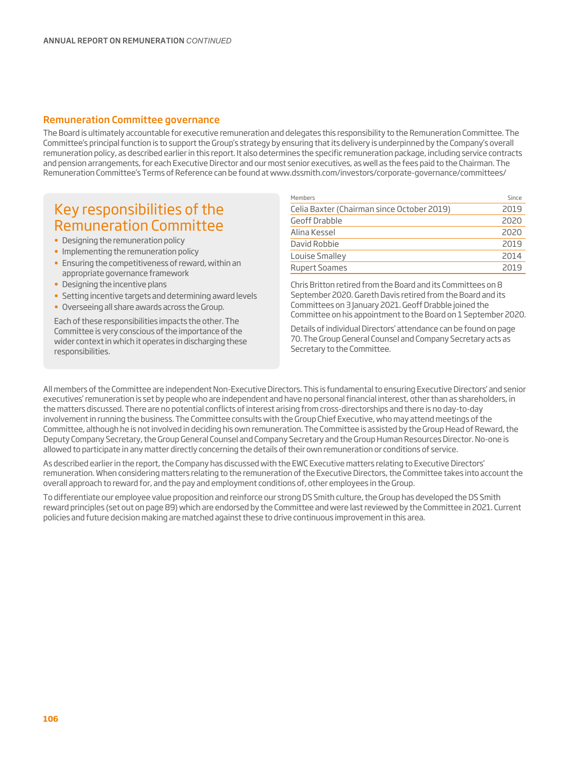#### Remuneration Committee governance

The Board is ultimately accountable for executive remuneration and delegates this responsibility to the Remuneration Committee. The Committee's principal function is to support the Group's strategy by ensuring that its delivery is underpinned by the Company's overall remuneration policy, as described earlier in this report. It also determines the specific remuneration package, including service contracts and pension arrangements, for each Executive Director and our most senior executives, as well as the fees paid to the Chairman. The Remuneration Committee's Terms of Reference can be found at www.dssmith.com/investors/corporate-governance/committees/

## Key responsibilities of the Remuneration Committee

- Designing the remuneration policy
- Implementing the remuneration policy
- Ensuring the competitiveness of reward, within an appropriate governance framework
- Designing the incentive plans
- Setting incentive targets and determining award levels
- Overseeing all share awards across the Group.

Each of these responsibilities impacts the other. The Committee is very conscious of the importance of the wider context in which it operates in discharging these responsibilities.

| Members                                    | Since |
|--------------------------------------------|-------|
| Celia Baxter (Chairman since October 2019) | 2019  |
| Geoff Drabble                              | 2020  |
| Alina Kessel                               | 2020  |
| David Robbie                               | 2019  |
| Louise Smalley                             | 2014  |
| <b>Rupert Soames</b>                       | 2019  |

Chris Britton retired from the Board and its Committees on 8 September 2020. Gareth Davis retired from the Board and its Committees on 3 January 2021. Geoff Drabble joined the Committee on his appointment to the Board on 1 September 2020.

Details of individual Directors' attendance can be found on page 70. The Group General Counsel and Company Secretary acts as Secretary to the Committee.

All members of the Committee are independent Non-Executive Directors. This is fundamental to ensuring Executive Directors' and senior executives' remuneration is set by people who are independent and have no personal financial interest, other than as shareholders, in the matters discussed. There are no potential conflicts of interest arising from cross-directorships and there is no day-to-day involvement in running the business. The Committee consults with the Group Chief Executive, who may attend meetings of the Committee, although he is not involved in deciding his own remuneration. The Committee is assisted by the Group Head of Reward, the Deputy Company Secretary, the Group General Counsel and Company Secretary and the Group Human Resources Director. No-one is allowed to participate in any matter directly concerning the details of their own remuneration or conditions of service.

As described earlier in the report, the Company has discussed with the EWC Executive matters relating to Executive Directors' remuneration. When considering matters relating to the remuneration of the Executive Directors, the Committee takes into account the overall approach to reward for, and the pay and employment conditions of, other employees in the Group.

To differentiate our employee value proposition and reinforce our strong DS Smith culture, the Group has developed the DS Smith reward principles (set out on page 89) which are endorsed by the Committee and were last reviewed by the Committee in 2021. Current policies and future decision making are matched against these to drive continuous improvement in this area.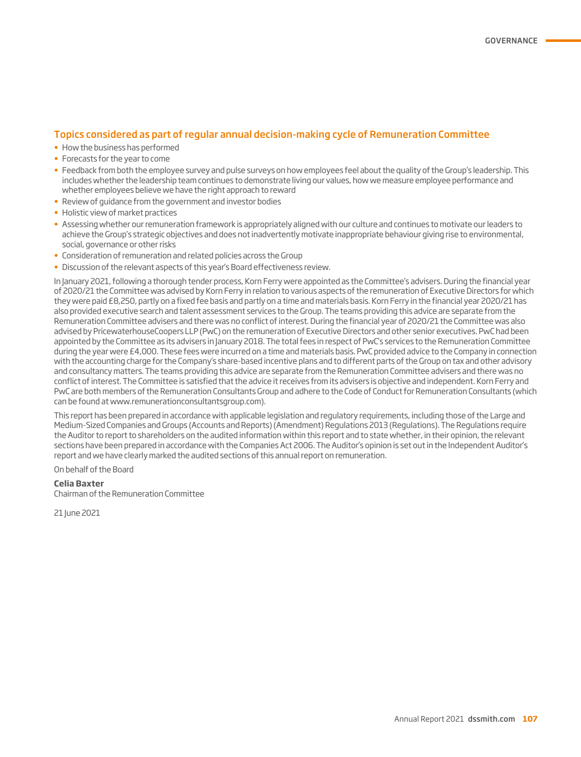#### Topics considered as part of regular annual decision-making cycle of Remuneration Committee

- How the business has performed
- Forecasts for the year to come
- Feedback from both the employee survey and pulse surveys on how employees feel about the quality of the Group's leadership. This includes whether the leadership team continues to demonstrate living our values, how we measure employee performance and whether employees believe we have the right approach to reward
- Review of guidance from the government and investor bodies
- Holistic view of market practices
- Assessing whether our remuneration framework is appropriately aligned with our culture and continues to motivate our leaders to achieve the Group's strategic objectives and does not inadvertently motivate inappropriate behaviour giving rise to environmental, social, governance or other risks
- Consideration of remuneration and related policies across the Group
- Discussion of the relevant aspects of this year's Board effectiveness review.

In January 2021, following a thorough tender process, Korn Ferry were appointed as the Committee's advisers. During the financial year of 2020/21 the Committee was advised by Korn Ferry in relation to various aspects of the remuneration of Executive Directors for which they were paid £8,250, partly on a fixed fee basis and partly on a time and materials basis. Korn Ferry in the financial year 2020/21 has also provided executive search and talent assessment services to the Group. The teams providing this advice are separate from the Remuneration Committee advisers and there was no conflict of interest. During the financial year of 2020/21 the Committee was also advised by PricewaterhouseCoopers LLP (PwC) on the remuneration of Executive Directors and other senior executives. PwC had been appointed by the Committee as its advisers in January 2018. The total fees in respect of PwC's services to the Remuneration Committee during the year were £4,000. These fees were incurred on a time and materials basis. PwC provided advice to the Company in connection with the accounting charge for the Company's share-based incentive plans and to different parts of the Group on tax and other advisory and consultancy matters. The teams providing this advice are separate from the Remuneration Committee advisers and there was no conflict of interest. The Committee is satisfied that the advice it receives from its advisers is objective and independent. Korn Ferry and PwC are both members of the Remuneration Consultants Group and adhere to the Code of Conduct for Remuneration Consultants (which can be found at www.remunerationconsultantsgroup.com).

This report has been prepared in accordance with applicable legislation and regulatory requirements, including those of the Large and Medium-Sized Companies and Groups (Accounts and Reports) (Amendment) Regulations 2013 (Regulations). The Regulations require the Auditor to report to shareholders on the audited information within this report and to state whether, in their opinion, the relevant sections have been prepared in accordance with the Companies Act 2006. The Auditor's opinion is set out in the Independent Auditor's report and we have clearly marked the audited sections of this annual report on remuneration.

On behalf of the Board

#### **Celia Baxter**

Chairman of the Remuneration Committee

21 lune 2021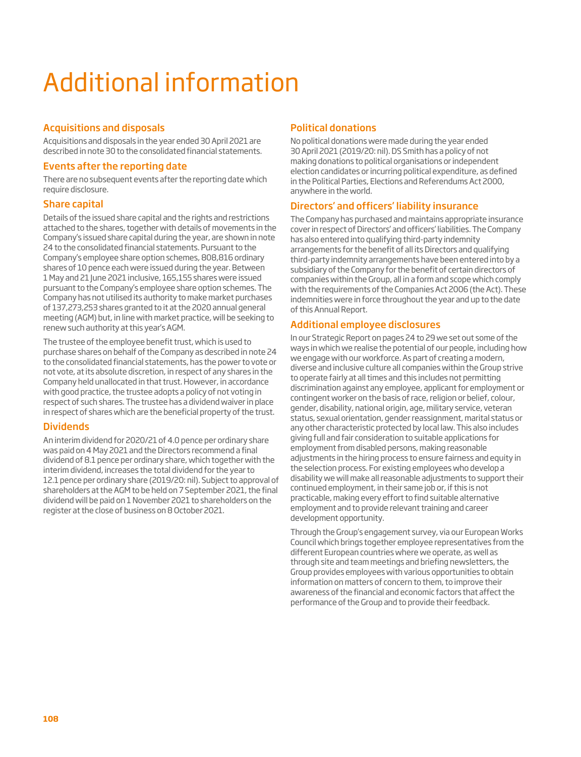# Additional information

### Acquisitions and disposals

Acquisitions and disposals in the year ended 30 April 2021 are described in note 30 to the consolidated financial statements.

#### Events after the reporting date

There are no subsequent events after the reporting date which require disclosure.

### Share capital

Details of the issued share capital and the rights and restrictions attached to the shares, together with details of movements in the Company's issued share capital during the year, are shown in note 24 to the consolidated financial statements. Pursuant to the Company's employee share option schemes, 808,816 ordinary shares of 10 pence each were issued during the year. Between 1 May and 21 June 2021 inclusive, 165,155 shares were issued pursuant to the Company's employee share option schemes. The Company has not utilised its authority to make market purchases of 137,273,253 shares granted to it at the 2020 annual general meeting (AGM) but, in line with market practice, will be seeking to renew such authority at this year's AGM.

The trustee of the employee benefit trust, which is used to purchase shares on behalf of the Company as described in note 24 to the consolidated financial statements, has the power to vote or not vote, at its absolute discretion, in respect of any shares in the Company held unallocated in that trust. However, in accordance with good practice, the trustee adopts a policy of not voting in respect of such shares. The trustee has a dividend waiver in place in respect of shares which are the beneficial property of the trust.

### **Dividends**

An interim dividend for 2020/21 of 4.0 pence per ordinary share was paid on 4 May 2021 and the Directors recommend a final dividend of 8.1 pence per ordinary share, which together with the interim dividend, increases the total dividend for the year to 12.1 pence per ordinary share (2019/20: nil). Subject to approval of shareholders at the AGM to be held on 7 September 2021, the final dividend will be paid on 1 November 2021 to shareholders on the register at the close of business on 8 October 2021.

### Political donations

No political donations were made during the year ended 30 April 2021 (2019/20: nil). DS Smith has a policy of not making donations to political organisations or independent election candidates or incurring political expenditure, as defined in the Political Parties, Elections and Referendums Act 2000, anywhere in the world.

### Directors' and officers' liability insurance

The Company has purchased and maintains appropriate insurance cover in respect of Directors' and officers' liabilities. The Company has also entered into qualifying third-party indemnity arrangements for the benefit of all its Directors and qualifying third-party indemnity arrangements have been entered into by a subsidiary of the Company for the benefit of certain directors of companies within the Group, all in a form and scope which comply with the requirements of the Companies Act 2006 (the Act). These indemnities were in force throughout the year and up to the date of this Annual Report.

### Additional employee disclosures

In our Strategic Report on pages 24 to 29 we set out some of the ways in which we realise the potential of our people, including how we engage with our workforce. As part of creating a modern, diverse and inclusive culture all companies within the Group strive to operate fairly at all times and this includes not permitting discrimination against any employee, applicant for employment or contingent worker on the basis of race, religion or belief, colour, gender, disability, national origin, age, military service, veteran status, sexual orientation, gender reassignment, marital status or any other characteristic protected by local law. This also includes giving full and fair consideration to suitable applications for employment from disabled persons, making reasonable adjustments in the hiring process to ensure fairness and equity in the selection process. For existing employees who develop a disability we will make all reasonable adjustments to support their continued employment, in their same job or, if this is not practicable, making every effort to find suitable alternative employment and to provide relevant training and career development opportunity.

Through the Group's engagement survey, via our European Works Council which brings together employee representatives from the different European countries where we operate, as well as through site and team meetings and briefing newsletters, the Group provides employees with various opportunities to obtain information on matters of concern to them, to improve their awareness of the financial and economic factors that affect the performance of the Group and to provide their feedback.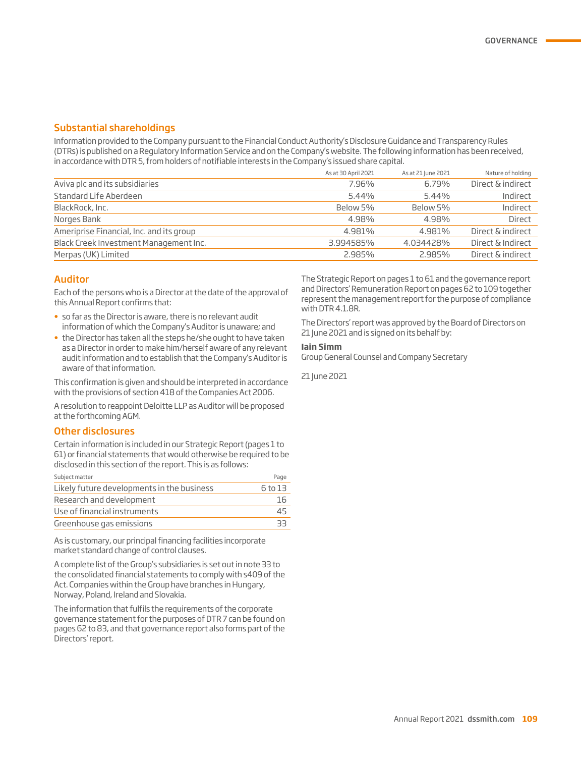#### Substantial shareholdings

Information provided to the Company pursuant to the Financial Conduct Authority's Disclosure Guidance and Transparency Rules (DTRs) is published on a Regulatory Information Service and on the Company's website. The following information has been received, in accordance with DTR 5, from holders of notifiable interests in the Company's issued share capital.

|                                          | As at 30 April 2021 | As at 21 June 2021 | Nature of holding |
|------------------------------------------|---------------------|--------------------|-------------------|
| Aviva plc and its subsidiaries           | 7.96%               | 6.79%              | Direct & indirect |
| Standard Life Aberdeen                   | 5.44%               | 5.44%              | Indirect          |
| BlackRock, Inc.                          | Below 5%            | Below 5%           | Indirect          |
| Norges Bank                              | 4.98%               | 4.98%              | Direct            |
| Ameriprise Financial, Inc. and its group | 4.981%              | 4.981%             | Direct & indirect |
| Black Creek Investment Management Inc.   | 3.994585%           | 4.034428%          | Direct & Indirect |
| Merpas (UK) Limited                      | 2.985%              | 2.985%             | Direct & indirect |

#### Auditor

Each of the persons who is a Director at the date of the approval of this Annual Report confirms that:

- so far as the Director is aware, there is no relevant audit information of which the Company's Auditor is unaware; and
- the Director has taken all the steps he/she ought to have taken as a Director in order to make him/herself aware of any relevant audit information and to establish that the Company's Auditor is aware of that information.

This confirmation is given and should be interpreted in accordance with the provisions of section 418 of the Companies Act 2006.

A resolution to reappoint Deloitte LLP as Auditor will be proposed at the forthcoming AGM.

#### Other disclosures

Certain information is included in our Strategic Report (pages 1 to 61) or financial statements that would otherwise be required to be disclosed in this section of the report. This is as follows:

| Subject matter                             | Page    |
|--------------------------------------------|---------|
| Likely future developments in the business | 6 to 13 |
| Research and development                   | 16      |
| Use of financial instruments               | 45      |
| Greenhouse gas emissions                   | ヨヨ      |

As is customary, our principal financing facilities incorporate market standard change of control clauses.

A complete list of the Group's subsidiaries is set out in note 33 to the consolidated financial statements to comply with s409 of the Act. Companies within the Group have branches in Hungary, Norway, Poland, Ireland and Slovakia.

The information that fulfils the requirements of the corporate governance statement for the purposes of DTR 7 can be found on pages 62 to 83, and that governance report also forms part of the Directors' report.

The Strategic Report on pages 1 to 61 and the governance report and Directors' Remuneration Report on pages 62 to 109 together represent the management report for the purpose of compliance with DTR 4.1.8R.

The Directors' report was approved by the Board of Directors on 21 June 2021 and is signed on its behalf by:

#### **Iain Simm**

Group General Counsel and Company Secretary

21 June 2021